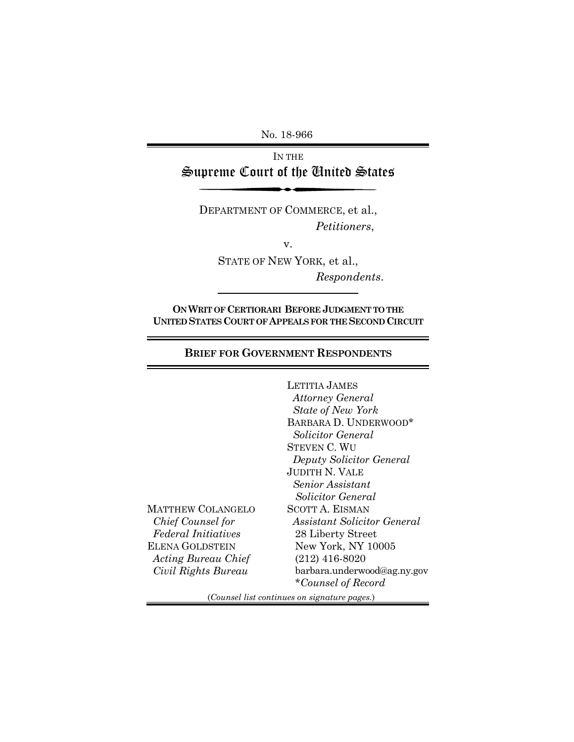No. 18-966

IN THE Supreme Court of the United States

DEPARTMENT OF COMMERCE, et al., *Petitioners*,

v.

STATE OF NEW YORK, et al., *Respondents*.

**ON WRIT OF CERTIORARI BEFORE JUDGMENT TO THE UNITED STATES COURT OF APPEALS FOR THE SECOND CIRCUIT**

**BRIEF FOR GOVERNMENT RESPONDENTS**

MATTHEW COLANGELO  *Chief Counsel for Federal Initiatives* ELENA GOLDSTEIN *Acting Bureau Chief Civil Rights Bureau* LETITIA JAMES  *Attorney General State of New York* BARBARA D. UNDERWOOD\*  *Solicitor General*  STEVEN C. WU  *Deputy Solicitor General* JUDITH N. VALE  *Senior Assistant Solicitor General* SCOTT A. EISMAN  *Assistant Solicitor General* 28 Liberty Street New York, NY 10005 (212) 416-8020 barbara.underwood@ag.ny.gov \**Counsel of Record*

(*Counsel list continues on signature pages.*)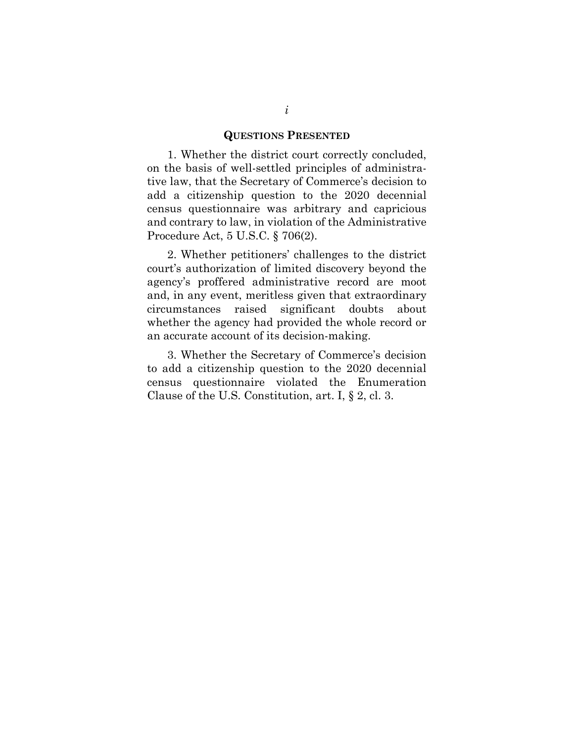### **QUESTIONS PRESENTED**

1. Whether the district court correctly concluded, on the basis of well-settled principles of administrative law, that the Secretary of Commerce's decision to add a citizenship question to the 2020 decennial census questionnaire was arbitrary and capricious and contrary to law, in violation of the Administrative Procedure Act, 5 U.S.C. § 706(2).

2. Whether petitioners' challenges to the district court's authorization of limited discovery beyond the agency's proffered administrative record are moot and, in any event, meritless given that extraordinary circumstances raised significant doubts about whether the agency had provided the whole record or an accurate account of its decision-making.

3. Whether the Secretary of Commerce's decision to add a citizenship question to the 2020 decennial census questionnaire violated the Enumeration Clause of the U.S. Constitution, art. I, § 2, cl. 3.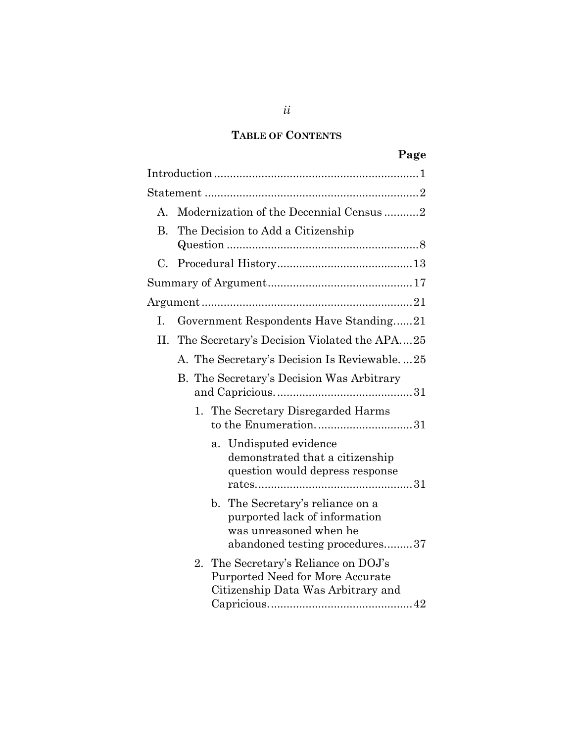### **TABLE OF CONTENTS**

| σ<br>Ð<br>c<br>- |
|------------------|
|------------------|

| A. | Modernization of the Decennial Census 2                                                                                                      |
|----|----------------------------------------------------------------------------------------------------------------------------------------------|
| B. | The Decision to Add a Citizenship                                                                                                            |
| C. |                                                                                                                                              |
|    |                                                                                                                                              |
|    |                                                                                                                                              |
| I. | Government Respondents Have Standing21                                                                                                       |
|    | II. The Secretary's Decision Violated the APA25                                                                                              |
|    | A. The Secretary's Decision Is Reviewable25                                                                                                  |
|    | B. The Secretary's Decision Was Arbitrary                                                                                                    |
|    | 1. The Secretary Disregarded Harms<br>to the Enumeration31                                                                                   |
|    | Undisputed evidence<br>a.<br>demonstrated that a citizenship<br>question would depress response                                              |
|    | $\mathbf{b}$ .<br>The Secretary's reliance on a<br>purported lack of information<br>was unreasoned when he<br>abandoned testing procedures37 |
|    | The Secretary's Reliance on DOJ's<br>2.<br>Purported Need for More Accurate<br>Citizenship Data Was Arbitrary and                            |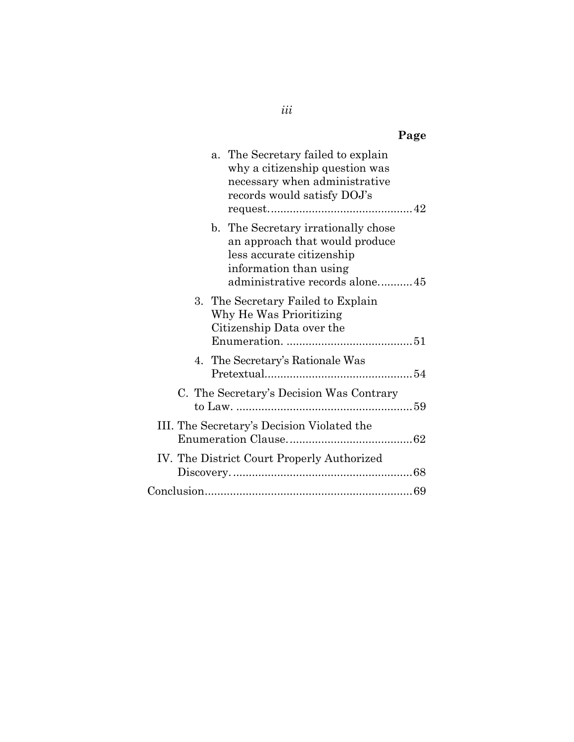| Page                                                                                                                                                           |
|----------------------------------------------------------------------------------------------------------------------------------------------------------------|
| a. The Secretary failed to explain<br>why a citizenship question was<br>necessary when administrative<br>records would satisfy DOJ's                           |
| b. The Secretary irrationally chose<br>an approach that would produce<br>less accurate citizenship<br>information than using<br>administrative records alone45 |
| 3. The Secretary Failed to Explain<br>Why He Was Prioritizing<br>Citizenship Data over the                                                                     |
| 4. The Secretary's Rationale Was                                                                                                                               |
| C. The Secretary's Decision Was Contrary                                                                                                                       |
| III. The Secretary's Decision Violated the                                                                                                                     |
| IV. The District Court Properly Authorized                                                                                                                     |
|                                                                                                                                                                |

*iii*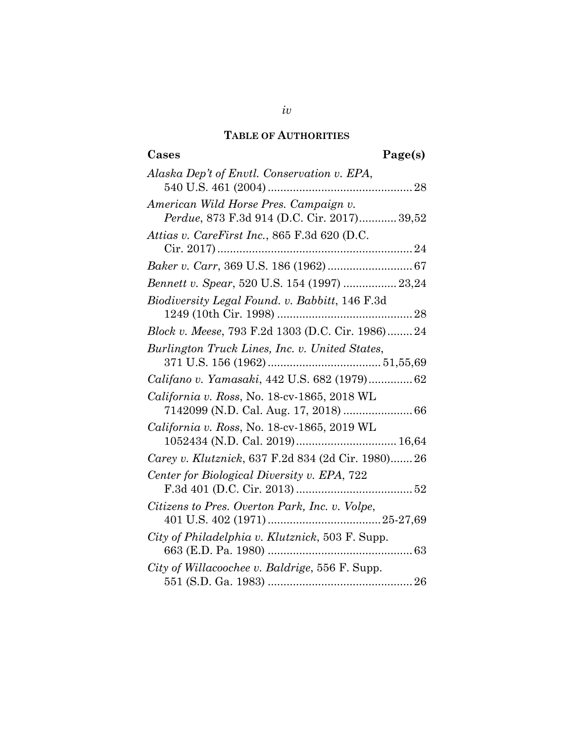#### **TABLE OF AUTHORITIES**

### **Cases Page(s)** *Alaska Dep't of Envtl. Conservation v. EPA*, 540 U.S. 461 (2004)..............................................28 *American Wild Horse Pres. Campaign v. Perdue*, 873 F.3d 914 (D.C. Cir. 2017)............ 39,52 *Attias v. CareFirst Inc.*, 865 F.3d 620 (D.C. Cir. 2017)..............................................................24 *Baker v. Carr*, 369 U.S. 186 (1962)...........................67 *Bennett v. Spear*, 520 U.S. 154 (1997) ................. 23,24 *Biodiversity Legal Found. v. Babbitt*, 146 F.3d 1249 (10th Cir. 1998) ...........................................28 *Block v. Meese*, 793 F.2d 1303 (D.C. Cir. 1986)........24 *Burlington Truck Lines, Inc. v. United States*, 371 U.S. 156 (1962).................................... 51,55,69 *Califano v. Yamasaki*, 442 U.S. 682 (1979)..............62 *California v. Ross*, No. 18-cv-1865, 2018 WL 7142099 (N.D. Cal. Aug. 17, 2018) ......................66 *California v. Ross*, No. 18-cv-1865, 2019 WL 1052434 (N.D. Cal. 2019)................................ 16,64 *Carey v. Klutznick*, 637 F.2d 834 (2d Cir. 1980).......26 *Center for Biological Diversity v. EPA*, 722 F.3d 401 (D.C. Cir. 2013) .....................................52 *Citizens to Pres. Overton Park, Inc. v. Volpe*, 401 U.S. 402 (1971)....................................25-27,69 *City of Philadelphia v. Klutznick*, 503 F. Supp. 663 (E.D. Pa. 1980) ..............................................63 *City of Willacoochee v. Baldrige*, 556 F. Supp. 551 (S.D. Ga. 1983) ..............................................26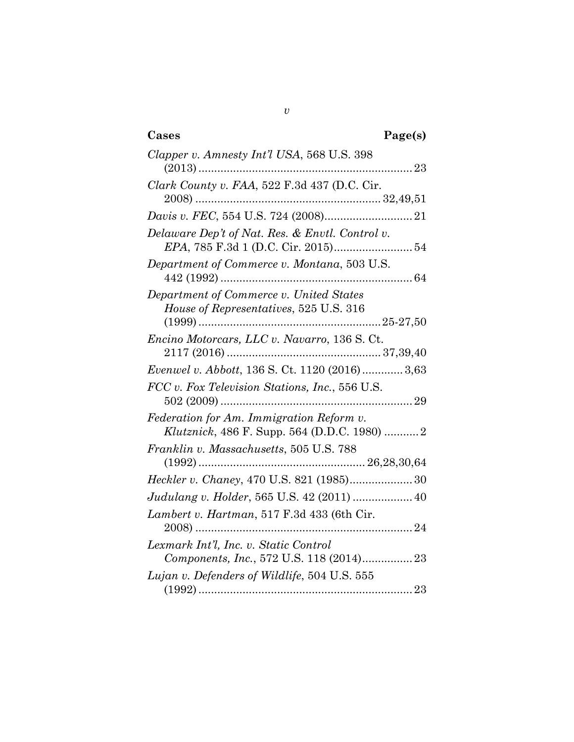| Cases<br>Page(s)                                                                         |
|------------------------------------------------------------------------------------------|
| Clapper v. Amnesty Int'l USA, 568 U.S. 398                                               |
| Clark County v. FAA, 522 F.3d 437 (D.C. Cir.                                             |
|                                                                                          |
| Delaware Dep't of Nat. Res. & Envtl. Control v.                                          |
| Department of Commerce v. Montana, 503 U.S.                                              |
| Department of Commerce v. United States<br>House of Representatives, 525 U.S. 316        |
| Encino Motorcars, LLC v. Navarro, 136 S. Ct.                                             |
| <i>Evenwel v. Abbott, 136 S. Ct. 1120 (2016)</i> 3,63                                    |
| FCC v. Fox Television Stations, Inc., 556 U.S.                                           |
| Federation for Am. Immigration Reform v.<br>Klutznick, 486 F. Supp. 564 (D.D.C. 1980)  2 |
| Franklin v. Massachusetts, 505 U.S. 788                                                  |
| Heckler v. Chaney, 470 U.S. 821 (1985) 30                                                |
| Judulang v. Holder, 565 U.S. 42 (2011)  40                                               |
| Lambert v. Hartman, 517 F.3d 433 (6th Cir.                                               |
| Lexmark Int'l, Inc. v. Static Control<br>Components, Inc., 572 U.S. 118 (2014)23         |
| Lujan v. Defenders of Wildlife, 504 U.S. 555                                             |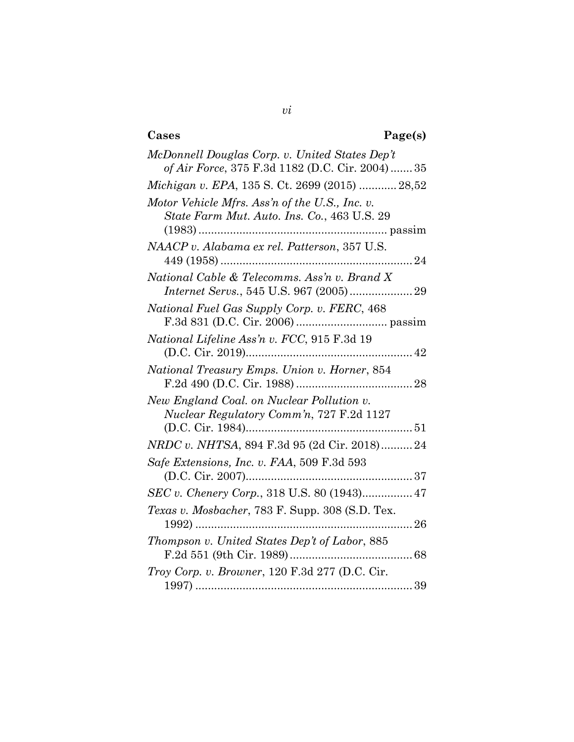## **Cases Page(s)**

| McDonnell Douglas Corp. v. United States Dep't                                                |
|-----------------------------------------------------------------------------------------------|
| of Air Force, 375 F.3d 1182 (D.C. Cir. 2004)  35                                              |
| Michigan v. EPA, 135 S. Ct. 2699 (2015)  28,52                                                |
| Motor Vehicle Mfrs. Ass'n of the U.S., Inc. v.<br>State Farm Mut. Auto. Ins. Co., 463 U.S. 29 |
| NAACP v. Alabama ex rel. Patterson, 357 U.S.                                                  |
| National Cable & Telecomms. Ass'n v. Brand X                                                  |
| National Fuel Gas Supply Corp. v. FERC, 468                                                   |
| National Lifeline Ass'n v. FCC, 915 F.3d 19                                                   |
| National Treasury Emps. Union v. Horner, 854                                                  |
| New England Coal. on Nuclear Pollution v.<br>Nuclear Regulatory Comm'n, 727 F.2d 1127         |
| NRDC v. NHTSA, 894 F.3d 95 (2d Cir. 2018)24                                                   |
| Safe Extensions, Inc. v. FAA, 509 F.3d 593                                                    |
| SEC v. Chenery Corp., 318 U.S. 80 (1943) 47                                                   |
| Texas v. Mosbacher, 783 F. Supp. 308 (S.D. Tex.<br>. 26                                       |
| Thompson v. United States Dep't of Labor, 885                                                 |
| Troy Corp. v. Browner, 120 F.3d 277 (D.C. Cir.                                                |
|                                                                                               |

*vi*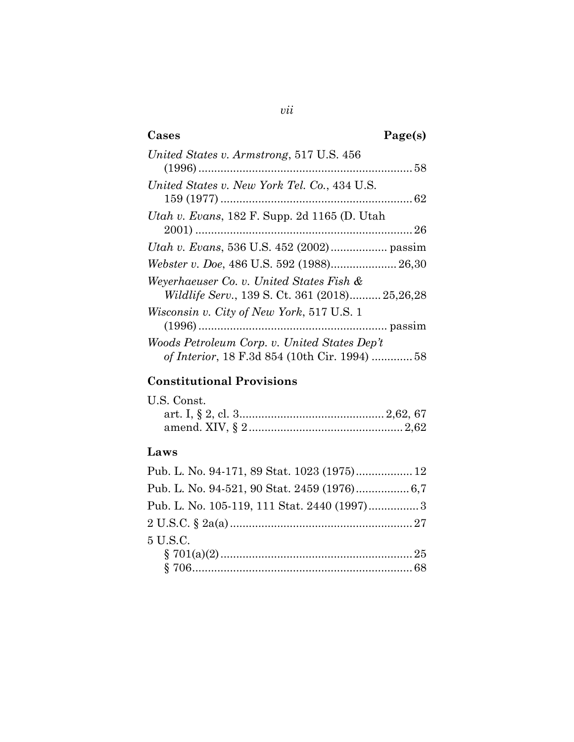### **Cases Page(s)** *United States v. Armstrong*, 517 U.S. 456 (1996)....................................................................58 *United States v. New York Tel. Co.*, 434 U.S. 159 (1977) .............................................................62 *Utah v. Evans*, 182 F. Supp. 2d 1165 (D. Utah 2001) .....................................................................26 *Utah v. Evans*, 536 U.S. 452 (2002).................. passim *Webster v. Doe*, 486 U.S. 592 (1988)..................... 26,30 *Weyerhaeuser Co. v. United States Fish & Wildlife Serv.*, 139 S. Ct. 361 (2018).......... 25,26,28 *Wisconsin v. City of New York*, 517 U.S. 1 (1996)............................................................ passim *Woods Petroleum Corp. v. United States Dep't of Interior*, 18 F.3d 854 (10th Cir. 1994) .............58

### **Constitutional Provisions**

| U.S. Const. |  |
|-------------|--|
|             |  |
|             |  |

### **Laws**

| Pub. L. No. 94-171, 89 Stat. 1023 (1975) 12  |  |
|----------------------------------------------|--|
| Pub. L. No. 94-521, 90 Stat. 2459 (1976) 6,7 |  |
|                                              |  |
|                                              |  |
| 5 U.S.C.                                     |  |
|                                              |  |
|                                              |  |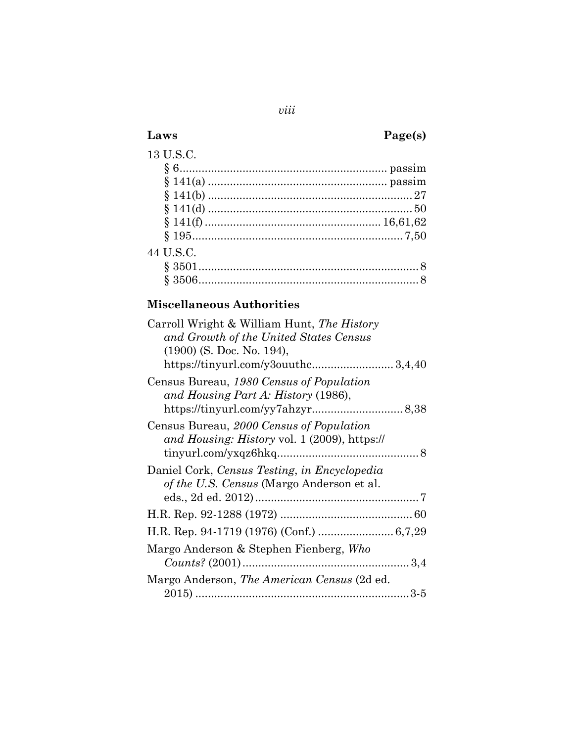### *viii*

## **Laws Page(s)**

# 13 U.S.C.

| 44 U.S.C. |  |
|-----------|--|
|           |  |
|           |  |
|           |  |

### **Miscellaneous Authorities**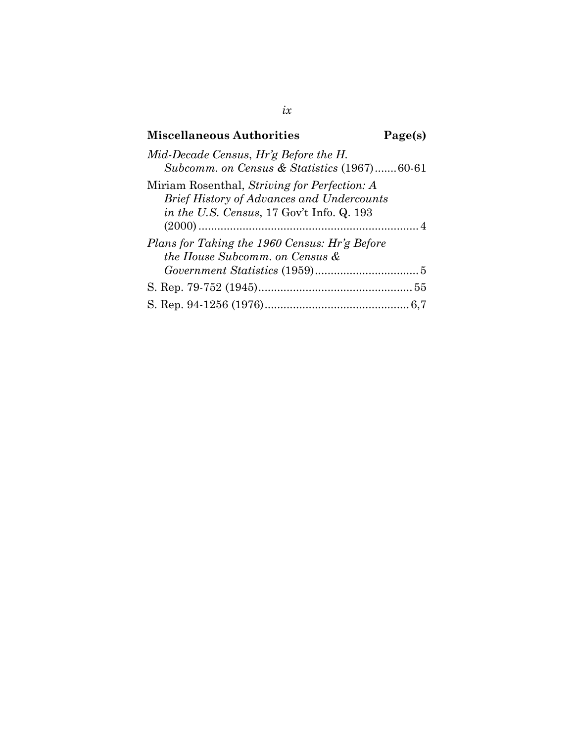### **Miscellaneous Authorities Page(s)** *Mid-Decade Census*, *Hr'g Before the H.*

| <i>vita-Decade Census, Hr g Defore the H.</i><br>Subcomm. on Census & Statistics (1967)60-61                                                  |  |
|-----------------------------------------------------------------------------------------------------------------------------------------------|--|
| Miriam Rosenthal, Striving for Perfection: A<br><b>Brief History of Advances and Undercounts</b><br>in the U.S. Census, 17 Gov't Info. Q. 193 |  |
| Plans for Taking the 1960 Census: Hr'g Before<br>the House Subcomm. on Census &                                                               |  |
|                                                                                                                                               |  |
|                                                                                                                                               |  |
|                                                                                                                                               |  |

*ix*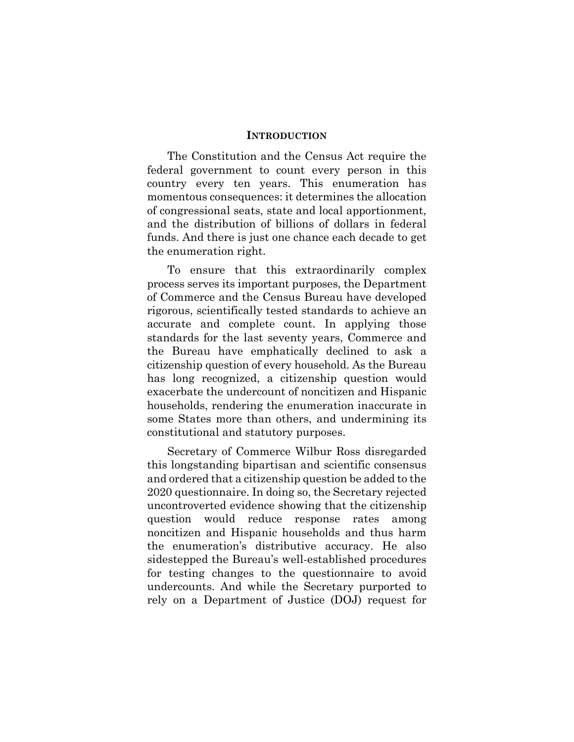### **INTRODUCTION**

<span id="page-10-0"></span>The Constitution and the Census Act require the federal government to count every person in this country every ten years. This enumeration has momentous consequences: it determines the allocation of congressional seats, state and local apportionment, and the distribution of billions of dollars in federal funds. And there is just one chance each decade to get the enumeration right.

To ensure that this extraordinarily complex process serves its important purposes, the Department of Commerce and the Census Bureau have developed rigorous, scientifically tested standards to achieve an accurate and complete count. In applying those standards for the last seventy years, Commerce and the Bureau have emphatically declined to ask a citizenship question of every household. As the Bureau has long recognized, a citizenship question would exacerbate the undercount of noncitizen and Hispanic households, rendering the enumeration inaccurate in some States more than others, and undermining its constitutional and statutory purposes.

Secretary of Commerce Wilbur Ross disregarded this longstanding bipartisan and scientific consensus and ordered that a citizenship question be added to the 2020 questionnaire. In doing so, the Secretary rejected uncontroverted evidence showing that the citizenship question would reduce response rates among noncitizen and Hispanic households and thus harm the enumeration's distributive accuracy. He also sidestepped the Bureau's well-established procedures for testing changes to the questionnaire to avoid undercounts. And while the Secretary purported to rely on a Department of Justice (DOJ) request for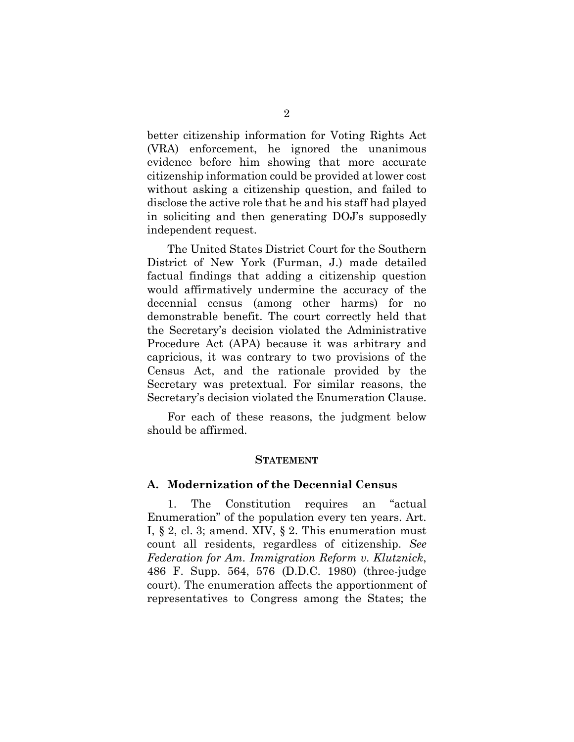better citizenship information for Voting Rights Act (VRA) enforcement, he ignored the unanimous evidence before him showing that more accurate citizenship information could be provided at lower cost without asking a citizenship question, and failed to disclose the active role that he and his staff had played in soliciting and then generating DOJ's supposedly independent request.

The United States District Court for the Southern District of New York (Furman, J.) made detailed factual findings that adding a citizenship question would affirmatively undermine the accuracy of the decennial census (among other harms) for no demonstrable benefit. The court correctly held that the Secretary's decision violated the Administrative Procedure Act (APA) because it was arbitrary and capricious, it was contrary to two provisions of the Census Act, and the rationale provided by the Secretary was pretextual. For similar reasons, the Secretary's decision violated the Enumeration Clause.

<span id="page-11-0"></span>For each of these reasons, the judgment below should be affirmed.

#### **STATEMENT**

### <span id="page-11-1"></span>**A. Modernization of the Decennial Census**

1. The Constitution requires an "actual Enumeration" of the population every ten years. Art. I,  $\S 2$ , cl. 3; amend. XIV,  $\S 2$ . This enumeration must count all residents, regardless of citizenship. *See Federation for Am. Immigration Reform v. Klutznick*, 486 F. Supp. 564, 576 (D.D.C. 1980) (three-judge court). The enumeration affects the apportionment of representatives to Congress among the States; the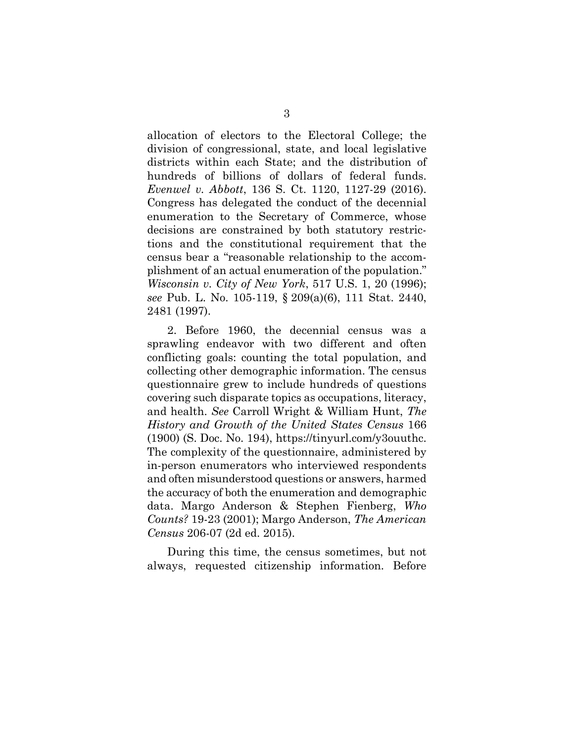allocation of electors to the Electoral College; the division of congressional, state, and local legislative districts within each State; and the distribution of hundreds of billions of dollars of federal funds. *Evenwel v. Abbott*, 136 S. Ct. 1120, 1127-29 (2016). Congress has delegated the conduct of the decennial enumeration to the Secretary of Commerce, whose decisions are constrained by both statutory restrictions and the constitutional requirement that the census bear a "reasonable relationship to the accomplishment of an actual enumeration of the population." *Wisconsin v. City of New York*, 517 U.S. 1, 20 (1996); *see* Pub. L. No. 105-119, § 209(a)(6), 111 Stat. 2440, 2481 (1997).

2. Before 1960, the decennial census was a sprawling endeavor with two different and often conflicting goals: counting the total population, and collecting other demographic information. The census questionnaire grew to include hundreds of questions covering such disparate topics as occupations, literacy, and health. *See* Carroll Wright & William Hunt, *The History and Growth of the United States Census* 166 (1900) (S. Doc. No. 194), https://tinyurl.com/y3ouuthc. The complexity of the questionnaire, administered by in-person enumerators who interviewed respondents and often misunderstood questions or answers, harmed the accuracy of both the enumeration and demographic data. Margo Anderson & Stephen Fienberg, *Who Counts?* 19-23 (2001); Margo Anderson, *The American Census* 206-07 (2d ed. 2015).

During this time, the census sometimes, but not always, requested citizenship information. Before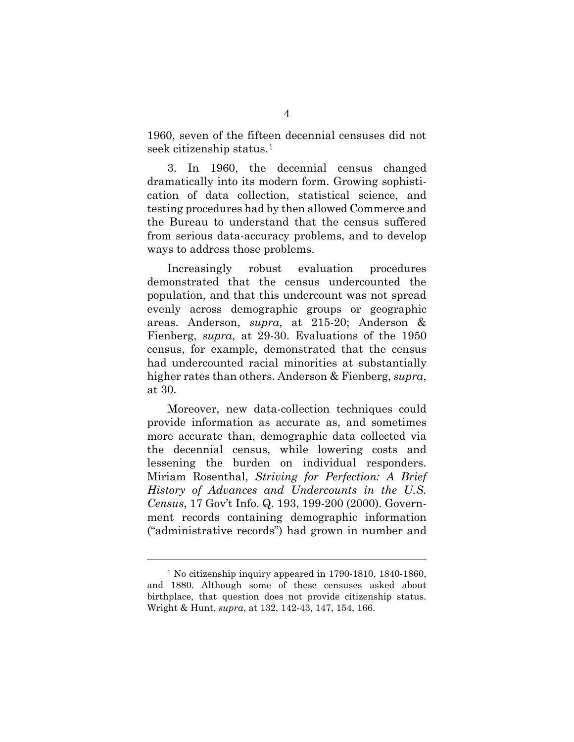1960, seven of the fifteen decennial censuses did not seek citizenship status.[1](#page-13-0)

3. In 1960, the decennial census changed dramatically into its modern form. Growing sophistication of data collection, statistical science, and testing procedures had by then allowed Commerce and the Bureau to understand that the census suffered from serious data-accuracy problems, and to develop ways to address those problems.

Increasingly robust evaluation procedures demonstrated that the census undercounted the population, and that this undercount was not spread evenly across demographic groups or geographic areas. Anderson, *supra*, at 215-20; Anderson & Fienberg, *supra*, at 29-30. Evaluations of the 1950 census, for example, demonstrated that the census had undercounted racial minorities at substantially higher rates than others. Anderson & Fienberg, *supra*, at 30.

Moreover, new data-collection techniques could provide information as accurate as, and sometimes more accurate than, demographic data collected via the decennial census, while lowering costs and lessening the burden on individual responders. Miriam Rosenthal, *Striving for Perfection: A Brief History of Advances and Undercounts in the U.S. Census*, 17 Gov't Info. Q. 193, 199-200 (2000). Government records containing demographic information ("administrative records") had grown in number and

 $\overline{a}$ 

<span id="page-13-0"></span><sup>1</sup> No citizenship inquiry appeared in 1790-1810, 1840-1860, and 1880. Although some of these censuses asked about birthplace, that question does not provide citizenship status. Wright & Hunt, *supra*, at 132, 142-43, 147, 154, 166.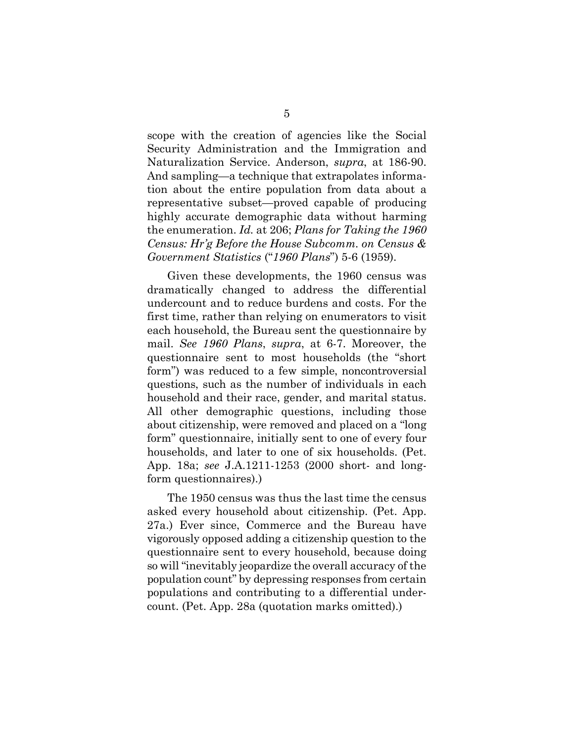scope with the creation of agencies like the Social Security Administration and the Immigration and Naturalization Service. Anderson, *supra*, at 186-90. And sampling—a technique that extrapolates information about the entire population from data about a representative subset—proved capable of producing highly accurate demographic data without harming the enumeration. *Id.* at 206; *Plans for Taking the 1960 Census: Hr'g Before the House Subcomm. on Census & Government Statistics* ("*1960 Plans*") 5-6 (1959).

Given these developments, the 1960 census was dramatically changed to address the differential undercount and to reduce burdens and costs. For the first time, rather than relying on enumerators to visit each household, the Bureau sent the questionnaire by mail. *See 1960 Plans*, *supra*, at 6-7. Moreover, the questionnaire sent to most households (the "short form") was reduced to a few simple, noncontroversial questions, such as the number of individuals in each household and their race, gender, and marital status. All other demographic questions, including those about citizenship, were removed and placed on a "long form" questionnaire, initially sent to one of every four households, and later to one of six households. (Pet. App. 18a; *see* J.A.1211-1253 (2000 short- and longform questionnaires).)

The 1950 census was thus the last time the census asked every household about citizenship. (Pet. App. 27a.) Ever since, Commerce and the Bureau have vigorously opposed adding a citizenship question to the questionnaire sent to every household, because doing so will "inevitably jeopardize the overall accuracy of the population count" by depressing responses from certain populations and contributing to a differential undercount. (Pet. App. 28a (quotation marks omitted).)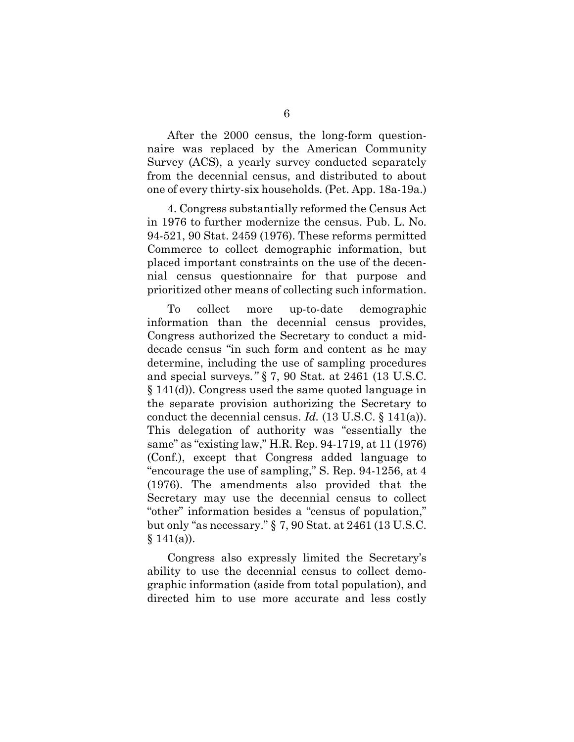After the 2000 census, the long-form questionnaire was replaced by the American Community Survey (ACS), a yearly survey conducted separately from the decennial census, and distributed to about one of every thirty-six households. (Pet. App. 18a-19a.)

4. Congress substantially reformed the Census Act in 1976 to further modernize the census. Pub. L. No. 94-521, 90 Stat. 2459 (1976). These reforms permitted Commerce to collect demographic information, but placed important constraints on the use of the decennial census questionnaire for that purpose and prioritized other means of collecting such information.

To collect more up-to-date demographic information than the decennial census provides, Congress authorized the Secretary to conduct a middecade census "in such form and content as he may determine, including the use of sampling procedures and special surveys*."* § 7, 90 Stat. at 2461 (13 U.S.C. § 141(d)). Congress used the same quoted language in the separate provision authorizing the Secretary to conduct the decennial census. *Id.* (13 U.S.C. § 141(a)). This delegation of authority was "essentially the same" as "existing law," H.R. Rep. 94-1719, at 11 (1976) (Conf.), except that Congress added language to "encourage the use of sampling," S. Rep. 94-1256, at 4 (1976). The amendments also provided that the Secretary may use the decennial census to collect "other" information besides a "census of population," but only "as necessary." § 7, 90 Stat. at 2461 (13 U.S.C.  $§ 141(a)$ ).

Congress also expressly limited the Secretary's ability to use the decennial census to collect demographic information (aside from total population), and directed him to use more accurate and less costly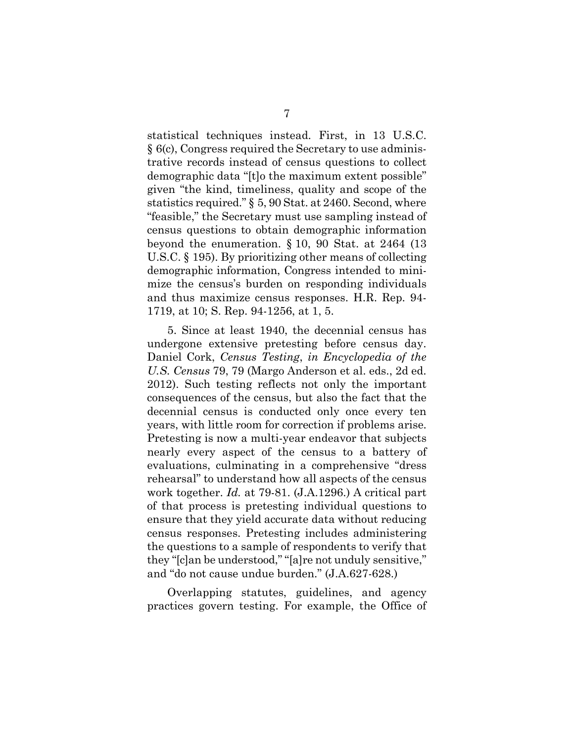statistical techniques instead. First, in 13 U.S.C. § 6(c), Congress required the Secretary to use administrative records instead of census questions to collect demographic data "[t]o the maximum extent possible" given "the kind, timeliness, quality and scope of the statistics required." § 5, 90 Stat. at 2460. Second, where "feasible," the Secretary must use sampling instead of census questions to obtain demographic information beyond the enumeration. § 10, 90 Stat. at 2464 (13 U.S.C. § 195). By prioritizing other means of collecting demographic information, Congress intended to minimize the census's burden on responding individuals and thus maximize census responses. H.R. Rep. 94- 1719, at 10; S. Rep. 94-1256, at 1, 5.

5. Since at least 1940, the decennial census has undergone extensive pretesting before census day. Daniel Cork, *Census Testing*, *in Encyclopedia of the U.S. Census* 79, 79 (Margo Anderson et al. eds., 2d ed. 2012). Such testing reflects not only the important consequences of the census, but also the fact that the decennial census is conducted only once every ten years, with little room for correction if problems arise. Pretesting is now a multi-year endeavor that subjects nearly every aspect of the census to a battery of evaluations, culminating in a comprehensive "dress rehearsal" to understand how all aspects of the census work together. *Id.* at 79-81. (J.A.1296.) A critical part of that process is pretesting individual questions to ensure that they yield accurate data without reducing census responses. Pretesting includes administering the questions to a sample of respondents to verify that they "[c]an be understood," "[a]re not unduly sensitive," and "do not cause undue burden." (J.A.627-628.)

Overlapping statutes, guidelines, and agency practices govern testing. For example, the Office of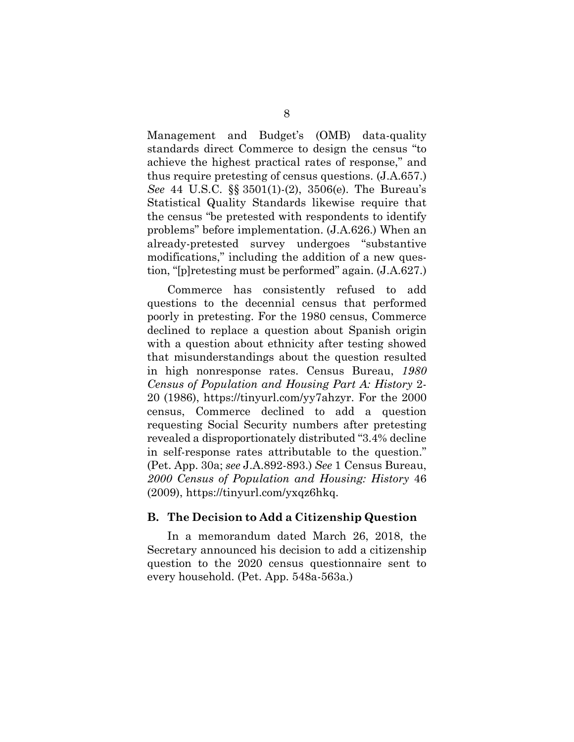Management and Budget's (OMB) data-quality standards direct Commerce to design the census "to achieve the highest practical rates of response," and thus require pretesting of census questions. (J.A.657.) *See* 44 U.S.C. §§ 3501(1)-(2), 3506(e). The Bureau's Statistical Quality Standards likewise require that the census "be pretested with respondents to identify problems" before implementation. (J.A.626.) When an already-pretested survey undergoes "substantive modifications," including the addition of a new question, "[p]retesting must be performed" again. (J.A.627.)

Commerce has consistently refused to add questions to the decennial census that performed poorly in pretesting. For the 1980 census, Commerce declined to replace a question about Spanish origin with a question about ethnicity after testing showed that misunderstandings about the question resulted in high nonresponse rates. Census Bureau, *1980 Census of Population and Housing Part A: History* 2- 20 (1986), https://tinyurl.com/yy7ahzyr. For the 2000 census, Commerce declined to add a question requesting Social Security numbers after pretesting revealed a disproportionately distributed "3.4% decline in self-response rates attributable to the question." (Pet. App. 30a; *see* J.A.892-893.) *See* 1 Census Bureau, *2000 Census of Population and Housing: History* 46 (2009), https://tinyurl.com/yxqz6hkq.

### <span id="page-17-0"></span>**B. The Decision to Add a Citizenship Question**

In a memorandum dated March 26, 2018, the Secretary announced his decision to add a citizenship question to the 2020 census questionnaire sent to every household. (Pet. App. 548a-563a.)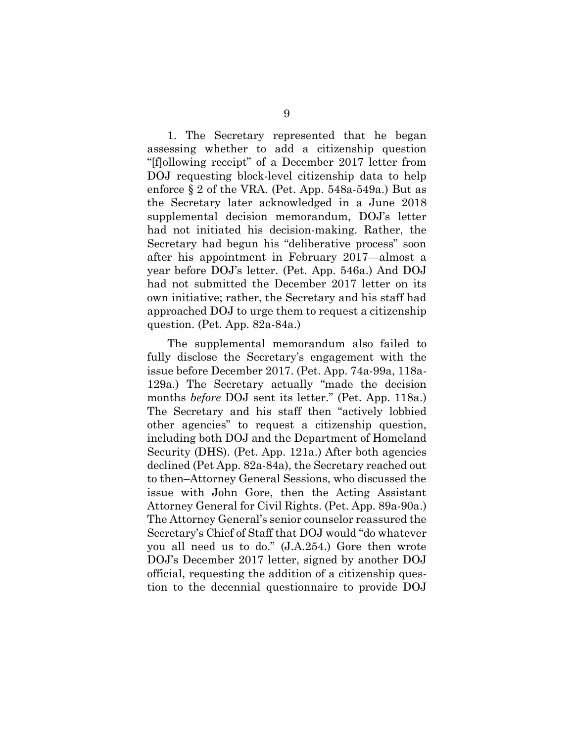1. The Secretary represented that he began assessing whether to add a citizenship question "[f]ollowing receipt" of a December 2017 letter from DOJ requesting block-level citizenship data to help enforce § 2 of the VRA. (Pet. App. 548a-549a.) But as the Secretary later acknowledged in a June 2018 supplemental decision memorandum, DOJ's letter had not initiated his decision-making. Rather, the Secretary had begun his "deliberative process" soon after his appointment in February 2017—almost a year before DOJ's letter. (Pet. App. 546a.) And DOJ had not submitted the December 2017 letter on its own initiative; rather, the Secretary and his staff had approached DOJ to urge them to request a citizenship question. (Pet. App. 82a-84a.)

The supplemental memorandum also failed to fully disclose the Secretary's engagement with the issue before December 2017. (Pet. App. 74a-99a, 118a-129a.) The Secretary actually "made the decision months *before* DOJ sent its letter." (Pet. App. 118a.) The Secretary and his staff then "actively lobbied other agencies" to request a citizenship question, including both DOJ and the Department of Homeland Security (DHS). (Pet. App. 121a.) After both agencies declined (Pet App. 82a-84a), the Secretary reached out to then–Attorney General Sessions, who discussed the issue with John Gore, then the Acting Assistant Attorney General for Civil Rights. (Pet. App. 89a-90a.) The Attorney General's senior counselor reassured the Secretary's Chief of Staff that DOJ would "do whatever you all need us to do." (J.A.254.) Gore then wrote DOJ's December 2017 letter, signed by another DOJ official, requesting the addition of a citizenship question to the decennial questionnaire to provide DOJ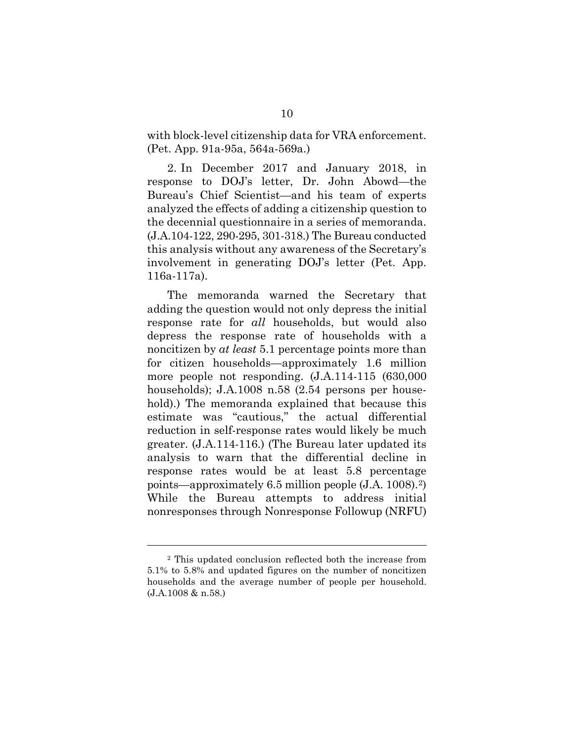with block-level citizenship data for VRA enforcement. (Pet. App. 91a-95a, 564a-569a.)

2. In December 2017 and January 2018, in response to DOJ's letter, Dr. John Abowd—the Bureau's Chief Scientist—and his team of experts analyzed the effects of adding a citizenship question to the decennial questionnaire in a series of memoranda. (J.A.104-122, 290-295, 301-318.) The Bureau conducted this analysis without any awareness of the Secretary's involvement in generating DOJ's letter (Pet. App. 116a-117a).

The memoranda warned the Secretary that adding the question would not only depress the initial response rate for *all* households, but would also depress the response rate of households with a noncitizen by *at least* 5.1 percentage points more than for citizen households—approximately 1.6 million more people not responding. (J.A.114-115 (630,000 households); J.A.1008 n.58 (2.54 persons per household).) The memoranda explained that because this estimate was "cautious," the actual differential reduction in self-response rates would likely be much greater. (J.A.114-116.) (The Bureau later updated its analysis to warn that the differential decline in response rates would be at least 5.8 percentage points—approximately 6.5 million people (J.A. 1008).[2\)](#page-19-0) While the Bureau attempts to address initial nonresponses through Nonresponse Followup (NRFU)

 $\overline{a}$ 

<span id="page-19-0"></span><sup>2</sup> This updated conclusion reflected both the increase from 5.1% to 5.8% and updated figures on the number of noncitizen households and the average number of people per household. (J.A.1008 & n.58.)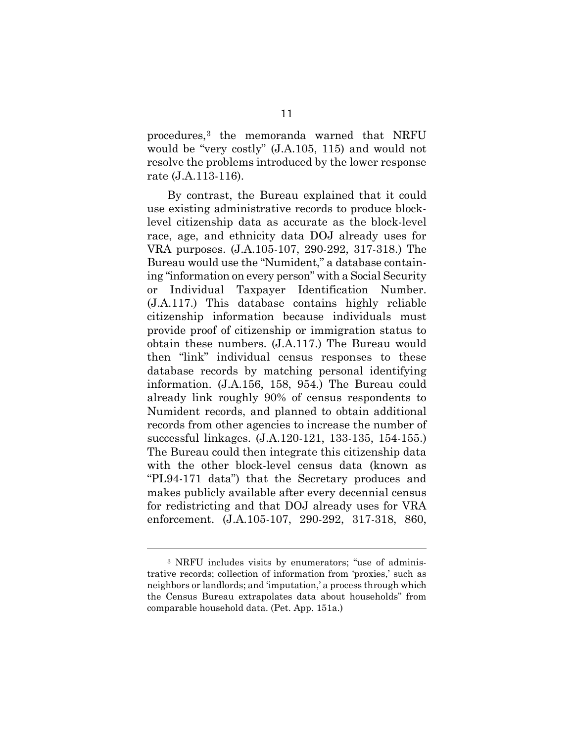procedures,[3](#page-20-0) the memoranda warned that NRFU would be "very costly" (J.A.105, 115) and would not resolve the problems introduced by the lower response rate (J.A.113-116).

By contrast, the Bureau explained that it could use existing administrative records to produce blocklevel citizenship data as accurate as the block-level race, age, and ethnicity data DOJ already uses for VRA purposes. (J.A.105-107, 290-292, 317-318.) The Bureau would use the "Numident," a database containing "information on every person" with a Social Security or Individual Taxpayer Identification Number. (J.A.117.) This database contains highly reliable citizenship information because individuals must provide proof of citizenship or immigration status to obtain these numbers. (J.A.117.) The Bureau would then "link" individual census responses to these database records by matching personal identifying information. (J.A.156, 158, 954.) The Bureau could already link roughly 90% of census respondents to Numident records, and planned to obtain additional records from other agencies to increase the number of successful linkages. (J.A.120-121, 133-135, 154-155.) The Bureau could then integrate this citizenship data with the other block-level census data (known as "PL94-171 data") that the Secretary produces and makes publicly available after every decennial census for redistricting and that DOJ already uses for VRA enforcement. (J.A.105-107, 290-292, 317-318, 860,

l

<span id="page-20-0"></span><sup>3</sup> NRFU includes visits by enumerators; "use of administrative records; collection of information from 'proxies,' such as neighbors or landlords; and 'imputation,' a process through which the Census Bureau extrapolates data about households" from comparable household data. (Pet. App. 151a.)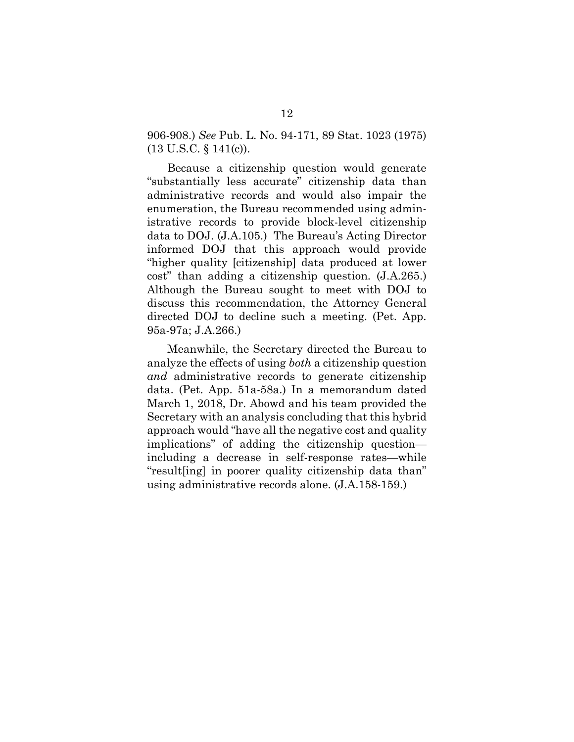906-908.) *See* Pub. L. No. 94-171, 89 Stat. 1023 (1975) (13 U.S.C. § 141(c)).

Because a citizenship question would generate "substantially less accurate" citizenship data than administrative records and would also impair the enumeration, the Bureau recommended using administrative records to provide block-level citizenship data to DOJ. (J.A.105.) The Bureau's Acting Director informed DOJ that this approach would provide "higher quality [citizenship] data produced at lower cost" than adding a citizenship question. (J.A.265.) Although the Bureau sought to meet with DOJ to discuss this recommendation, the Attorney General directed DOJ to decline such a meeting. (Pet. App. 95a-97a; J.A.266.)

Meanwhile, the Secretary directed the Bureau to analyze the effects of using *both* a citizenship question *and* administrative records to generate citizenship data. (Pet. App. 51a-58a.) In a memorandum dated March 1, 2018, Dr. Abowd and his team provided the Secretary with an analysis concluding that this hybrid approach would "have all the negative cost and quality implications" of adding the citizenship question including a decrease in self-response rates—while "result[ing] in poorer quality citizenship data than" using administrative records alone. (J.A.158-159.)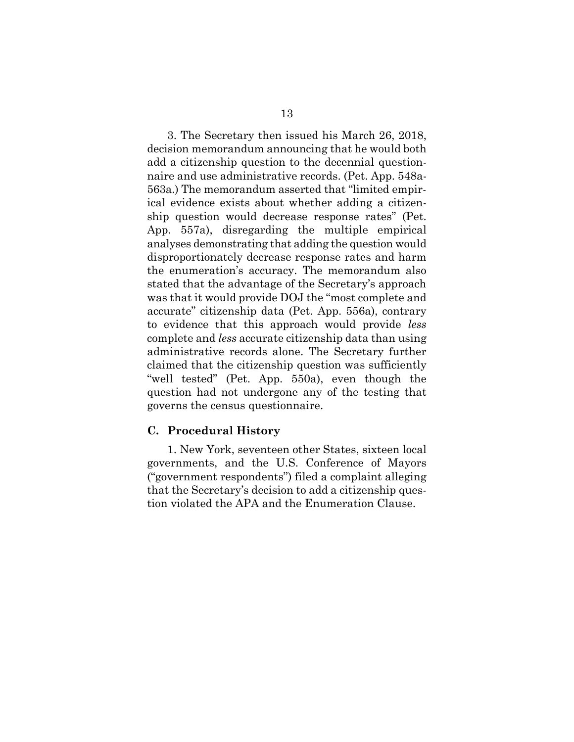3. The Secretary then issued his March 26, 2018, decision memorandum announcing that he would both add a citizenship question to the decennial questionnaire and use administrative records. (Pet. App. 548a-563a.) The memorandum asserted that "limited empirical evidence exists about whether adding a citizenship question would decrease response rates" (Pet. App. 557a), disregarding the multiple empirical analyses demonstrating that adding the question would disproportionately decrease response rates and harm the enumeration's accuracy. The memorandum also stated that the advantage of the Secretary's approach was that it would provide DOJ the "most complete and accurate" citizenship data (Pet. App. 556a), contrary to evidence that this approach would provide *less* complete and *less* accurate citizenship data than using administrative records alone. The Secretary further claimed that the citizenship question was sufficiently "well tested" (Pet. App. 550a), even though the question had not undergone any of the testing that governs the census questionnaire.

### <span id="page-22-0"></span>**C. Procedural History**

1. New York, seventeen other States, sixteen local governments, and the U.S. Conference of Mayors ("government respondents") filed a complaint alleging that the Secretary's decision to add a citizenship question violated the APA and the Enumeration Clause.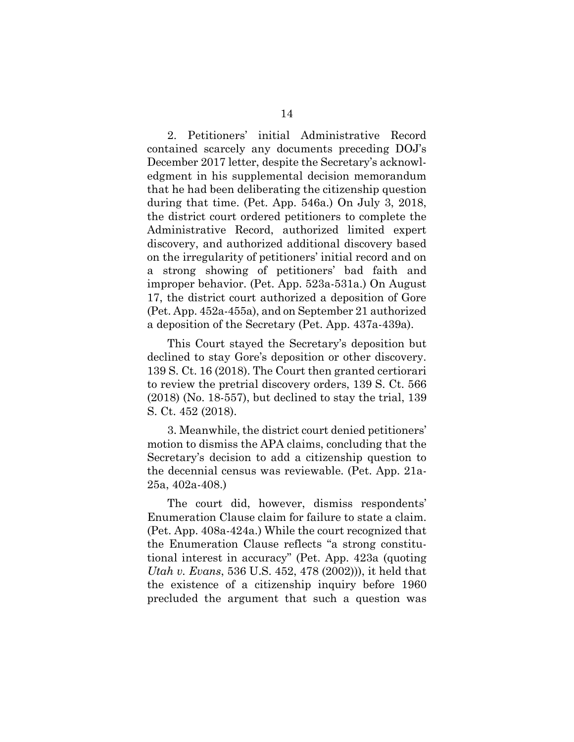2. Petitioners' initial Administrative Record contained scarcely any documents preceding DOJ's December 2017 letter, despite the Secretary's acknowledgment in his supplemental decision memorandum that he had been deliberating the citizenship question during that time. (Pet. App. 546a.) On July 3, 2018, the district court ordered petitioners to complete the Administrative Record, authorized limited expert discovery, and authorized additional discovery based on the irregularity of petitioners' initial record and on a strong showing of petitioners' bad faith and improper behavior. (Pet. App. 523a-531a.) On August 17, the district court authorized a deposition of Gore (Pet. App. 452a-455a), and on September 21 authorized a deposition of the Secretary (Pet. App. 437a-439a).

This Court stayed the Secretary's deposition but declined to stay Gore's deposition or other discovery. 139 S. Ct. 16 (2018). The Court then granted certiorari to review the pretrial discovery orders, 139 S. Ct. 566 (2018) (No. 18-557), but declined to stay the trial, 139 S. Ct. 452 (2018).

3. Meanwhile, the district court denied petitioners' motion to dismiss the APA claims, concluding that the Secretary's decision to add a citizenship question to the decennial census was reviewable. (Pet. App. 21a-25a, 402a-408.)

The court did, however, dismiss respondents' Enumeration Clause claim for failure to state a claim. (Pet. App. 408a-424a.) While the court recognized that the Enumeration Clause reflects "a strong constitutional interest in accuracy" (Pet. App. 423a (quoting *Utah v. Evans*, 536 U.S. 452, 478 (2002))), it held that the existence of a citizenship inquiry before 1960 precluded the argument that such a question was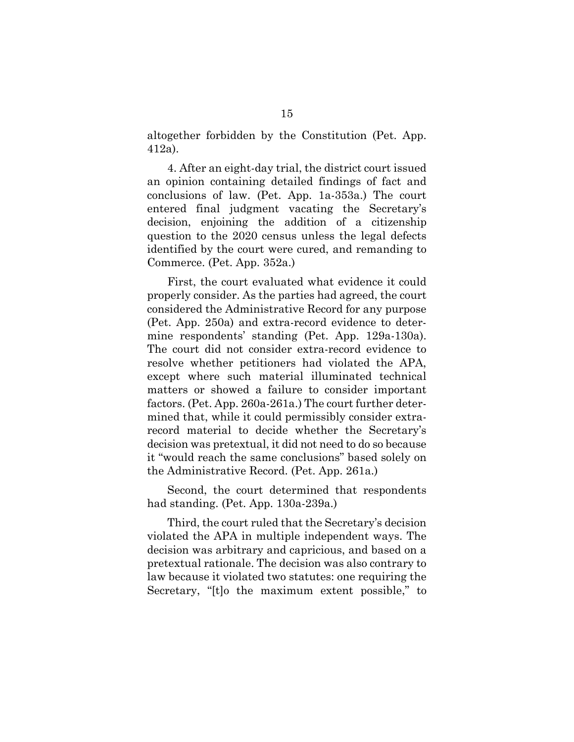altogether forbidden by the Constitution (Pet. App. 412a).

4. After an eight-day trial, the district court issued an opinion containing detailed findings of fact and conclusions of law. (Pet. App. 1a-353a.) The court entered final judgment vacating the Secretary's decision, enjoining the addition of a citizenship question to the 2020 census unless the legal defects identified by the court were cured, and remanding to Commerce. (Pet. App. 352a.)

First, the court evaluated what evidence it could properly consider. As the parties had agreed, the court considered the Administrative Record for any purpose (Pet. App. 250a) and extra-record evidence to determine respondents' standing (Pet. App. 129a-130a). The court did not consider extra-record evidence to resolve whether petitioners had violated the APA, except where such material illuminated technical matters or showed a failure to consider important factors. (Pet. App. 260a-261a.) The court further determined that, while it could permissibly consider extrarecord material to decide whether the Secretary's decision was pretextual, it did not need to do so because it "would reach the same conclusions" based solely on the Administrative Record. (Pet. App. 261a.)

Second, the court determined that respondents had standing. (Pet. App. 130a-239a.)

Third, the court ruled that the Secretary's decision violated the APA in multiple independent ways. The decision was arbitrary and capricious, and based on a pretextual rationale. The decision was also contrary to law because it violated two statutes: one requiring the Secretary, "[t]o the maximum extent possible," to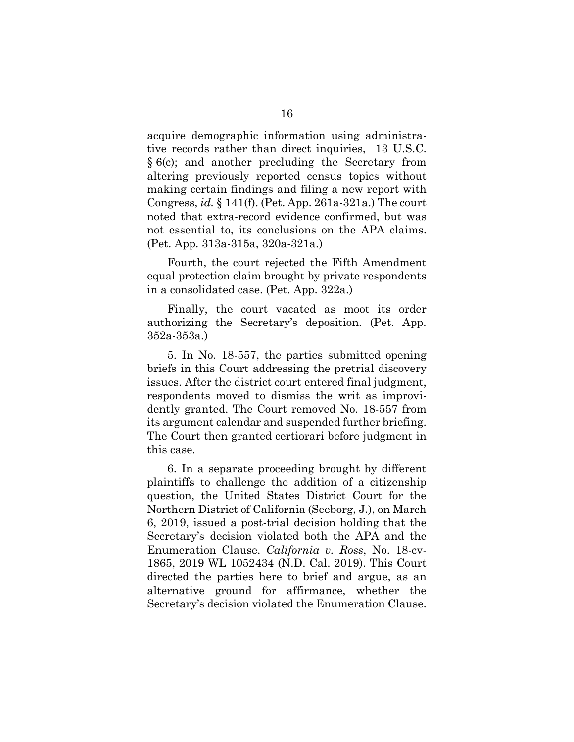acquire demographic information using administrative records rather than direct inquiries, 13 U.S.C. § 6(c); and another precluding the Secretary from altering previously reported census topics without making certain findings and filing a new report with Congress, *id.* § 141(f). (Pet. App. 261a-321a.) The court noted that extra-record evidence confirmed, but was not essential to, its conclusions on the APA claims. (Pet. App. 313a-315a, 320a-321a.)

Fourth, the court rejected the Fifth Amendment equal protection claim brought by private respondents in a consolidated case. (Pet. App. 322a.)

Finally, the court vacated as moot its order authorizing the Secretary's deposition. (Pet. App. 352a-353a.)

5. In No. 18-557, the parties submitted opening briefs in this Court addressing the pretrial discovery issues. After the district court entered final judgment, respondents moved to dismiss the writ as improvidently granted. The Court removed No. 18-557 from its argument calendar and suspended further briefing. The Court then granted certiorari before judgment in this case.

6. In a separate proceeding brought by different plaintiffs to challenge the addition of a citizenship question, the United States District Court for the Northern District of California (Seeborg, J.), on March 6, 2019, issued a post-trial decision holding that the Secretary's decision violated both the APA and the Enumeration Clause. *California v. Ross*, No. 18-cv-1865, 2019 WL 1052434 (N.D. Cal. 2019). This Court directed the parties here to brief and argue, as an alternative ground for affirmance, whether the Secretary's decision violated the Enumeration Clause.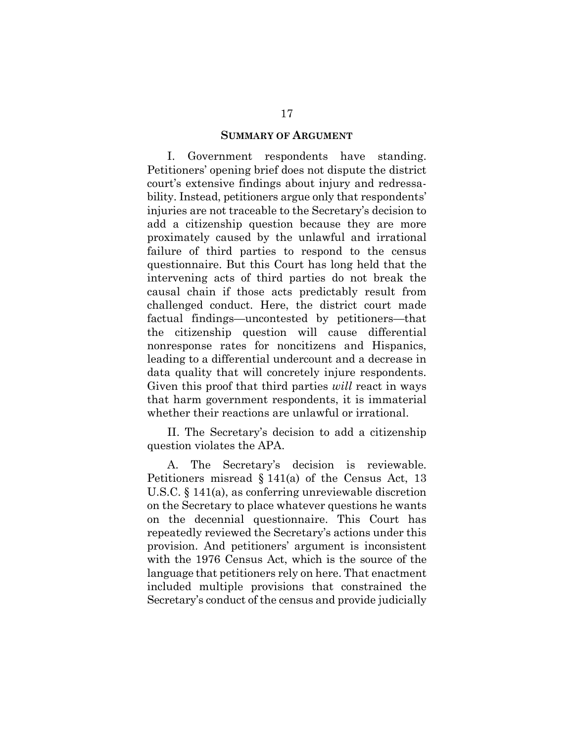#### **SUMMARY OF ARGUMENT**

<span id="page-26-0"></span>I. Government respondents have standing. Petitioners' opening brief does not dispute the district court's extensive findings about injury and redressability. Instead, petitioners argue only that respondents' injuries are not traceable to the Secretary's decision to add a citizenship question because they are more proximately caused by the unlawful and irrational failure of third parties to respond to the census questionnaire. But this Court has long held that the intervening acts of third parties do not break the causal chain if those acts predictably result from challenged conduct. Here, the district court made factual findings—uncontested by petitioners—that the citizenship question will cause differential nonresponse rates for noncitizens and Hispanics, leading to a differential undercount and a decrease in data quality that will concretely injure respondents. Given this proof that third parties *will* react in ways that harm government respondents, it is immaterial whether their reactions are unlawful or irrational.

II. The Secretary's decision to add a citizenship question violates the APA.

A. The Secretary's decision is reviewable. Petitioners misread § 141(a) of the Census Act, 13 U.S.C. § 141(a), as conferring unreviewable discretion on the Secretary to place whatever questions he wants on the decennial questionnaire. This Court has repeatedly reviewed the Secretary's actions under this provision. And petitioners' argument is inconsistent with the 1976 Census Act, which is the source of the language that petitioners rely on here. That enactment included multiple provisions that constrained the Secretary's conduct of the census and provide judicially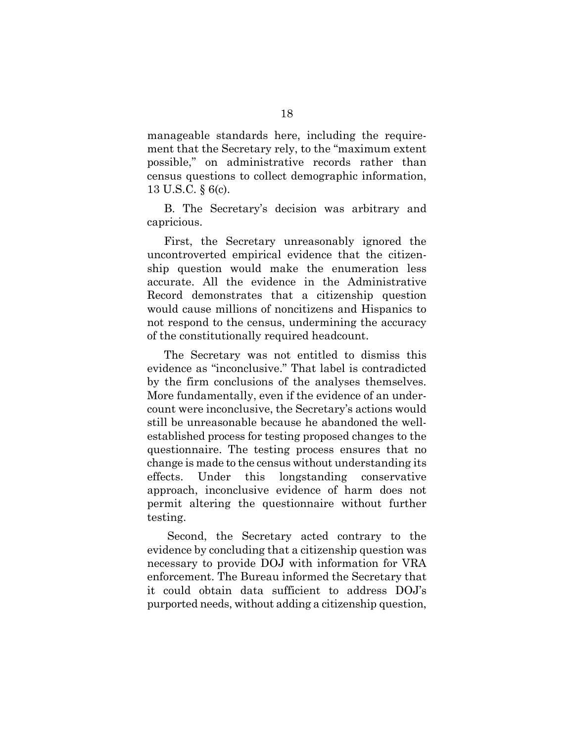manageable standards here, including the requirement that the Secretary rely, to the "maximum extent possible," on administrative records rather than census questions to collect demographic information, 13 U.S.C. § 6(c).

B. The Secretary's decision was arbitrary and capricious.

First, the Secretary unreasonably ignored the uncontroverted empirical evidence that the citizenship question would make the enumeration less accurate. All the evidence in the Administrative Record demonstrates that a citizenship question would cause millions of noncitizens and Hispanics to not respond to the census, undermining the accuracy of the constitutionally required headcount.

The Secretary was not entitled to dismiss this evidence as "inconclusive." That label is contradicted by the firm conclusions of the analyses themselves. More fundamentally, even if the evidence of an undercount were inconclusive, the Secretary's actions would still be unreasonable because he abandoned the wellestablished process for testing proposed changes to the questionnaire. The testing process ensures that no change is made to the census without understanding its effects. Under this longstanding conservative approach, inconclusive evidence of harm does not permit altering the questionnaire without further testing.

Second, the Secretary acted contrary to the evidence by concluding that a citizenship question was necessary to provide DOJ with information for VRA enforcement. The Bureau informed the Secretary that it could obtain data sufficient to address DOJ's purported needs, without adding a citizenship question,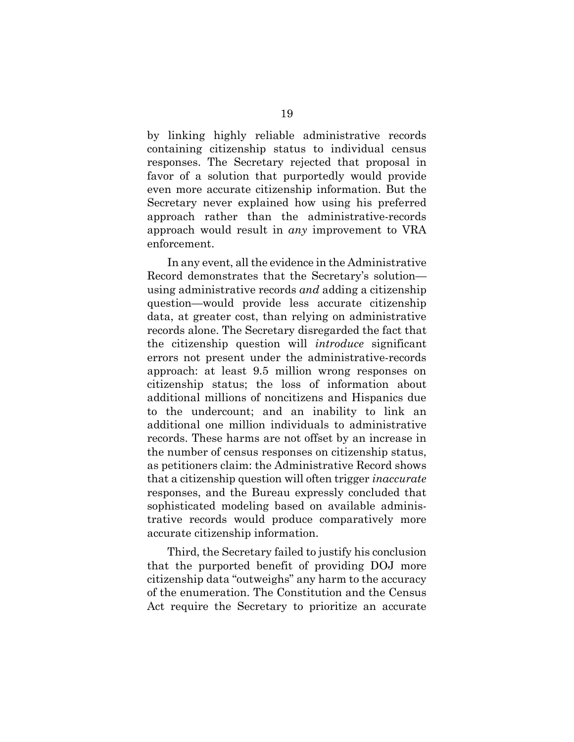by linking highly reliable administrative records containing citizenship status to individual census responses. The Secretary rejected that proposal in favor of a solution that purportedly would provide even more accurate citizenship information. But the Secretary never explained how using his preferred approach rather than the administrative-records approach would result in *any* improvement to VRA enforcement.

In any event, all the evidence in the Administrative Record demonstrates that the Secretary's solution using administrative records *and* adding a citizenship question—would provide less accurate citizenship data, at greater cost, than relying on administrative records alone. The Secretary disregarded the fact that the citizenship question will *introduce* significant errors not present under the administrative-records approach: at least 9.5 million wrong responses on citizenship status; the loss of information about additional millions of noncitizens and Hispanics due to the undercount; and an inability to link an additional one million individuals to administrative records. These harms are not offset by an increase in the number of census responses on citizenship status, as petitioners claim: the Administrative Record shows that a citizenship question will often trigger *inaccurate*  responses, and the Bureau expressly concluded that sophisticated modeling based on available administrative records would produce comparatively more accurate citizenship information.

Third, the Secretary failed to justify his conclusion that the purported benefit of providing DOJ more citizenship data "outweighs" any harm to the accuracy of the enumeration. The Constitution and the Census Act require the Secretary to prioritize an accurate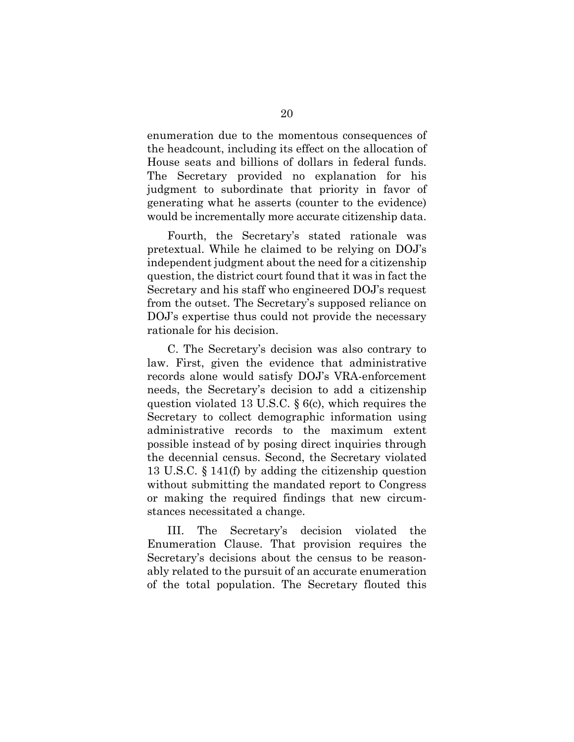enumeration due to the momentous consequences of the headcount, including its effect on the allocation of House seats and billions of dollars in federal funds. The Secretary provided no explanation for his judgment to subordinate that priority in favor of generating what he asserts (counter to the evidence) would be incrementally more accurate citizenship data.

Fourth, the Secretary's stated rationale was pretextual. While he claimed to be relying on DOJ's independent judgment about the need for a citizenship question, the district court found that it was in fact the Secretary and his staff who engineered DOJ's request from the outset. The Secretary's supposed reliance on DOJ's expertise thus could not provide the necessary rationale for his decision.

C. The Secretary's decision was also contrary to law. First, given the evidence that administrative records alone would satisfy DOJ's VRA-enforcement needs, the Secretary's decision to add a citizenship question violated 13 U.S.C. § 6(c), which requires the Secretary to collect demographic information using administrative records to the maximum extent possible instead of by posing direct inquiries through the decennial census. Second, the Secretary violated 13 U.S.C. § 141(f) by adding the citizenship question without submitting the mandated report to Congress or making the required findings that new circumstances necessitated a change.

III. The Secretary's decision violated the Enumeration Clause. That provision requires the Secretary's decisions about the census to be reasonably related to the pursuit of an accurate enumeration of the total population. The Secretary flouted this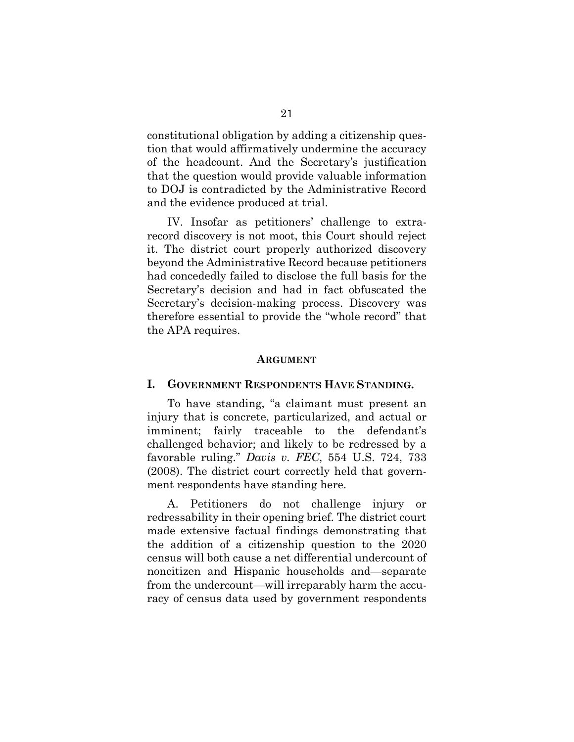constitutional obligation by adding a citizenship question that would affirmatively undermine the accuracy of the headcount. And the Secretary's justification that the question would provide valuable information to DOJ is contradicted by the Administrative Record and the evidence produced at trial.

IV. Insofar as petitioners' challenge to extrarecord discovery is not moot, this Court should reject it. The district court properly authorized discovery beyond the Administrative Record because petitioners had concededly failed to disclose the full basis for the Secretary's decision and had in fact obfuscated the Secretary's decision-making process. Discovery was therefore essential to provide the "whole record" that the APA requires.

#### **ARGUMENT**

#### <span id="page-30-1"></span><span id="page-30-0"></span>**I. GOVERNMENT RESPONDENTS HAVE STANDING.**

To have standing, "a claimant must present an injury that is concrete, particularized, and actual or imminent; fairly traceable to the defendant's challenged behavior; and likely to be redressed by a favorable ruling." *Davis v. FEC*, 554 U.S. 724, 733 (2008). The district court correctly held that government respondents have standing here.

A. Petitioners do not challenge injury or redressability in their opening brief. The district court made extensive factual findings demonstrating that the addition of a citizenship question to the 2020 census will both cause a net differential undercount of noncitizen and Hispanic households and—separate from the undercount—will irreparably harm the accuracy of census data used by government respondents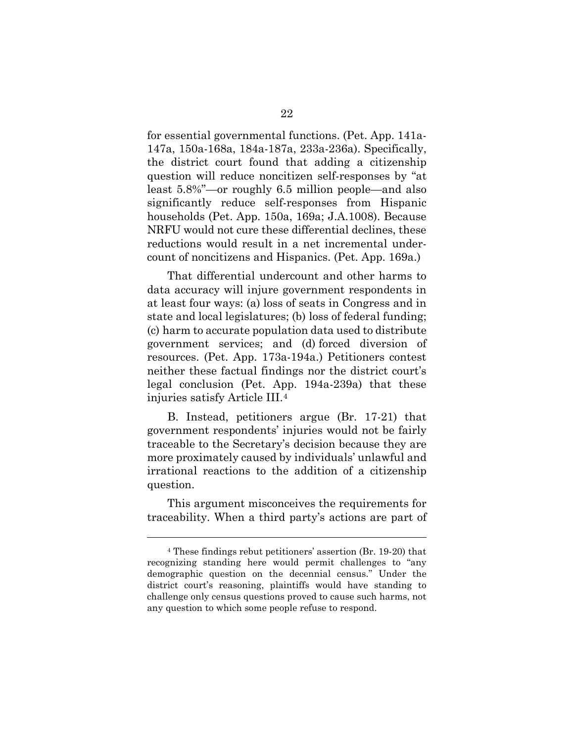for essential governmental functions. (Pet. App. 141a-147a, 150a-168a, 184a-187a, 233a-236a). Specifically, the district court found that adding a citizenship question will reduce noncitizen self-responses by "at least 5.8%"—or roughly 6.5 million people—and also significantly reduce self-responses from Hispanic households (Pet. App. 150a, 169a; J.A.1008). Because NRFU would not cure these differential declines, these reductions would result in a net incremental undercount of noncitizens and Hispanics. (Pet. App. 169a.)

That differential undercount and other harms to data accuracy will injure government respondents in at least four ways: (a) loss of seats in Congress and in state and local legislatures; (b) loss of federal funding; (c) harm to accurate population data used to distribute government services; and (d) forced diversion of resources. (Pet. App. 173a-194a.) Petitioners contest neither these factual findings nor the district court's legal conclusion (Pet. App. 194a-239a) that these injuries satisfy Article III[.4](#page-31-0) 

B. Instead, petitioners argue (Br. 17-21) that government respondents' injuries would not be fairly traceable to the Secretary's decision because they are more proximately caused by individuals' unlawful and irrational reactions to the addition of a citizenship question.

This argument misconceives the requirements for traceability. When a third party's actions are part of

l

<span id="page-31-0"></span><sup>4</sup> These findings rebut petitioners' assertion (Br. 19-20) that recognizing standing here would permit challenges to "any demographic question on the decennial census." Under the district court's reasoning, plaintiffs would have standing to challenge only census questions proved to cause such harms, not any question to which some people refuse to respond.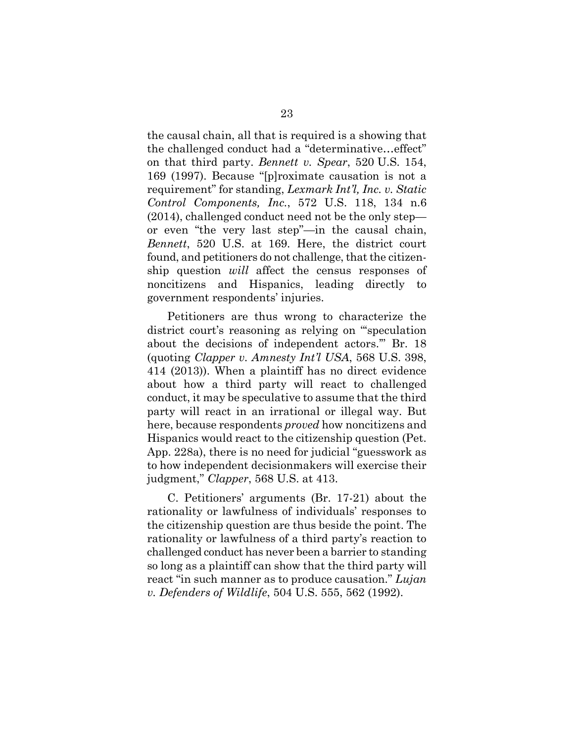the causal chain, all that is required is a showing that the challenged conduct had a "determinative…effect" on that third party. *Bennett v. Spear*, 520 U.S. 154, 169 (1997). Because "[p]roximate causation is not a requirement" for standing, *Lexmark Int'l, Inc. v. Static Control Components, Inc.*, 572 U.S. 118, 134 n.6 (2014), challenged conduct need not be the only step or even "the very last step"—in the causal chain, *Bennett*, 520 U.S. at 169. Here, the district court found, and petitioners do not challenge, that the citizenship question *will* affect the census responses of noncitizens and Hispanics, leading directly to government respondents' injuries.

Petitioners are thus wrong to characterize the district court's reasoning as relying on "'speculation about the decisions of independent actors.'" Br. 18 (quoting *Clapper v. Amnesty Int'l USA*, 568 U.S. 398, 414 (2013)). When a plaintiff has no direct evidence about how a third party will react to challenged conduct, it may be speculative to assume that the third party will react in an irrational or illegal way. But here, because respondents *proved* how noncitizens and Hispanics would react to the citizenship question (Pet. App. 228a), there is no need for judicial "guesswork as to how independent decisionmakers will exercise their judgment," *Clapper*, 568 U.S. at 413.

C. Petitioners' arguments (Br. 17-21) about the rationality or lawfulness of individuals' responses to the citizenship question are thus beside the point. The rationality or lawfulness of a third party's reaction to challenged conduct has never been a barrier to standing so long as a plaintiff can show that the third party will react "in such manner as to produce causation." *Lujan v. Defenders of Wildlife*, 504 U.S. 555, 562 (1992).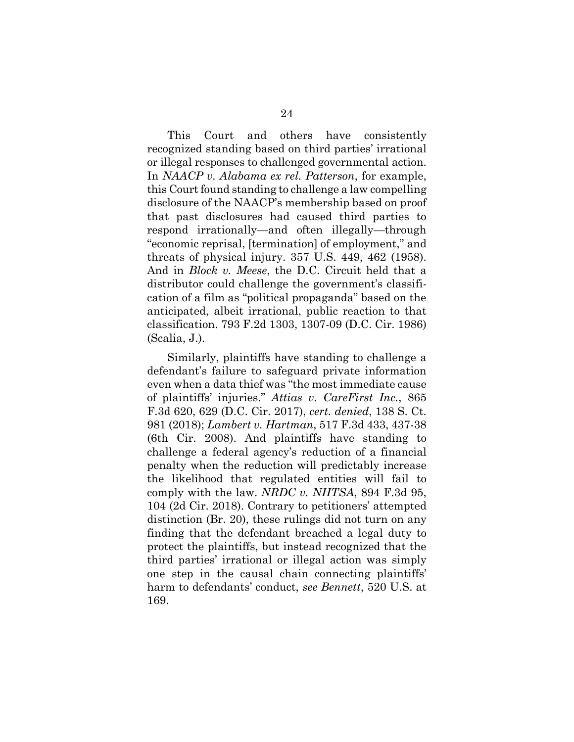This Court and others have consistently recognized standing based on third parties' irrational or illegal responses to challenged governmental action. In *NAACP v. Alabama ex rel. Patterson*, for example, this Court found standing to challenge a law compelling disclosure of the NAACP's membership based on proof that past disclosures had caused third parties to respond irrationally—and often illegally—through "economic reprisal, [termination] of employment," and threats of physical injury. 357 U.S. 449, 462 (1958). And in *Block v. Meese*, the D.C. Circuit held that a distributor could challenge the government's classification of a film as "political propaganda" based on the anticipated, albeit irrational, public reaction to that classification. 793 F.2d 1303, 1307-09 (D.C. Cir. 1986) (Scalia, J.).

Similarly, plaintiffs have standing to challenge a defendant's failure to safeguard private information even when a data thief was "the most immediate cause of plaintiffs' injuries." *Attias v. CareFirst Inc.*, 865 F.3d 620, 629 (D.C. Cir. 2017), *cert. denied*, 138 S. Ct. 981 (2018); *Lambert v. Hartman*, 517 F.3d 433, 437-38 (6th Cir. 2008). And plaintiffs have standing to challenge a federal agency's reduction of a financial penalty when the reduction will predictably increase the likelihood that regulated entities will fail to comply with the law. *NRDC v. NHTSA*, 894 F.3d 95, 104 (2d Cir. 2018). Contrary to petitioners' attempted distinction (Br. 20), these rulings did not turn on any finding that the defendant breached a legal duty to protect the plaintiffs, but instead recognized that the third parties' irrational or illegal action was simply one step in the causal chain connecting plaintiffs' harm to defendants' conduct, *see Bennett*, 520 U.S. at 169.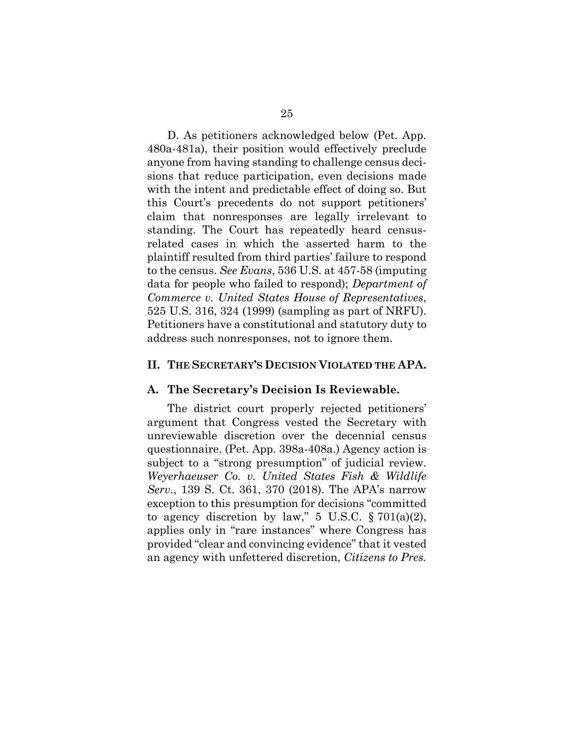D. As petitioners acknowledged below (Pet. App. 480a-481a), their position would effectively preclude anyone from having standing to challenge census decisions that reduce participation, even decisions made with the intent and predictable effect of doing so. But this Court's precedents do not support petitioners' claim that nonresponses are legally irrelevant to standing. The Court has repeatedly heard censusrelated cases in which the asserted harm to the plaintiff resulted from third parties' failure to respond to the census. *See Evans*, 536 U.S. at 457-58 (imputing data for people who failed to respond); *Department of Commerce v. United States House of Representatives*, 525 U.S. 316, 324 (1999) (sampling as part of NRFU). Petitioners have a constitutional and statutory duty to address such nonresponses, not to ignore them.

### <span id="page-34-0"></span>**II. THE SECRETARY'S DECISION VIOLATED THE APA.**

#### <span id="page-34-1"></span>**A. The Secretary's Decision Is Reviewable.**

The district court properly rejected petitioners' argument that Congress vested the Secretary with unreviewable discretion over the decennial census questionnaire. (Pet. App. 398a-408a.) Agency action is subject to a "strong presumption" of judicial review. *Weyerhaeuser Co. v. United States Fish & Wildlife Serv.*, 139 S. Ct. 361, 370 (2018). The APA's narrow exception to this presumption for decisions "committed to agency discretion by law," 5 U.S.C.  $\S 701(a)(2)$ , applies only in "rare instances" where Congress has provided "clear and convincing evidence" that it vested an agency with unfettered discretion, *Citizens to Pres.*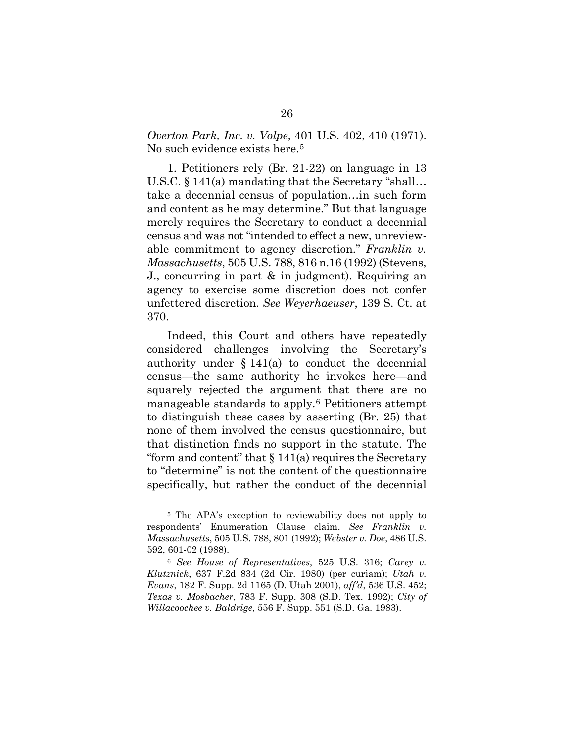*Overton Park, Inc. v. Volpe*, 401 U.S. 402, 410 (1971). No such evidence exists here.<sup>[5](#page-35-0)</sup>

1. Petitioners rely (Br. 21-22) on language in 13 U.S.C. § 141(a) mandating that the Secretary "shall… take a decennial census of population…in such form and content as he may determine." But that language merely requires the Secretary to conduct a decennial census and was not "intended to effect a new, unreviewable commitment to agency discretion." *Franklin v. Massachusetts*, 505 U.S. 788, 816 n.16 (1992) (Stevens, J., concurring in part & in judgment). Requiring an agency to exercise some discretion does not confer unfettered discretion. *See Weyerhaeuser*, 139 S. Ct. at 370.

Indeed, this Court and others have repeatedly considered challenges involving the Secretary's authority under § 141(a) to conduct the decennial census—the same authority he invokes here—and squarely rejected the argument that there are no manageable standards to apply.[6](#page-35-1) Petitioners attempt to distinguish these cases by asserting (Br. 25) that none of them involved the census questionnaire, but that distinction finds no support in the statute. The "form and content" that  $\S 141(a)$  requires the Secretary to "determine" is not the content of the questionnaire specifically, but rather the conduct of the decennial

 $\overline{a}$ 

<span id="page-35-0"></span><sup>5</sup> The APA's exception to reviewability does not apply to respondents' Enumeration Clause claim. *See Franklin v. Massachusetts*, 505 U.S. 788, 801 (1992); *Webster v. Doe*, 486 U.S. 592, 601-02 (1988).

<span id="page-35-1"></span><sup>6</sup> *See House of Representatives*, 525 U.S. 316; *Carey v. Klutznick*, 637 F.2d 834 (2d Cir. 1980) (per curiam); *Utah v. Evans*, 182 F. Supp. 2d 1165 (D. Utah 2001), *aff'd*, 536 U.S. 452; *Texas v. Mosbacher*, 783 F. Supp. 308 (S.D. Tex. 1992); *City of Willacoochee v. Baldrige*, 556 F. Supp. 551 (S.D. Ga. 1983).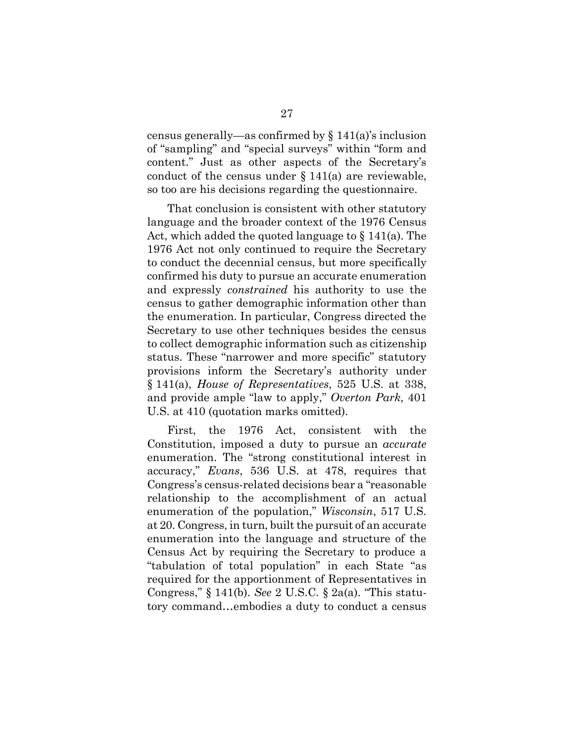census generally—as confirmed by § 141(a)'s inclusion of "sampling" and "special surveys" within "form and content." Just as other aspects of the Secretary's conduct of the census under  $\S 141(a)$  are reviewable, so too are his decisions regarding the questionnaire.

That conclusion is consistent with other statutory language and the broader context of the 1976 Census Act, which added the quoted language to § 141(a). The 1976 Act not only continued to require the Secretary to conduct the decennial census, but more specifically confirmed his duty to pursue an accurate enumeration and expressly *constrained* his authority to use the census to gather demographic information other than the enumeration. In particular, Congress directed the Secretary to use other techniques besides the census to collect demographic information such as citizenship status. These "narrower and more specific" statutory provisions inform the Secretary's authority under § 141(a), *House of Representatives*, 525 U.S. at 338, and provide ample "law to apply," *Overton Park,* 401 U.S. at 410 (quotation marks omitted).

First, the 1976 Act, consistent with the Constitution, imposed a duty to pursue an *accurate* enumeration. The "strong constitutional interest in accuracy," *Evans*, 536 U.S. at 478, requires that Congress's census-related decisions bear a "reasonable relationship to the accomplishment of an actual enumeration of the population," *Wisconsin*, 517 U.S. at 20. Congress, in turn, built the pursuit of an accurate enumeration into the language and structure of the Census Act by requiring the Secretary to produce a "tabulation of total population" in each State "as required for the apportionment of Representatives in Congress," § 141(b). *See* 2 U.S.C. § 2a(a). "This statutory command…embodies a duty to conduct a census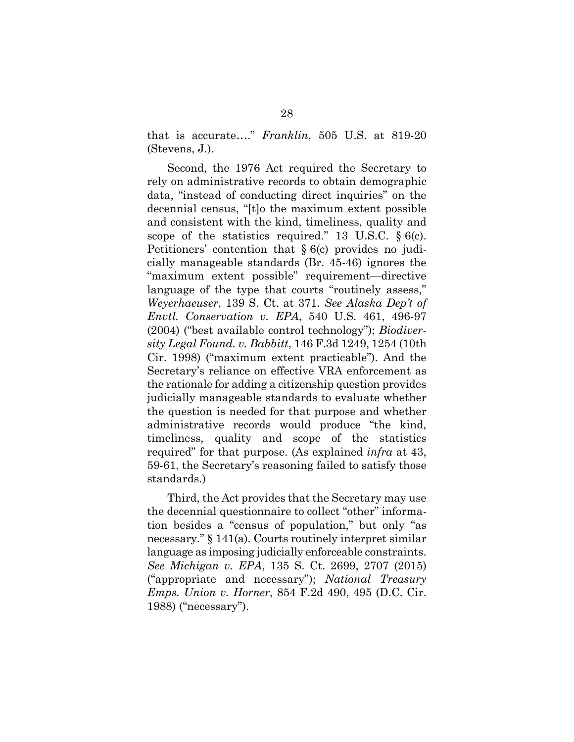that is accurate…." *Franklin*, 505 U.S. at 819-20 (Stevens, J.).

Second, the 1976 Act required the Secretary to rely on administrative records to obtain demographic data, "instead of conducting direct inquiries" on the decennial census, "[t]o the maximum extent possible and consistent with the kind, timeliness, quality and scope of the statistics required." 13 U.S.C.  $\S$  6(c). Petitioners' contention that § 6(c) provides no judicially manageable standards (Br. 45-46) ignores the "maximum extent possible" requirement—directive language of the type that courts "routinely assess," *Weyerhaeuser*, 139 S. Ct. at 371. *See Alaska Dep't of Envtl. Conservation v. EPA*, 540 U.S. 461, 496-97 (2004) ("best available control technology"); *Biodiversity Legal Found. v. Babbitt*, 146 F.3d 1249, 1254 (10th Cir. 1998) ("maximum extent practicable"). And the Secretary's reliance on effective VRA enforcement as the rationale for adding a citizenship question provides judicially manageable standards to evaluate whether the question is needed for that purpose and whether administrative records would produce "the kind, timeliness, quality and scope of the statistics required" for that purpose. (As explained *infra* at 43, 59-61, the Secretary's reasoning failed to satisfy those standards.)

Third, the Act provides that the Secretary may use the decennial questionnaire to collect "other" information besides a "census of population," but only "as necessary." § 141(a). Courts routinely interpret similar language as imposing judicially enforceable constraints. *See Michigan v. EPA*, 135 S. Ct. 2699, 2707 (2015) ("appropriate and necessary"); *National Treasury Emps. Union v. Horner*, 854 F.2d 490, 495 (D.C. Cir. 1988) ("necessary").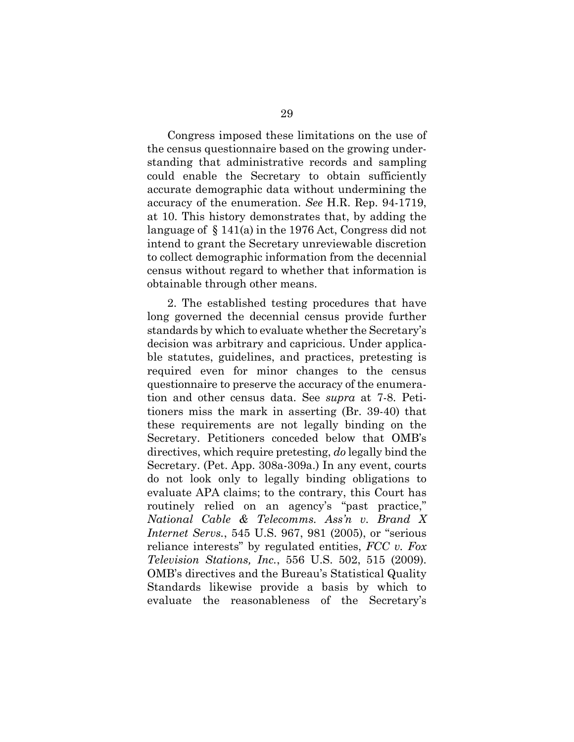Congress imposed these limitations on the use of the census questionnaire based on the growing understanding that administrative records and sampling could enable the Secretary to obtain sufficiently accurate demographic data without undermining the accuracy of the enumeration. *See* H.R. Rep. 94-1719, at 10. This history demonstrates that, by adding the language of § 141(a) in the 1976 Act, Congress did not intend to grant the Secretary unreviewable discretion to collect demographic information from the decennial census without regard to whether that information is obtainable through other means.

2. The established testing procedures that have long governed the decennial census provide further standards by which to evaluate whether the Secretary's decision was arbitrary and capricious. Under applicable statutes, guidelines, and practices, pretesting is required even for minor changes to the census questionnaire to preserve the accuracy of the enumeration and other census data. See *supra* at 7-8. Petitioners miss the mark in asserting (Br. 39-40) that these requirements are not legally binding on the Secretary. Petitioners conceded below that OMB's directives, which require pretesting, *do* legally bind the Secretary. (Pet. App. 308a-309a.) In any event, courts do not look only to legally binding obligations to evaluate APA claims; to the contrary, this Court has routinely relied on an agency's "past practice," *National Cable & Telecomms. Ass'n v. Brand X Internet Servs.*, 545 U.S. 967, 981 (2005), or "serious reliance interests" by regulated entities, *FCC v. Fox Television Stations, Inc.*, 556 U.S. 502, 515 (2009). OMB's directives and the Bureau's Statistical Quality Standards likewise provide a basis by which to evaluate the reasonableness of the Secretary's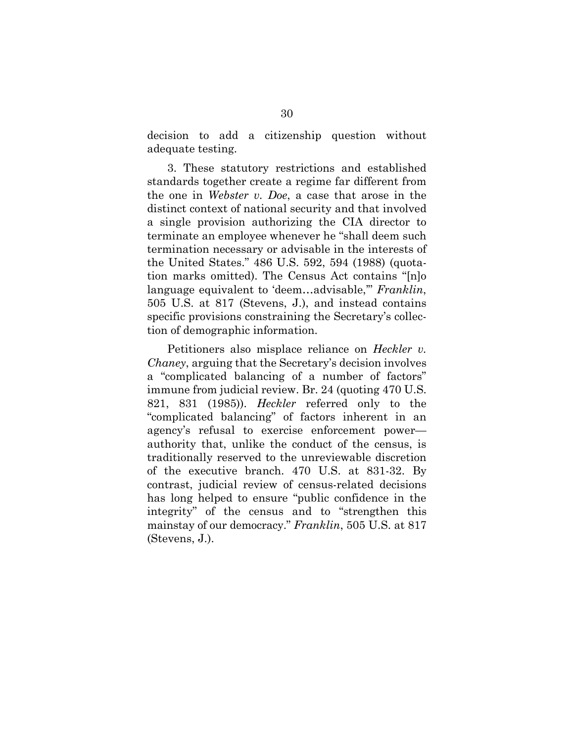decision to add a citizenship question without adequate testing.

3. These statutory restrictions and established standards together create a regime far different from the one in *Webster v. Doe*, a case that arose in the distinct context of national security and that involved a single provision authorizing the CIA director to terminate an employee whenever he "shall deem such termination necessary or advisable in the interests of the United States." 486 U.S. 592, 594 (1988) (quotation marks omitted). The Census Act contains "[n]o language equivalent to 'deem…advisable,'" *Franklin*, 505 U.S. at 817 (Stevens, J.), and instead contains specific provisions constraining the Secretary's collection of demographic information.

Petitioners also misplace reliance on *Heckler v. Chaney*, arguing that the Secretary's decision involves a "complicated balancing of a number of factors" immune from judicial review. Br. 24 (quoting 470 U.S. 821, 831 (1985)). *Heckler* referred only to the "complicated balancing" of factors inherent in an agency's refusal to exercise enforcement power authority that, unlike the conduct of the census, is traditionally reserved to the unreviewable discretion of the executive branch. 470 U.S. at 831-32. By contrast, judicial review of census-related decisions has long helped to ensure "public confidence in the integrity" of the census and to "strengthen this mainstay of our democracy." *Franklin*, 505 U.S. at 817 (Stevens, J.).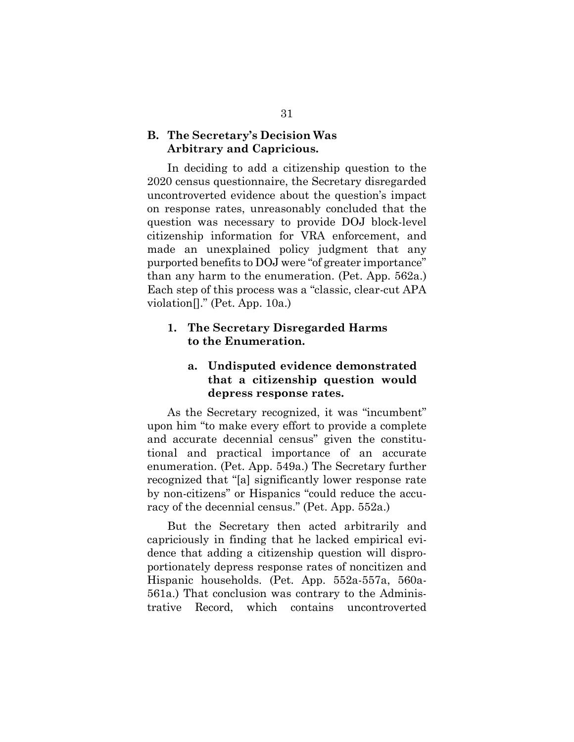## **B. The Secretary's Decision Was Arbitrary and Capricious.**

In deciding to add a citizenship question to the 2020 census questionnaire, the Secretary disregarded uncontroverted evidence about the question's impact on response rates, unreasonably concluded that the question was necessary to provide DOJ block-level citizenship information for VRA enforcement, and made an unexplained policy judgment that any purported benefits to DOJ were "of greater importance" than any harm to the enumeration. (Pet. App. 562a.) Each step of this process was a "classic, clear-cut APA violation[]." (Pet. App. 10a.)

## **1. The Secretary Disregarded Harms to the Enumeration.**

## **a. Undisputed evidence demonstrated that a citizenship question would depress response rates.**

As the Secretary recognized, it was "incumbent" upon him "to make every effort to provide a complete and accurate decennial census" given the constitutional and practical importance of an accurate enumeration. (Pet. App. 549a.) The Secretary further recognized that "[a] significantly lower response rate by non-citizens" or Hispanics "could reduce the accuracy of the decennial census." (Pet. App. 552a.)

But the Secretary then acted arbitrarily and capriciously in finding that he lacked empirical evidence that adding a citizenship question will disproportionately depress response rates of noncitizen and Hispanic households. (Pet. App. 552a-557a, 560a-561a.) That conclusion was contrary to the Administrative Record, which contains uncontroverted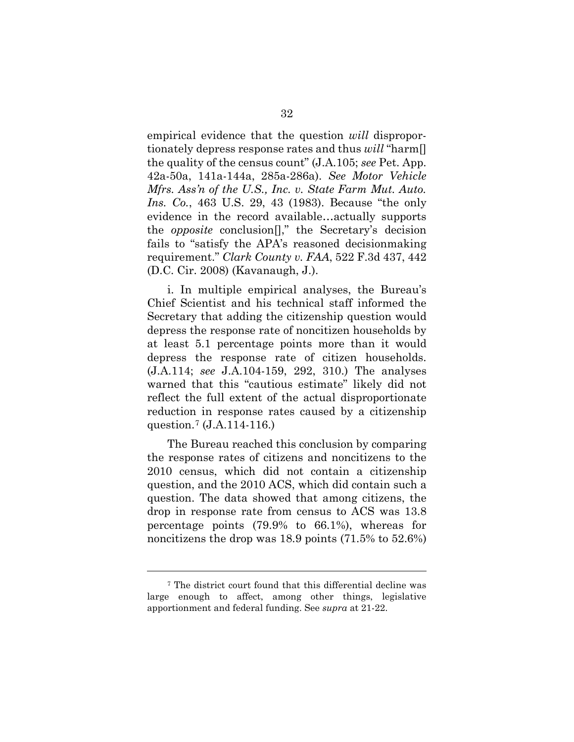empirical evidence that the question *will* disproportionately depress response rates and thus *will* "harm[] the quality of the census count" (J.A.105; *see* Pet. App. 42a-50a, 141a-144a, 285a-286a). *See Motor Vehicle Mfrs. Ass'n of the U.S., Inc. v. State Farm Mut. Auto. Ins. Co.*, 463 U.S. 29, 43 (1983). Because "the only evidence in the record available…actually supports the *opposite* conclusion[]," the Secretary's decision fails to "satisfy the APA's reasoned decisionmaking requirement." *Clark County v. FAA*, 522 F.3d 437, 442 (D.C. Cir. 2008) (Kavanaugh, J.).

i. In multiple empirical analyses, the Bureau's Chief Scientist and his technical staff informed the Secretary that adding the citizenship question would depress the response rate of noncitizen households by at least 5.1 percentage points more than it would depress the response rate of citizen households. (J.A.114; *see* J.A.104-159, 292, 310.) The analyses warned that this "cautious estimate" likely did not reflect the full extent of the actual disproportionate reduction in response rates caused by a citizenship question.[7](#page-41-0) (J.A.114-116.)

The Bureau reached this conclusion by comparing the response rates of citizens and noncitizens to the 2010 census, which did not contain a citizenship question, and the 2010 ACS, which did contain such a question. The data showed that among citizens, the drop in response rate from census to ACS was 13.8 percentage points (79.9% to 66.1%), whereas for noncitizens the drop was 18.9 points (71.5% to 52.6%)

l

<span id="page-41-0"></span><sup>7</sup> The district court found that this differential decline was large enough to affect, among other things, legislative apportionment and federal funding. See *supra* at 21-22.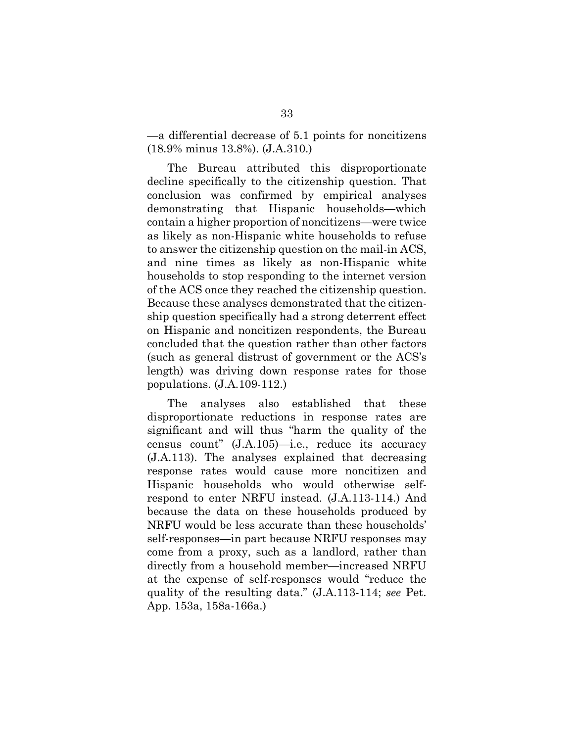—a differential decrease of 5.1 points for noncitizens (18.9% minus 13.8%). (J.A.310.)

The Bureau attributed this disproportionate decline specifically to the citizenship question. That conclusion was confirmed by empirical analyses demonstrating that Hispanic households—which contain a higher proportion of noncitizens—were twice as likely as non-Hispanic white households to refuse to answer the citizenship question on the mail-in ACS, and nine times as likely as non-Hispanic white households to stop responding to the internet version of the ACS once they reached the citizenship question. Because these analyses demonstrated that the citizenship question specifically had a strong deterrent effect on Hispanic and noncitizen respondents, the Bureau concluded that the question rather than other factors (such as general distrust of government or the ACS's length) was driving down response rates for those populations. (J.A.109-112.)

The analyses also established that these disproportionate reductions in response rates are significant and will thus "harm the quality of the census count" (J.A.105)—i.e., reduce its accuracy (J.A.113). The analyses explained that decreasing response rates would cause more noncitizen and Hispanic households who would otherwise selfrespond to enter NRFU instead. (J.A.113-114.) And because the data on these households produced by NRFU would be less accurate than these households' self-responses—in part because NRFU responses may come from a proxy, such as a landlord, rather than directly from a household member—increased NRFU at the expense of self-responses would "reduce the quality of the resulting data." (J.A.113-114; *see* Pet. App. 153a, 158a-166a.)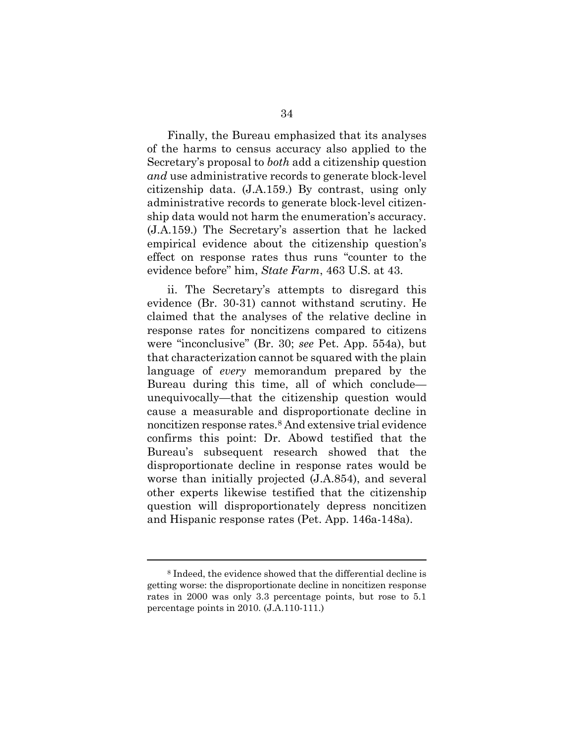Finally, the Bureau emphasized that its analyses of the harms to census accuracy also applied to the Secretary's proposal to *both* add a citizenship question *and* use administrative records to generate block-level citizenship data. (J.A.159.) By contrast, using only administrative records to generate block-level citizenship data would not harm the enumeration's accuracy. (J.A.159.) The Secretary's assertion that he lacked empirical evidence about the citizenship question's effect on response rates thus runs "counter to the evidence before" him, *State Farm*, 463 U.S. at 43.

ii. The Secretary's attempts to disregard this evidence (Br. 30-31) cannot withstand scrutiny. He claimed that the analyses of the relative decline in response rates for noncitizens compared to citizens were "inconclusive" (Br. 30; *see* Pet. App. 554a), but that characterization cannot be squared with the plain language of *every* memorandum prepared by the Bureau during this time, all of which conclude unequivocally—that the citizenship question would cause a measurable and disproportionate decline in noncitizen response rates[.8](#page-43-0) And extensive trial evidence confirms this point: Dr. Abowd testified that the Bureau's subsequent research showed that the disproportionate decline in response rates would be worse than initially projected (J.A.854), and several other experts likewise testified that the citizenship question will disproportionately depress noncitizen and Hispanic response rates (Pet. App. 146a-148a).

l

<span id="page-43-0"></span><sup>8</sup> Indeed, the evidence showed that the differential decline is getting worse: the disproportionate decline in noncitizen response rates in 2000 was only 3.3 percentage points, but rose to 5.1 percentage points in 2010. (J.A.110-111.)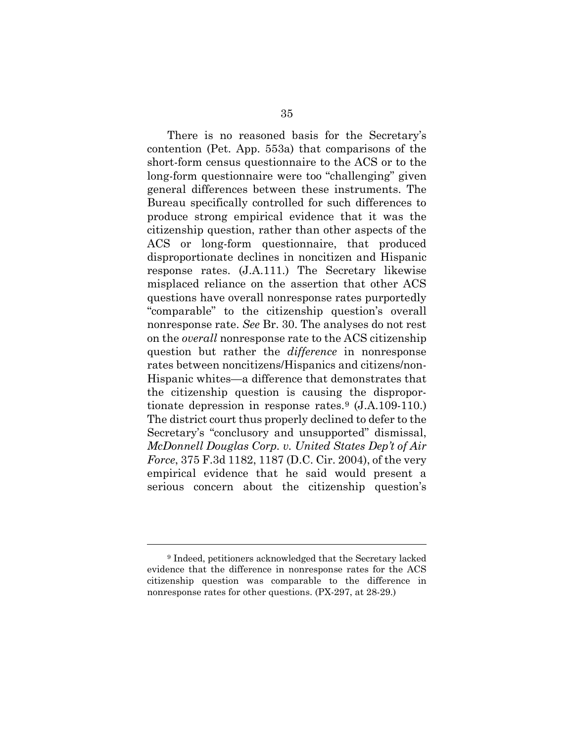There is no reasoned basis for the Secretary's contention (Pet. App. 553a) that comparisons of the short-form census questionnaire to the ACS or to the long-form questionnaire were too "challenging" given general differences between these instruments. The Bureau specifically controlled for such differences to produce strong empirical evidence that it was the citizenship question, rather than other aspects of the ACS or long-form questionnaire, that produced disproportionate declines in noncitizen and Hispanic response rates. (J.A.111.) The Secretary likewise misplaced reliance on the assertion that other ACS questions have overall nonresponse rates purportedly "comparable" to the citizenship question's overall nonresponse rate. *See* Br. 30. The analyses do not rest on the *overall* nonresponse rate to the ACS citizenship question but rather the *difference* in nonresponse rates between noncitizens/Hispanics and citizens/non-Hispanic whites—a difference that demonstrates that the citizenship question is causing the dispropor-tionate depression in response rates.<sup>[9](#page-44-0)</sup>  $(J.A.109-110.)$ The district court thus properly declined to defer to the Secretary's "conclusory and unsupported" dismissal, *McDonnell Douglas Corp. v. United States Dep't of Air Force*, 375 F.3d 1182, 1187 (D.C. Cir. 2004), of the very empirical evidence that he said would present a serious concern about the citizenship question's

l

<span id="page-44-0"></span><sup>9</sup> Indeed, petitioners acknowledged that the Secretary lacked evidence that the difference in nonresponse rates for the ACS citizenship question was comparable to the difference in nonresponse rates for other questions. (PX-297, at 28-29.)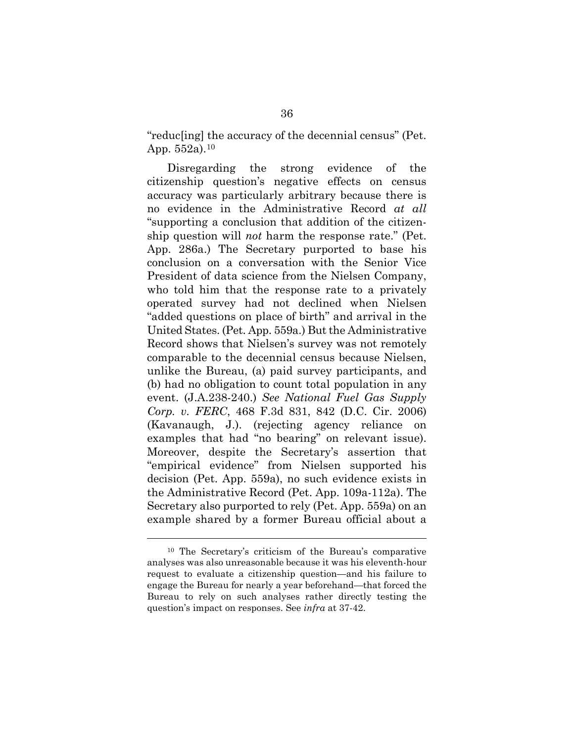"reduc[ing] the accuracy of the decennial census" (Pet. App. 552a).[10](#page-45-0)

Disregarding the strong evidence of the citizenship question's negative effects on census accuracy was particularly arbitrary because there is no evidence in the Administrative Record *at all* "supporting a conclusion that addition of the citizenship question will *not* harm the response rate." (Pet. App. 286a.) The Secretary purported to base his conclusion on a conversation with the Senior Vice President of data science from the Nielsen Company, who told him that the response rate to a privately operated survey had not declined when Nielsen "added questions on place of birth" and arrival in the United States. (Pet. App. 559a.) But the Administrative Record shows that Nielsen's survey was not remotely comparable to the decennial census because Nielsen, unlike the Bureau, (a) paid survey participants, and (b) had no obligation to count total population in any event. (J.A.238-240.) *See National Fuel Gas Supply Corp. v. FERC*, 468 F.3d 831, 842 (D.C. Cir. 2006) (Kavanaugh, J.). (rejecting agency reliance on examples that had "no bearing" on relevant issue). Moreover, despite the Secretary's assertion that "empirical evidence" from Nielsen supported his decision (Pet. App. 559a), no such evidence exists in the Administrative Record (Pet. App. 109a-112a). The Secretary also purported to rely (Pet. App. 559a) on an example shared by a former Bureau official about a

<span id="page-45-0"></span> <sup>10</sup> The Secretary's criticism of the Bureau's comparative analyses was also unreasonable because it was his eleventh-hour request to evaluate a citizenship question—and his failure to engage the Bureau for nearly a year beforehand—that forced the Bureau to rely on such analyses rather directly testing the question's impact on responses. See *infra* at 37-42.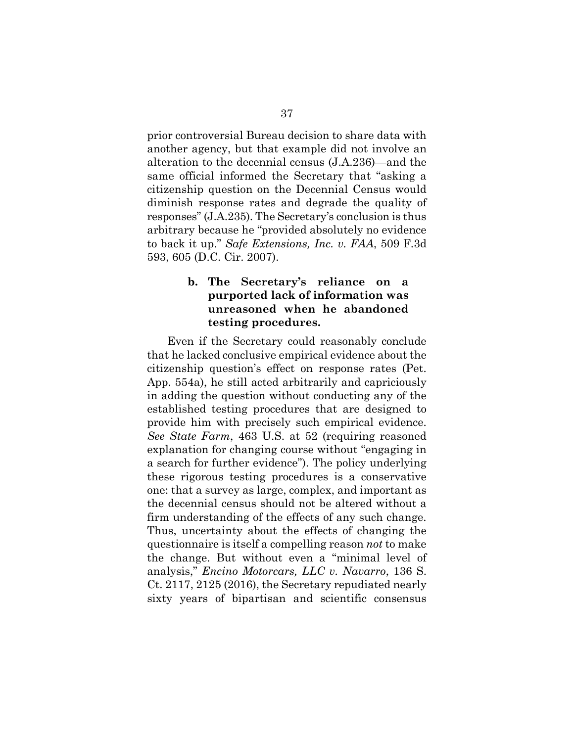prior controversial Bureau decision to share data with another agency, but that example did not involve an alteration to the decennial census (J.A.236)—and the same official informed the Secretary that "asking a citizenship question on the Decennial Census would diminish response rates and degrade the quality of responses" (J.A.235). The Secretary's conclusion is thus arbitrary because he "provided absolutely no evidence to back it up." *Safe Extensions, Inc. v. FAA*, 509 F.3d 593, 605 (D.C. Cir. 2007).

# **b. The Secretary's reliance on a purported lack of information was unreasoned when he abandoned testing procedures.**

Even if the Secretary could reasonably conclude that he lacked conclusive empirical evidence about the citizenship question's effect on response rates (Pet. App. 554a), he still acted arbitrarily and capriciously in adding the question without conducting any of the established testing procedures that are designed to provide him with precisely such empirical evidence. *See State Farm*, 463 U.S. at 52 (requiring reasoned explanation for changing course without "engaging in a search for further evidence"). The policy underlying these rigorous testing procedures is a conservative one: that a survey as large, complex, and important as the decennial census should not be altered without a firm understanding of the effects of any such change. Thus, uncertainty about the effects of changing the questionnaire is itself a compelling reason *not* to make the change. But without even a "minimal level of analysis," *Encino Motorcars, LLC v. Navarro*, 136 S. Ct. 2117, 2125 (2016), the Secretary repudiated nearly sixty years of bipartisan and scientific consensus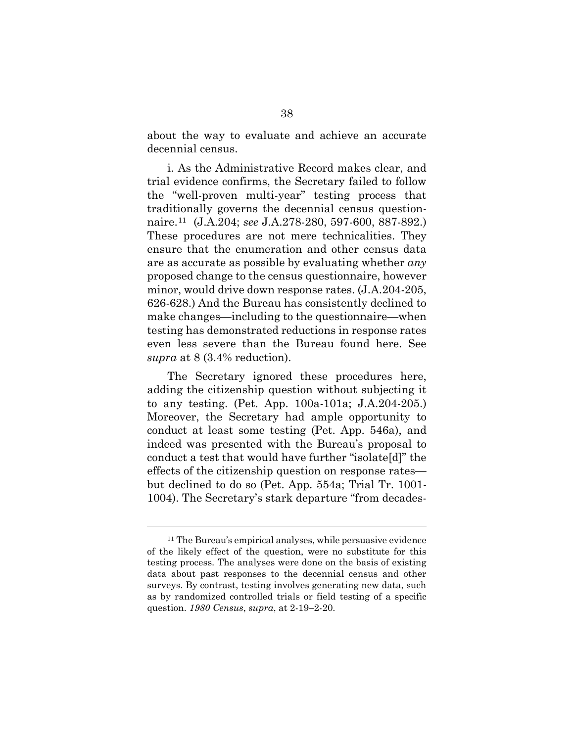about the way to evaluate and achieve an accurate decennial census.

i. As the Administrative Record makes clear, and trial evidence confirms, the Secretary failed to follow the "well-proven multi-year" testing process that traditionally governs the decennial census questionnaire.[11](#page-47-0) (J.A.204; *see* J.A.278-280, 597-600, 887-892.) These procedures are not mere technicalities. They ensure that the enumeration and other census data are as accurate as possible by evaluating whether *any* proposed change to the census questionnaire, however minor, would drive down response rates. (J.A.204-205, 626-628.) And the Bureau has consistently declined to make changes—including to the questionnaire—when testing has demonstrated reductions in response rates even less severe than the Bureau found here. See *supra* at 8 (3.4% reduction).

The Secretary ignored these procedures here, adding the citizenship question without subjecting it to any testing. (Pet. App. 100a-101a; J.A.204-205.) Moreover, the Secretary had ample opportunity to conduct at least some testing (Pet. App. 546a), and indeed was presented with the Bureau's proposal to conduct a test that would have further "isolate[d]" the effects of the citizenship question on response rates but declined to do so (Pet. App. 554a; Trial Tr. 1001- 1004). The Secretary's stark departure "from decades-

 $\overline{a}$ 

<span id="page-47-0"></span><sup>&</sup>lt;sup>11</sup> The Bureau's empirical analyses, while persuasive evidence of the likely effect of the question, were no substitute for this testing process. The analyses were done on the basis of existing data about past responses to the decennial census and other surveys. By contrast, testing involves generating new data, such as by randomized controlled trials or field testing of a specific question. *1980 Census*, *supra*, at 2-19–2-20.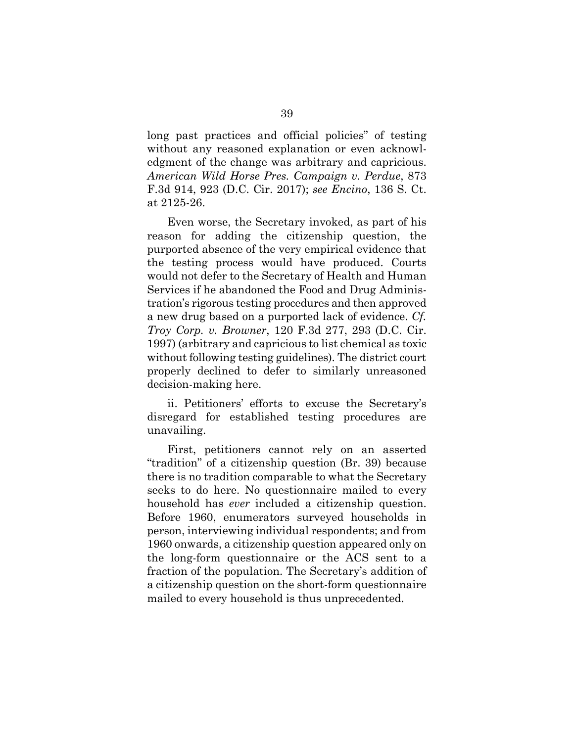long past practices and official policies" of testing without any reasoned explanation or even acknowledgment of the change was arbitrary and capricious. *American Wild Horse Pres. Campaign v. Perdue*, 873 F.3d 914, 923 (D.C. Cir. 2017); *see Encino*, 136 S. Ct. at 2125-26.

Even worse, the Secretary invoked, as part of his reason for adding the citizenship question, the purported absence of the very empirical evidence that the testing process would have produced. Courts would not defer to the Secretary of Health and Human Services if he abandoned the Food and Drug Administration's rigorous testing procedures and then approved a new drug based on a purported lack of evidence. *Cf. Troy Corp. v. Browner*, 120 F.3d 277, 293 (D.C. Cir. 1997) (arbitrary and capricious to list chemical as toxic without following testing guidelines). The district court properly declined to defer to similarly unreasoned decision-making here.

ii. Petitioners' efforts to excuse the Secretary's disregard for established testing procedures are unavailing.

First, petitioners cannot rely on an asserted "tradition" of a citizenship question (Br. 39) because there is no tradition comparable to what the Secretary seeks to do here. No questionnaire mailed to every household has *ever* included a citizenship question. Before 1960, enumerators surveyed households in person, interviewing individual respondents; and from 1960 onwards, a citizenship question appeared only on the long-form questionnaire or the ACS sent to a fraction of the population. The Secretary's addition of a citizenship question on the short-form questionnaire mailed to every household is thus unprecedented.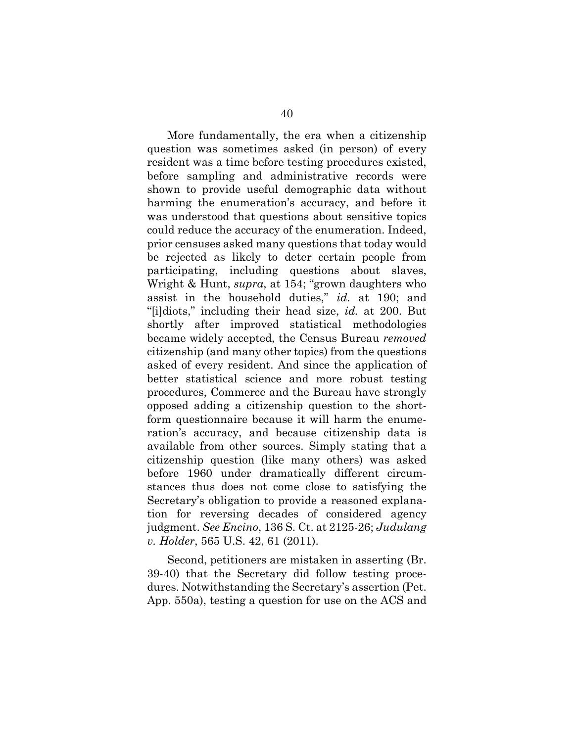More fundamentally, the era when a citizenship question was sometimes asked (in person) of every resident was a time before testing procedures existed, before sampling and administrative records were shown to provide useful demographic data without harming the enumeration's accuracy, and before it was understood that questions about sensitive topics could reduce the accuracy of the enumeration. Indeed, prior censuses asked many questions that today would be rejected as likely to deter certain people from participating, including questions about slaves, Wright & Hunt, *supra*, at 154; "grown daughters who assist in the household duties," *id.* at 190; and "[i]diots," including their head size, *id.* at 200. But shortly after improved statistical methodologies became widely accepted, the Census Bureau *removed* citizenship (and many other topics) from the questions asked of every resident. And since the application of better statistical science and more robust testing procedures, Commerce and the Bureau have strongly opposed adding a citizenship question to the shortform questionnaire because it will harm the enumeration's accuracy, and because citizenship data is available from other sources. Simply stating that a citizenship question (like many others) was asked before 1960 under dramatically different circumstances thus does not come close to satisfying the Secretary's obligation to provide a reasoned explanation for reversing decades of considered agency judgment. *See Encino*, 136 S. Ct. at 2125-26; *Judulang v. Holder*, 565 U.S. 42, 61 (2011).

Second, petitioners are mistaken in asserting (Br. 39-40) that the Secretary did follow testing procedures. Notwithstanding the Secretary's assertion (Pet. App. 550a), testing a question for use on the ACS and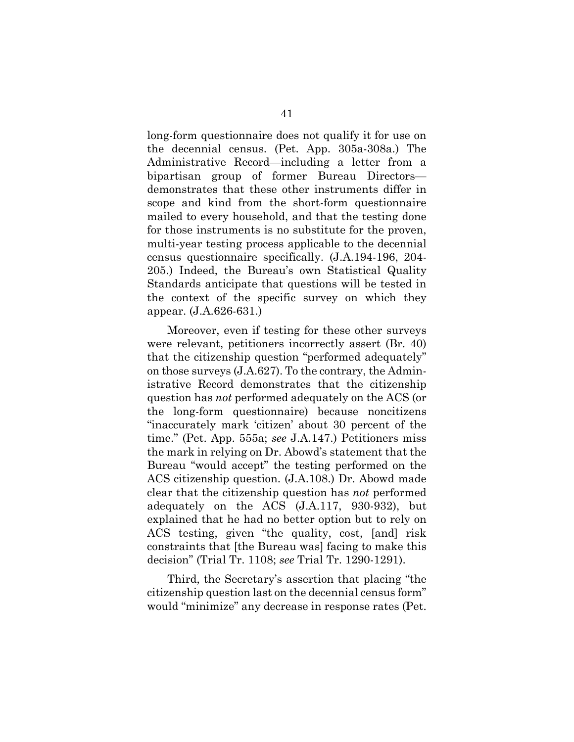long-form questionnaire does not qualify it for use on the decennial census. (Pet. App. 305a-308a.) The Administrative Record—including a letter from a bipartisan group of former Bureau Directors demonstrates that these other instruments differ in scope and kind from the short-form questionnaire mailed to every household, and that the testing done for those instruments is no substitute for the proven, multi-year testing process applicable to the decennial census questionnaire specifically. (J.A.194-196, 204- 205.) Indeed, the Bureau's own Statistical Quality Standards anticipate that questions will be tested in the context of the specific survey on which they appear. (J.A.626-631.)

Moreover, even if testing for these other surveys were relevant, petitioners incorrectly assert (Br. 40) that the citizenship question "performed adequately" on those surveys (J.A.627). To the contrary, the Administrative Record demonstrates that the citizenship question has *not* performed adequately on the ACS (or the long-form questionnaire) because noncitizens "inaccurately mark 'citizen' about 30 percent of the time." (Pet. App. 555a; *see* J.A.147.) Petitioners miss the mark in relying on Dr. Abowd's statement that the Bureau "would accept" the testing performed on the ACS citizenship question. (J.A.108.) Dr. Abowd made clear that the citizenship question has *not* performed adequately on the ACS (J.A.117, 930-932), but explained that he had no better option but to rely on ACS testing, given "the quality, cost, [and] risk constraints that [the Bureau was] facing to make this decision" (Trial Tr. 1108; *see* Trial Tr. 1290-1291).

Third, the Secretary's assertion that placing "the citizenship question last on the decennial census form" would "minimize" any decrease in response rates (Pet.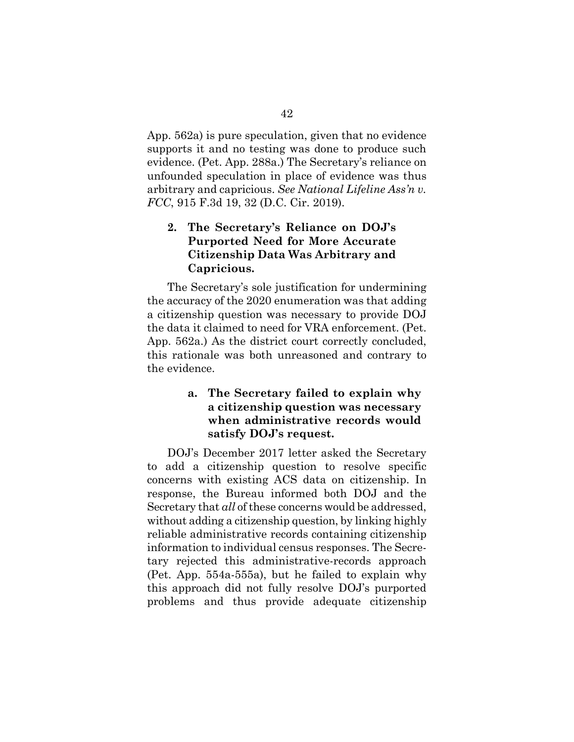App. 562a) is pure speculation, given that no evidence supports it and no testing was done to produce such evidence. (Pet. App. 288a.) The Secretary's reliance on unfounded speculation in place of evidence was thus arbitrary and capricious. *See National Lifeline Ass'n v. FCC*, 915 F.3d 19, 32 (D.C. Cir. 2019).

# **2. The Secretary's Reliance on DOJ's Purported Need for More Accurate Citizenship Data Was Arbitrary and Capricious.**

The Secretary's sole justification for undermining the accuracy of the 2020 enumeration was that adding a citizenship question was necessary to provide DOJ the data it claimed to need for VRA enforcement. (Pet. App. 562a.) As the district court correctly concluded, this rationale was both unreasoned and contrary to the evidence.

# **a. The Secretary failed to explain why a citizenship question was necessary when administrative records would satisfy DOJ's request.**

DOJ's December 2017 letter asked the Secretary to add a citizenship question to resolve specific concerns with existing ACS data on citizenship. In response, the Bureau informed both DOJ and the Secretary that *all* of these concerns would be addressed, without adding a citizenship question, by linking highly reliable administrative records containing citizenship information to individual census responses. The Secretary rejected this administrative-records approach (Pet. App. 554a-555a), but he failed to explain why this approach did not fully resolve DOJ's purported problems and thus provide adequate citizenship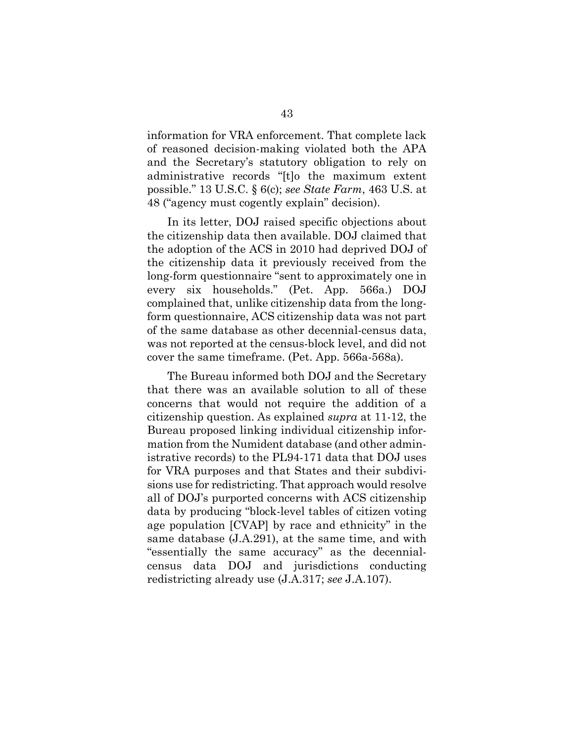information for VRA enforcement. That complete lack of reasoned decision-making violated both the APA and the Secretary's statutory obligation to rely on administrative records "[t]o the maximum extent possible." 13 U.S.C. § 6(c); *see State Farm*, 463 U.S. at 48 ("agency must cogently explain" decision).

In its letter, DOJ raised specific objections about the citizenship data then available. DOJ claimed that the adoption of the ACS in 2010 had deprived DOJ of the citizenship data it previously received from the long-form questionnaire "sent to approximately one in every six households." (Pet. App. 566a.) DOJ complained that, unlike citizenship data from the longform questionnaire, ACS citizenship data was not part of the same database as other decennial-census data, was not reported at the census-block level, and did not cover the same timeframe. (Pet. App. 566a-568a).

The Bureau informed both DOJ and the Secretary that there was an available solution to all of these concerns that would not require the addition of a citizenship question. As explained *supra* at 11-12, the Bureau proposed linking individual citizenship information from the Numident database (and other administrative records) to the PL94-171 data that DOJ uses for VRA purposes and that States and their subdivisions use for redistricting. That approach would resolve all of DOJ's purported concerns with ACS citizenship data by producing "block-level tables of citizen voting age population [CVAP] by race and ethnicity" in the same database (J.A.291), at the same time, and with "essentially the same accuracy" as the decennialcensus data DOJ and jurisdictions conducting redistricting already use (J.A.317; *see* J.A.107).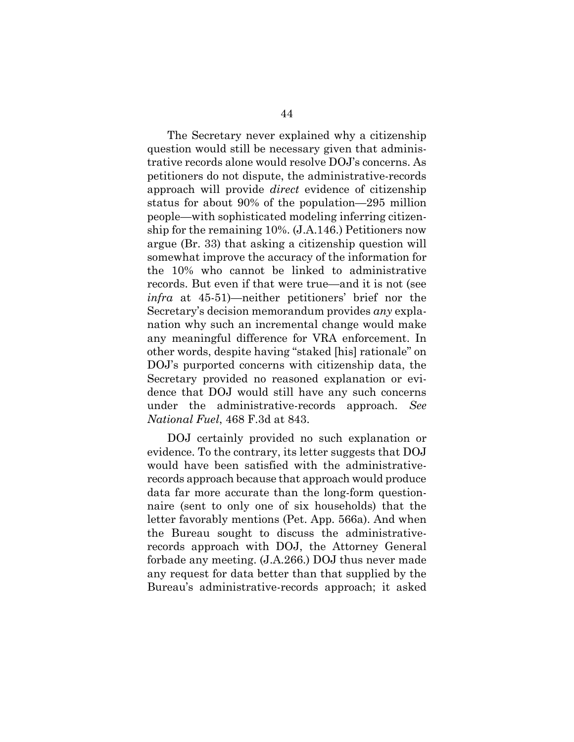The Secretary never explained why a citizenship question would still be necessary given that administrative records alone would resolve DOJ's concerns. As petitioners do not dispute, the administrative-records approach will provide *direct* evidence of citizenship status for about 90% of the population—295 million people—with sophisticated modeling inferring citizenship for the remaining 10%. (J.A.146.) Petitioners now argue (Br. 33) that asking a citizenship question will somewhat improve the accuracy of the information for the 10% who cannot be linked to administrative records. But even if that were true—and it is not (see *infra* at 45-51)—neither petitioners' brief nor the Secretary's decision memorandum provides *any* explanation why such an incremental change would make any meaningful difference for VRA enforcement. In other words, despite having "staked [his] rationale" on DOJ's purported concerns with citizenship data, the Secretary provided no reasoned explanation or evidence that DOJ would still have any such concerns under the administrative-records approach. *See National Fuel*, 468 F.3d at 843.

DOJ certainly provided no such explanation or evidence. To the contrary, its letter suggests that DOJ would have been satisfied with the administrativerecords approach because that approach would produce data far more accurate than the long-form questionnaire (sent to only one of six households) that the letter favorably mentions (Pet. App. 566a). And when the Bureau sought to discuss the administrativerecords approach with DOJ, the Attorney General forbade any meeting. (J.A.266.) DOJ thus never made any request for data better than that supplied by the Bureau's administrative-records approach; it asked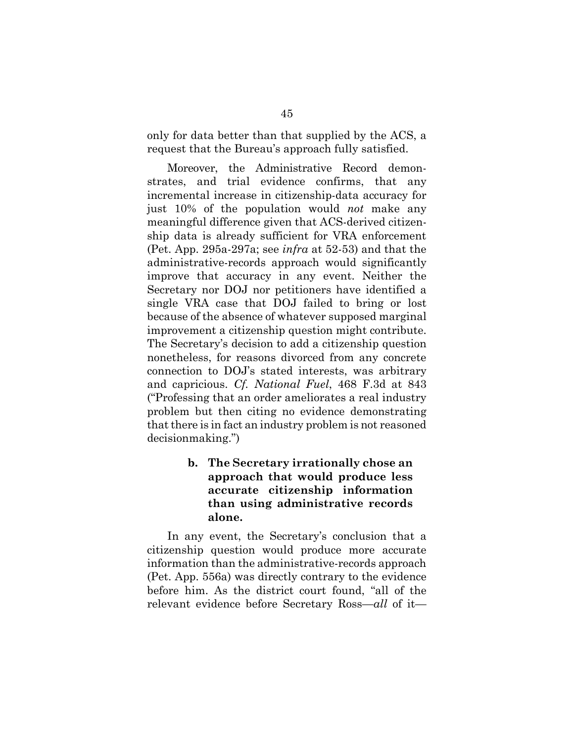only for data better than that supplied by the ACS, a request that the Bureau's approach fully satisfied.

Moreover, the Administrative Record demonstrates, and trial evidence confirms, that any incremental increase in citizenship-data accuracy for just 10% of the population would *not* make any meaningful difference given that ACS-derived citizenship data is already sufficient for VRA enforcement (Pet. App. 295a-297a; see *infra* at 52-53) and that the administrative-records approach would significantly improve that accuracy in any event. Neither the Secretary nor DOJ nor petitioners have identified a single VRA case that DOJ failed to bring or lost because of the absence of whatever supposed marginal improvement a citizenship question might contribute. The Secretary's decision to add a citizenship question nonetheless, for reasons divorced from any concrete connection to DOJ's stated interests, was arbitrary and capricious. *Cf. National Fuel*, 468 F.3d at 843 ("Professing that an order ameliorates a real industry problem but then citing no evidence demonstrating that there is in fact an industry problem is not reasoned decisionmaking.")

> **b. The Secretary irrationally chose an approach that would produce less accurate citizenship information than using administrative records alone.**

In any event, the Secretary's conclusion that a citizenship question would produce more accurate information than the administrative-records approach (Pet. App. 556a) was directly contrary to the evidence before him. As the district court found, "all of the relevant evidence before Secretary Ross—*all* of it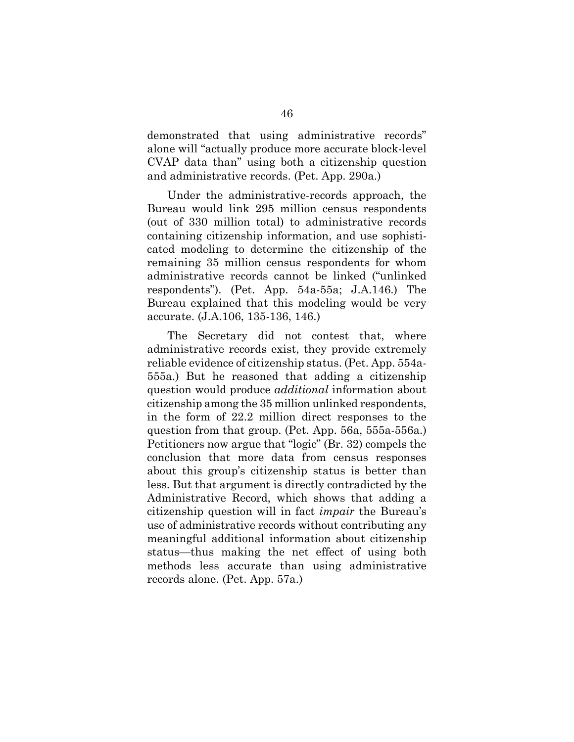demonstrated that using administrative records" alone will "actually produce more accurate block-level CVAP data than" using both a citizenship question and administrative records. (Pet. App. 290a.)

Under the administrative-records approach, the Bureau would link 295 million census respondents (out of 330 million total) to administrative records containing citizenship information, and use sophisticated modeling to determine the citizenship of the remaining 35 million census respondents for whom administrative records cannot be linked ("unlinked respondents"). (Pet. App. 54a-55a; J.A.146.) The Bureau explained that this modeling would be very accurate. (J.A.106, 135-136, 146.)

The Secretary did not contest that, where administrative records exist, they provide extremely reliable evidence of citizenship status. (Pet. App. 554a-555a.) But he reasoned that adding a citizenship question would produce *additional* information about citizenship among the 35 million unlinked respondents, in the form of 22.2 million direct responses to the question from that group. (Pet. App. 56a, 555a-556a.) Petitioners now argue that "logic" (Br. 32) compels the conclusion that more data from census responses about this group's citizenship status is better than less. But that argument is directly contradicted by the Administrative Record, which shows that adding a citizenship question will in fact *impair* the Bureau's use of administrative records without contributing any meaningful additional information about citizenship status—thus making the net effect of using both methods less accurate than using administrative records alone. (Pet. App. 57a.)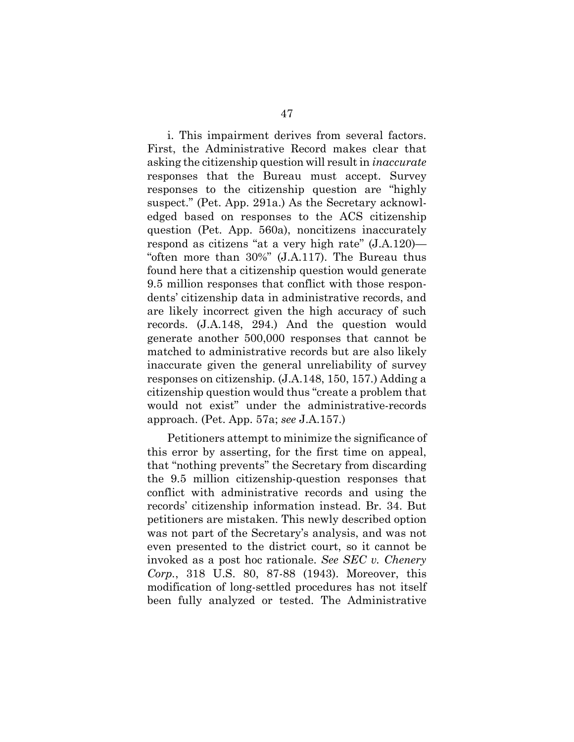i. This impairment derives from several factors. First, the Administrative Record makes clear that asking the citizenship question will result in *inaccurate* responses that the Bureau must accept. Survey responses to the citizenship question are "highly suspect." (Pet. App. 291a.) As the Secretary acknowledged based on responses to the ACS citizenship question (Pet. App. 560a), noncitizens inaccurately respond as citizens "at a very high rate" (J.A.120)— "often more than 30%" (J.A.117). The Bureau thus found here that a citizenship question would generate 9.5 million responses that conflict with those respondents' citizenship data in administrative records, and are likely incorrect given the high accuracy of such records. (J.A.148, 294.) And the question would generate another 500,000 responses that cannot be matched to administrative records but are also likely inaccurate given the general unreliability of survey responses on citizenship. (J.A.148, 150, 157.) Adding a citizenship question would thus "create a problem that would not exist" under the administrative-records approach. (Pet. App. 57a; *see* J.A.157.)

Petitioners attempt to minimize the significance of this error by asserting, for the first time on appeal, that "nothing prevents" the Secretary from discarding the 9.5 million citizenship-question responses that conflict with administrative records and using the records' citizenship information instead. Br. 34. But petitioners are mistaken. This newly described option was not part of the Secretary's analysis, and was not even presented to the district court, so it cannot be invoked as a post hoc rationale. *See SEC v. Chenery Corp.*, 318 U.S. 80, 87-88 (1943). Moreover, this modification of long-settled procedures has not itself been fully analyzed or tested. The Administrative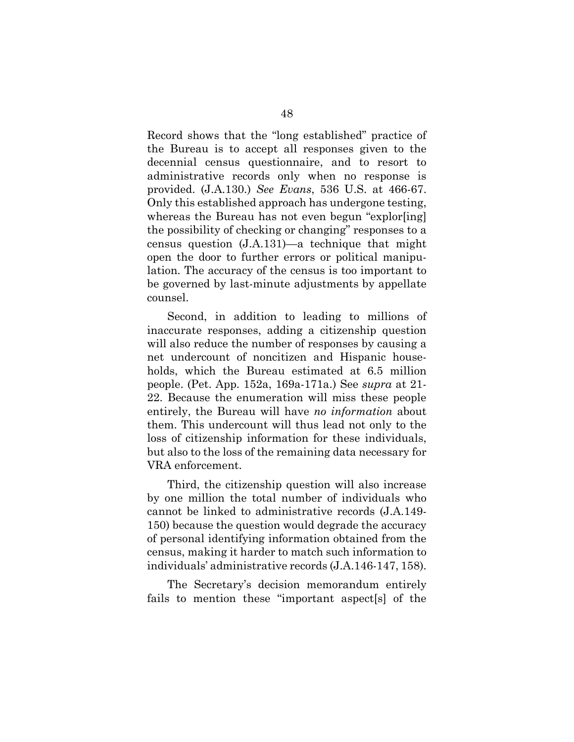Record shows that the "long established" practice of the Bureau is to accept all responses given to the decennial census questionnaire, and to resort to administrative records only when no response is provided. (J.A.130.) *See Evans*, 536 U.S. at 466-67. Only this established approach has undergone testing, whereas the Bureau has not even begun "explor[ing] the possibility of checking or changing" responses to a census question (J.A.131)—a technique that might open the door to further errors or political manipulation. The accuracy of the census is too important to be governed by last-minute adjustments by appellate counsel.

Second, in addition to leading to millions of inaccurate responses, adding a citizenship question will also reduce the number of responses by causing a net undercount of noncitizen and Hispanic households, which the Bureau estimated at 6.5 million people. (Pet. App. 152a, 169a-171a.) See *supra* at 21- 22. Because the enumeration will miss these people entirely, the Bureau will have *no information* about them. This undercount will thus lead not only to the loss of citizenship information for these individuals, but also to the loss of the remaining data necessary for VRA enforcement.

Third, the citizenship question will also increase by one million the total number of individuals who cannot be linked to administrative records (J.A.149- 150) because the question would degrade the accuracy of personal identifying information obtained from the census, making it harder to match such information to individuals' administrative records (J.A.146-147, 158).

The Secretary's decision memorandum entirely fails to mention these "important aspect[s] of the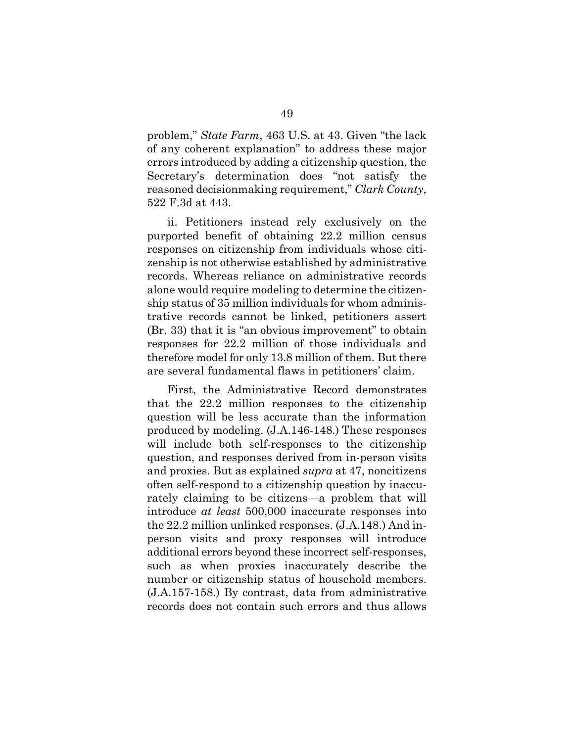problem," *State Farm*, 463 U.S. at 43. Given "the lack of any coherent explanation" to address these major errors introduced by adding a citizenship question, the Secretary's determination does "not satisfy the reasoned decisionmaking requirement," *Clark County*, 522 F.3d at 443.

ii. Petitioners instead rely exclusively on the purported benefit of obtaining 22.2 million census responses on citizenship from individuals whose citizenship is not otherwise established by administrative records. Whereas reliance on administrative records alone would require modeling to determine the citizenship status of 35 million individuals for whom administrative records cannot be linked, petitioners assert (Br. 33) that it is "an obvious improvement" to obtain responses for 22.2 million of those individuals and therefore model for only 13.8 million of them. But there are several fundamental flaws in petitioners' claim.

First, the Administrative Record demonstrates that the 22.2 million responses to the citizenship question will be less accurate than the information produced by modeling. (J.A.146-148.) These responses will include both self-responses to the citizenship question, and responses derived from in-person visits and proxies. But as explained *supra* at 47, noncitizens often self-respond to a citizenship question by inaccurately claiming to be citizens—a problem that will introduce *at least* 500,000 inaccurate responses into the 22.2 million unlinked responses. (J.A.148.) And inperson visits and proxy responses will introduce additional errors beyond these incorrect self-responses, such as when proxies inaccurately describe the number or citizenship status of household members. (J.A.157-158.) By contrast, data from administrative records does not contain such errors and thus allows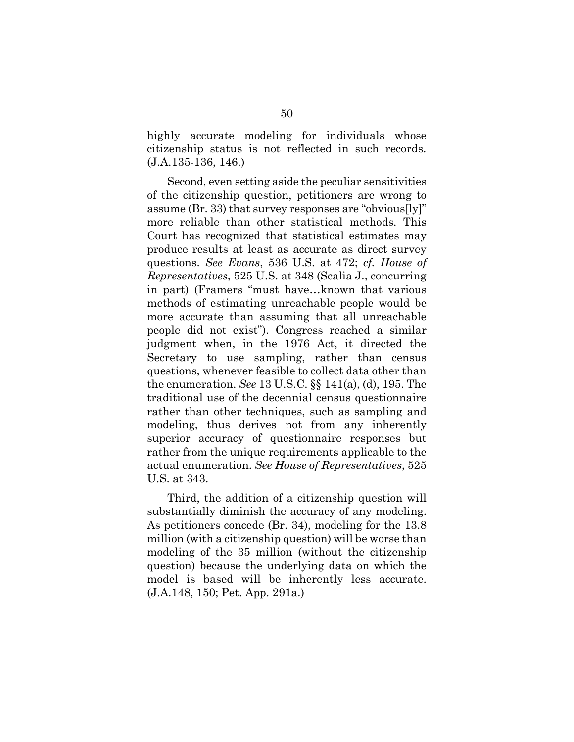highly accurate modeling for individuals whose citizenship status is not reflected in such records. (J.A.135-136, 146.)

Second, even setting aside the peculiar sensitivities of the citizenship question, petitioners are wrong to assume (Br. 33) that survey responses are "obvious[ly]" more reliable than other statistical methods. This Court has recognized that statistical estimates may produce results at least as accurate as direct survey questions. *See Evans*, 536 U.S. at 472; *cf. House of Representatives*, 525 U.S. at 348 (Scalia J., concurring in part) (Framers "must have…known that various methods of estimating unreachable people would be more accurate than assuming that all unreachable people did not exist"). Congress reached a similar judgment when, in the 1976 Act, it directed the Secretary to use sampling, rather than census questions, whenever feasible to collect data other than the enumeration. *See* 13 U.S.C. §§ 141(a), (d), 195. The traditional use of the decennial census questionnaire rather than other techniques, such as sampling and modeling, thus derives not from any inherently superior accuracy of questionnaire responses but rather from the unique requirements applicable to the actual enumeration. *See House of Representatives*, 525 U.S. at 343.

Third, the addition of a citizenship question will substantially diminish the accuracy of any modeling. As petitioners concede (Br. 34), modeling for the 13.8 million (with a citizenship question) will be worse than modeling of the 35 million (without the citizenship question) because the underlying data on which the model is based will be inherently less accurate. (J.A.148, 150; Pet. App. 291a.)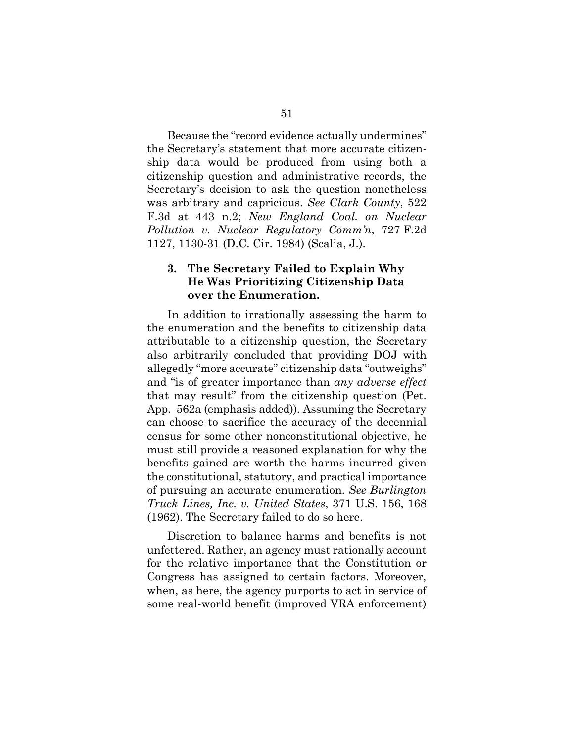Because the "record evidence actually undermines" the Secretary's statement that more accurate citizenship data would be produced from using both a citizenship question and administrative records, the Secretary's decision to ask the question nonetheless was arbitrary and capricious. *See Clark County*, 522 F.3d at 443 n.2; *New England Coal. on Nuclear Pollution v. Nuclear Regulatory Comm'n*, 727 F.2d 1127, 1130-31 (D.C. Cir. 1984) (Scalia, J.).

# **3. The Secretary Failed to Explain Why He Was Prioritizing Citizenship Data over the Enumeration.**

In addition to irrationally assessing the harm to the enumeration and the benefits to citizenship data attributable to a citizenship question, the Secretary also arbitrarily concluded that providing DOJ with allegedly "more accurate" citizenship data "outweighs" and "is of greater importance than *any adverse effect* that may result" from the citizenship question (Pet. App. 562a (emphasis added)). Assuming the Secretary can choose to sacrifice the accuracy of the decennial census for some other nonconstitutional objective, he must still provide a reasoned explanation for why the benefits gained are worth the harms incurred given the constitutional, statutory, and practical importance of pursuing an accurate enumeration. *See Burlington Truck Lines, Inc. v. United States*, 371 U.S. 156, 168 (1962). The Secretary failed to do so here.

Discretion to balance harms and benefits is not unfettered. Rather, an agency must rationally account for the relative importance that the Constitution or Congress has assigned to certain factors. Moreover, when, as here, the agency purports to act in service of some real-world benefit (improved VRA enforcement)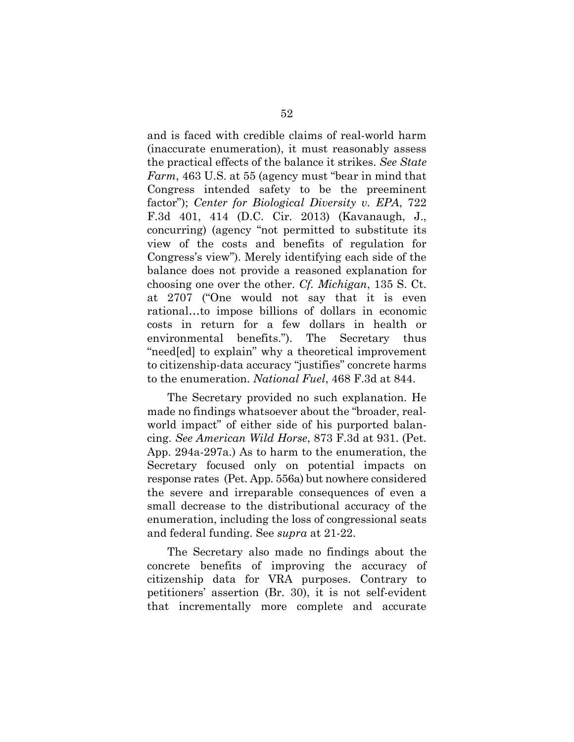and is faced with credible claims of real-world harm (inaccurate enumeration), it must reasonably assess the practical effects of the balance it strikes. *See State Farm*, 463 U.S. at 55 (agency must "bear in mind that Congress intended safety to be the preeminent factor"); *Center for Biological Diversity v. EPA*, 722 F.3d 401, 414 (D.C. Cir. 2013) (Kavanaugh, J., concurring) (agency "not permitted to substitute its view of the costs and benefits of regulation for Congress's view"). Merely identifying each side of the balance does not provide a reasoned explanation for choosing one over the other. *Cf. Michigan*, 135 S. Ct. at 2707 ("One would not say that it is even rational…to impose billions of dollars in economic costs in return for a few dollars in health or environmental benefits."). The Secretary thus "need[ed] to explain" why a theoretical improvement to citizenship-data accuracy "justifies" concrete harms to the enumeration. *National Fuel*, 468 F.3d at 844.

The Secretary provided no such explanation. He made no findings whatsoever about the "broader, realworld impact" of either side of his purported balancing. *See American Wild Horse*, 873 F.3d at 931. (Pet. App. 294a-297a.) As to harm to the enumeration, the Secretary focused only on potential impacts on response rates (Pet. App. 556a) but nowhere considered the severe and irreparable consequences of even a small decrease to the distributional accuracy of the enumeration, including the loss of congressional seats and federal funding. See *supra* at 21-22.

The Secretary also made no findings about the concrete benefits of improving the accuracy of citizenship data for VRA purposes. Contrary to petitioners' assertion (Br. 30), it is not self-evident that incrementally more complete and accurate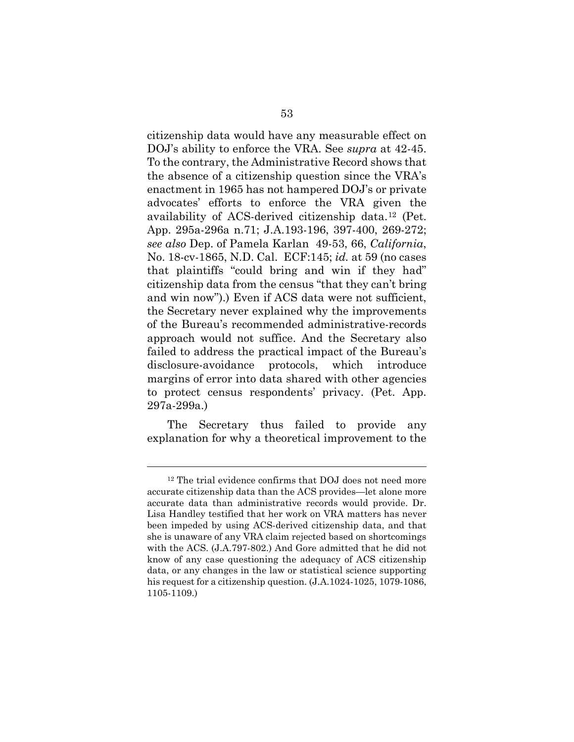citizenship data would have any measurable effect on DOJ's ability to enforce the VRA. See *supra* at 42-45. To the contrary, the Administrative Record shows that the absence of a citizenship question since the VRA's enactment in 1965 has not hampered DOJ's or private advocates' efforts to enforce the VRA given the availability of ACS-derived citizenship data.[12](#page-62-0) (Pet. App. 295a-296a n.71; J.A.193-196, 397-400, 269-272; *see also* Dep. of Pamela Karlan 49-53, 66, *California*, No. 18-cv-1865, N.D. Cal. ECF:145; *id.* at 59 (no cases that plaintiffs "could bring and win if they had" citizenship data from the census "that they can't bring and win now").) Even if ACS data were not sufficient, the Secretary never explained why the improvements of the Bureau's recommended administrative-records approach would not suffice. And the Secretary also failed to address the practical impact of the Bureau's disclosure-avoidance protocols, which introduce margins of error into data shared with other agencies to protect census respondents' privacy. (Pet. App. 297a-299a.)

The Secretary thus failed to provide any explanation for why a theoretical improvement to the

l

<span id="page-62-0"></span><sup>&</sup>lt;sup>12</sup> The trial evidence confirms that DOJ does not need more accurate citizenship data than the ACS provides—let alone more accurate data than administrative records would provide. Dr. Lisa Handley testified that her work on VRA matters has never been impeded by using ACS-derived citizenship data, and that she is unaware of any VRA claim rejected based on shortcomings with the ACS. (J.A.797-802.) And Gore admitted that he did not know of any case questioning the adequacy of ACS citizenship data, or any changes in the law or statistical science supporting his request for a citizenship question. (J.A.1024-1025, 1079-1086, 1105-1109.)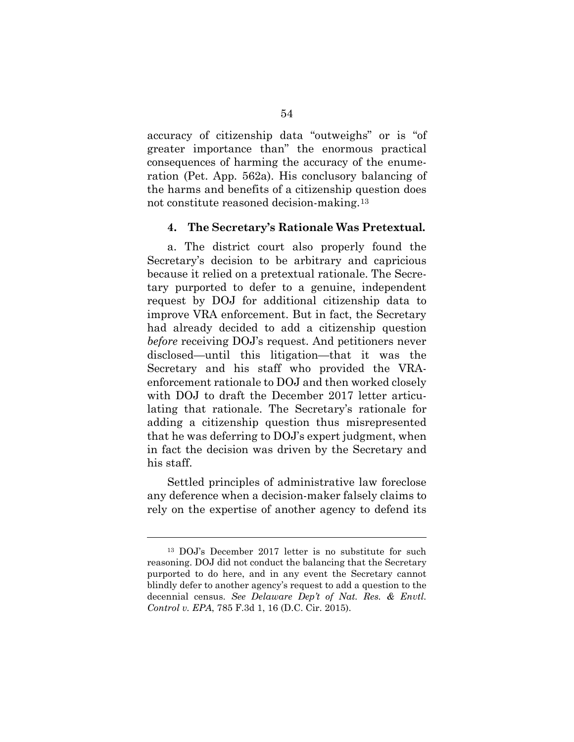accuracy of citizenship data "outweighs" or is "of greater importance than" the enormous practical consequences of harming the accuracy of the enumeration (Pet. App. 562a). His conclusory balancing of the harms and benefits of a citizenship question does not constitute reasoned decision-making.[13](#page-63-0)

#### **4. The Secretary's Rationale Was Pretextual.**

a. The district court also properly found the Secretary's decision to be arbitrary and capricious because it relied on a pretextual rationale. The Secretary purported to defer to a genuine, independent request by DOJ for additional citizenship data to improve VRA enforcement. But in fact, the Secretary had already decided to add a citizenship question *before* receiving DOJ's request. And petitioners never disclosed—until this litigation—that it was the Secretary and his staff who provided the VRAenforcement rationale to DOJ and then worked closely with DOJ to draft the December 2017 letter articulating that rationale. The Secretary's rationale for adding a citizenship question thus misrepresented that he was deferring to DOJ's expert judgment, when in fact the decision was driven by the Secretary and his staff.

Settled principles of administrative law foreclose any deference when a decision-maker falsely claims to rely on the expertise of another agency to defend its

l

<span id="page-63-0"></span><sup>13</sup> DOJ's December 2017 letter is no substitute for such reasoning. DOJ did not conduct the balancing that the Secretary purported to do here, and in any event the Secretary cannot blindly defer to another agency's request to add a question to the decennial census. *See Delaware Dep't of Nat. Res. & Envtl. Control v. EPA*, 785 F.3d 1, 16 (D.C. Cir. 2015).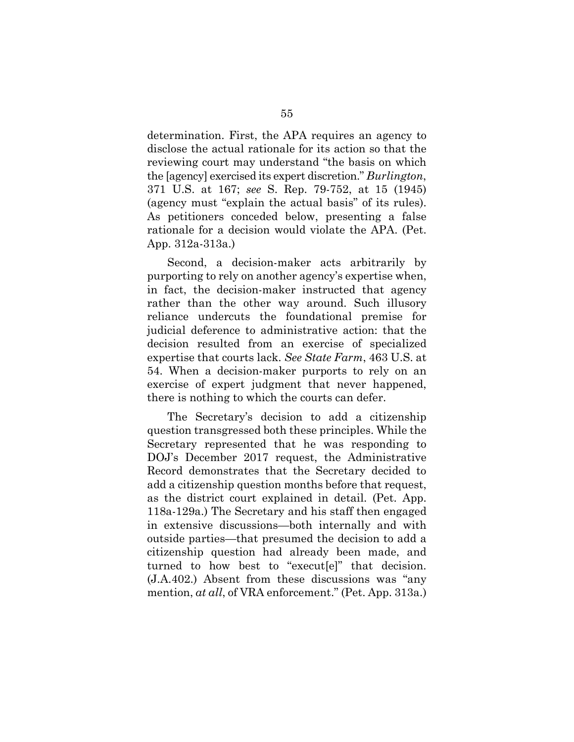determination. First, the APA requires an agency to disclose the actual rationale for its action so that the reviewing court may understand "the basis on which the [agency] exercised its expert discretion." *Burlington*, 371 U.S. at 167; *see* S. Rep. 79-752, at 15 (1945) (agency must "explain the actual basis" of its rules). As petitioners conceded below, presenting a false rationale for a decision would violate the APA. (Pet. App. 312a-313a.)

Second, a decision-maker acts arbitrarily by purporting to rely on another agency's expertise when, in fact, the decision-maker instructed that agency rather than the other way around. Such illusory reliance undercuts the foundational premise for judicial deference to administrative action: that the decision resulted from an exercise of specialized expertise that courts lack. *See State Farm*, 463 U.S. at 54. When a decision-maker purports to rely on an exercise of expert judgment that never happened, there is nothing to which the courts can defer.

The Secretary's decision to add a citizenship question transgressed both these principles. While the Secretary represented that he was responding to DOJ's December 2017 request, the Administrative Record demonstrates that the Secretary decided to add a citizenship question months before that request, as the district court explained in detail. (Pet. App. 118a-129a.) The Secretary and his staff then engaged in extensive discussions—both internally and with outside parties—that presumed the decision to add a citizenship question had already been made, and turned to how best to "execut[e]" that decision. (J.A.402.) Absent from these discussions was "any mention, *at all*, of VRA enforcement." (Pet. App. 313a.)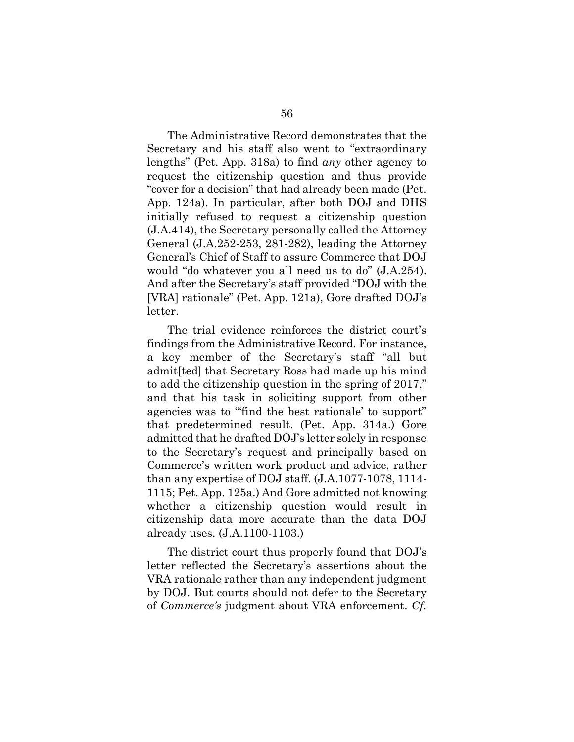The Administrative Record demonstrates that the Secretary and his staff also went to "extraordinary lengths" (Pet. App. 318a) to find *any* other agency to request the citizenship question and thus provide "cover for a decision" that had already been made (Pet. App. 124a). In particular, after both DOJ and DHS initially refused to request a citizenship question (J.A.414), the Secretary personally called the Attorney General (J.A.252-253, 281-282), leading the Attorney General's Chief of Staff to assure Commerce that DOJ would "do whatever you all need us to do" (J.A.254). And after the Secretary's staff provided "DOJ with the [VRA] rationale" (Pet. App. 121a), Gore drafted DOJ's letter.

The trial evidence reinforces the district court's findings from the Administrative Record. For instance, a key member of the Secretary's staff "all but admit[ted] that Secretary Ross had made up his mind to add the citizenship question in the spring of 2017," and that his task in soliciting support from other agencies was to "find the best rationale' to support" that predetermined result. (Pet. App. 314a.) Gore admitted that he drafted DOJ's letter solely in response to the Secretary's request and principally based on Commerce's written work product and advice, rather than any expertise of DOJ staff. (J.A.1077-1078, 1114- 1115; Pet. App. 125a.) And Gore admitted not knowing whether a citizenship question would result in citizenship data more accurate than the data DOJ already uses. (J.A.1100-1103.)

The district court thus properly found that DOJ's letter reflected the Secretary's assertions about the VRA rationale rather than any independent judgment by DOJ. But courts should not defer to the Secretary of *Commerce's* judgment about VRA enforcement. *Cf.*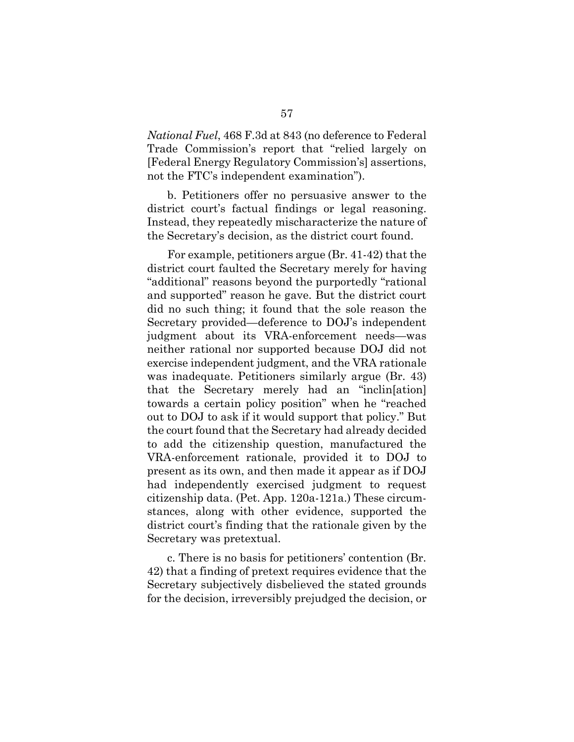*National Fuel*, 468 F.3d at 843 (no deference to Federal Trade Commission's report that "relied largely on [Federal Energy Regulatory Commission's] assertions, not the FTC's independent examination").

b. Petitioners offer no persuasive answer to the district court's factual findings or legal reasoning. Instead, they repeatedly mischaracterize the nature of the Secretary's decision, as the district court found.

For example, petitioners argue (Br. 41-42) that the district court faulted the Secretary merely for having "additional" reasons beyond the purportedly "rational and supported" reason he gave. But the district court did no such thing; it found that the sole reason the Secretary provided—deference to DOJ's independent judgment about its VRA-enforcement needs—was neither rational nor supported because DOJ did not exercise independent judgment, and the VRA rationale was inadequate. Petitioners similarly argue (Br. 43) that the Secretary merely had an "inclin[ation] towards a certain policy position" when he "reached out to DOJ to ask if it would support that policy." But the court found that the Secretary had already decided to add the citizenship question, manufactured the VRA-enforcement rationale, provided it to DOJ to present as its own, and then made it appear as if DOJ had independently exercised judgment to request citizenship data. (Pet. App. 120a-121a.) These circumstances, along with other evidence, supported the district court's finding that the rationale given by the Secretary was pretextual.

c. There is no basis for petitioners' contention (Br. 42) that a finding of pretext requires evidence that the Secretary subjectively disbelieved the stated grounds for the decision, irreversibly prejudged the decision, or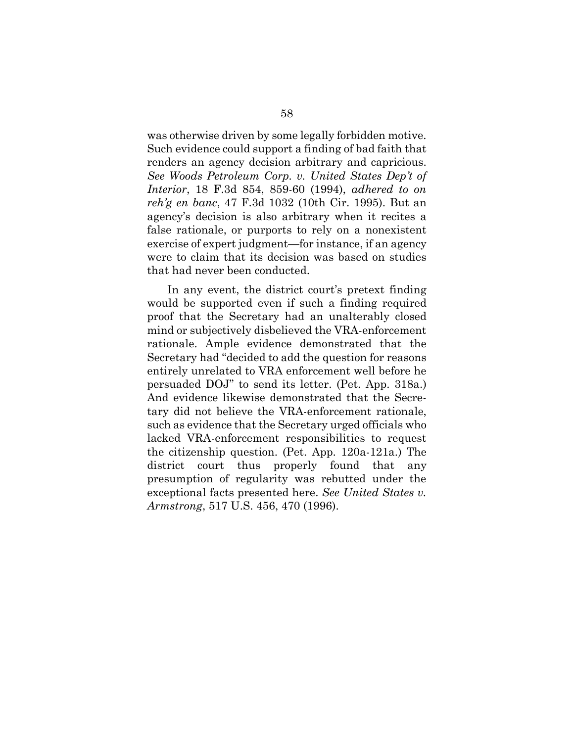was otherwise driven by some legally forbidden motive. Such evidence could support a finding of bad faith that renders an agency decision arbitrary and capricious. *See Woods Petroleum Corp. v. United States Dep't of Interior*, 18 F.3d 854, 859-60 (1994), *adhered to on reh'g en banc*, 47 F.3d 1032 (10th Cir. 1995). But an agency's decision is also arbitrary when it recites a false rationale, or purports to rely on a nonexistent exercise of expert judgment—for instance, if an agency were to claim that its decision was based on studies that had never been conducted.

In any event, the district court's pretext finding would be supported even if such a finding required proof that the Secretary had an unalterably closed mind or subjectively disbelieved the VRA-enforcement rationale. Ample evidence demonstrated that the Secretary had "decided to add the question for reasons entirely unrelated to VRA enforcement well before he persuaded DOJ" to send its letter. (Pet. App. 318a.) And evidence likewise demonstrated that the Secretary did not believe the VRA-enforcement rationale, such as evidence that the Secretary urged officials who lacked VRA-enforcement responsibilities to request the citizenship question. (Pet. App. 120a-121a.) The district court thus properly found that any presumption of regularity was rebutted under the exceptional facts presented here. *See United States v. Armstrong*, 517 U.S. 456, 470 (1996).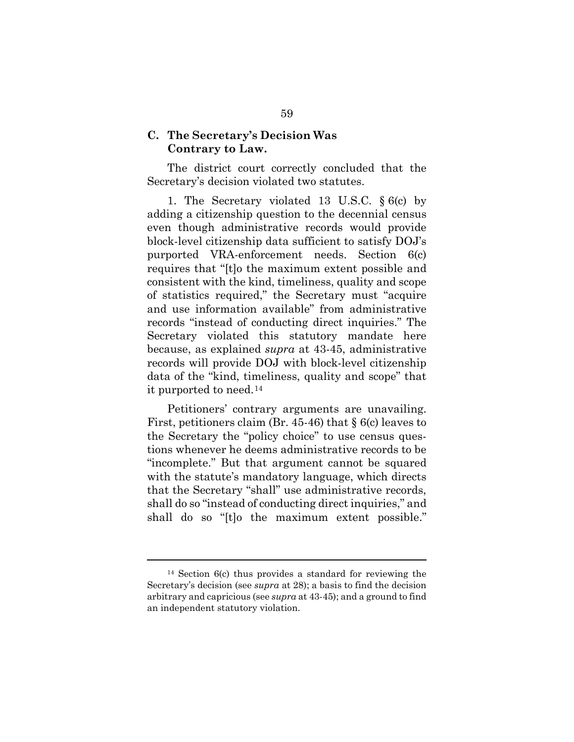#### **C. The Secretary's Decision Was Contrary to Law.**

The district court correctly concluded that the Secretary's decision violated two statutes.

1. The Secretary violated 13 U.S.C. § 6(c) by adding a citizenship question to the decennial census even though administrative records would provide block-level citizenship data sufficient to satisfy DOJ's purported VRA-enforcement needs. Section 6(c) requires that "[t]o the maximum extent possible and consistent with the kind, timeliness, quality and scope of statistics required," the Secretary must "acquire and use information available" from administrative records "instead of conducting direct inquiries." The Secretary violated this statutory mandate here because, as explained *supra* at 43-45, administrative records will provide DOJ with block-level citizenship data of the "kind, timeliness, quality and scope" that it purported to need.[14](#page-68-0)

Petitioners' contrary arguments are unavailing. First, petitioners claim (Br. 45-46) that § 6(c) leaves to the Secretary the "policy choice" to use census questions whenever he deems administrative records to be "incomplete." But that argument cannot be squared with the statute's mandatory language, which directs that the Secretary "shall" use administrative records, shall do so "instead of conducting direct inquiries," and shall do so "[t]o the maximum extent possible."

l

<span id="page-68-0"></span><sup>14</sup> Section 6(c) thus provides a standard for reviewing the Secretary's decision (see *supra* at 28); a basis to find the decision arbitrary and capricious (see *supra* at 43-45); and a ground to find an independent statutory violation.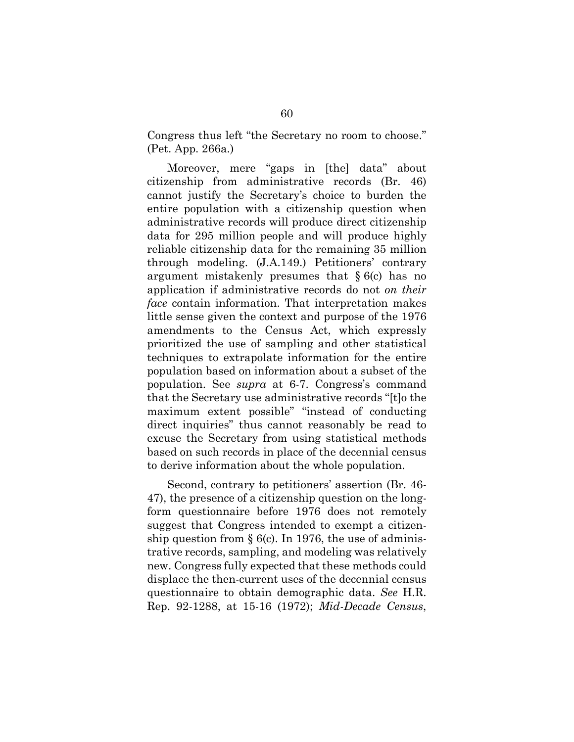Congress thus left "the Secretary no room to choose." (Pet. App. 266a.)

Moreover, mere "gaps in [the] data" about citizenship from administrative records (Br. 46) cannot justify the Secretary's choice to burden the entire population with a citizenship question when administrative records will produce direct citizenship data for 295 million people and will produce highly reliable citizenship data for the remaining 35 million through modeling. (J.A.149.) Petitioners' contrary argument mistakenly presumes that  $§ 6(c)$  has no application if administrative records do not *on their face* contain information. That interpretation makes little sense given the context and purpose of the 1976 amendments to the Census Act, which expressly prioritized the use of sampling and other statistical techniques to extrapolate information for the entire population based on information about a subset of the population. See *supra* at 6-7. Congress's command that the Secretary use administrative records "[t]o the maximum extent possible" "instead of conducting direct inquiries" thus cannot reasonably be read to excuse the Secretary from using statistical methods based on such records in place of the decennial census to derive information about the whole population.

Second, contrary to petitioners' assertion (Br. 46- 47), the presence of a citizenship question on the longform questionnaire before 1976 does not remotely suggest that Congress intended to exempt a citizenship question from  $\S$  6(c). In 1976, the use of administrative records, sampling, and modeling was relatively new. Congress fully expected that these methods could displace the then-current uses of the decennial census questionnaire to obtain demographic data. *See* H.R. Rep. 92-1288, at 15-16 (1972); *Mid-Decade Census*,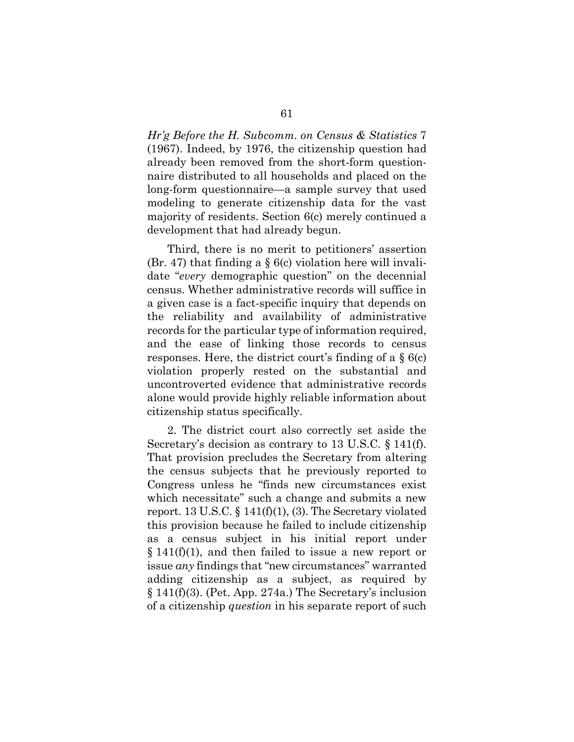*Hr'g Before the H. Subcomm. on Census & Statistics* 7 (1967). Indeed, by 1976, the citizenship question had already been removed from the short-form questionnaire distributed to all households and placed on the long-form questionnaire—a sample survey that used modeling to generate citizenship data for the vast majority of residents. Section 6(c) merely continued a development that had already begun.

Third, there is no merit to petitioners' assertion (Br. 47) that finding a  $\S$  6(c) violation here will invalidate "*every* demographic question" on the decennial census. Whether administrative records will suffice in a given case is a fact-specific inquiry that depends on the reliability and availability of administrative records for the particular type of information required, and the ease of linking those records to census responses. Here, the district court's finding of a § 6(c) violation properly rested on the substantial and uncontroverted evidence that administrative records alone would provide highly reliable information about citizenship status specifically.

2. The district court also correctly set aside the Secretary's decision as contrary to 13 U.S.C. § 141(f). That provision precludes the Secretary from altering the census subjects that he previously reported to Congress unless he "finds new circumstances exist which necessitate" such a change and submits a new report. 13 U.S.C.  $\S$  141(f)(1), (3). The Secretary violated this provision because he failed to include citizenship as a census subject in his initial report under § 141(f)(1), and then failed to issue a new report or issue *any* findings that "new circumstances" warranted adding citizenship as a subject, as required by § 141(f)(3). (Pet. App. 274a.) The Secretary's inclusion of a citizenship *question* in his separate report of such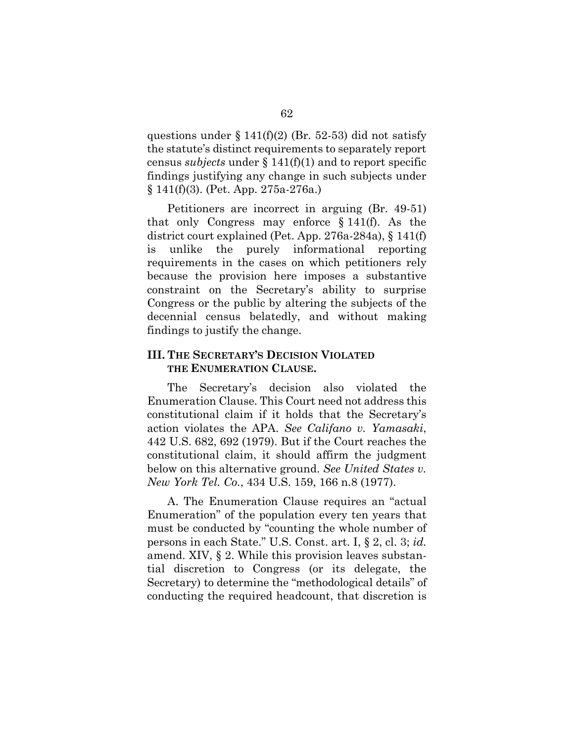questions under  $\S 141(f)(2)$  (Br. 52-53) did not satisfy the statute's distinct requirements to separately report census *subjects* under § 141(f)(1) and to report specific findings justifying any change in such subjects under § 141(f)(3). (Pet. App. 275a-276a.)

Petitioners are incorrect in arguing (Br. 49-51) that only Congress may enforce § 141(f). As the district court explained (Pet. App. 276a-284a), § 141(f) is unlike the purely informational reporting requirements in the cases on which petitioners rely because the provision here imposes a substantive constraint on the Secretary's ability to surprise Congress or the public by altering the subjects of the decennial census belatedly, and without making findings to justify the change.

## **III. THE SECRETARY'S DECISION VIOLATED THE ENUMERATION CLAUSE.**

The Secretary's decision also violated the Enumeration Clause. This Court need not address this constitutional claim if it holds that the Secretary's action violates the APA. *See Califano v. Yamasaki*, 442 U.S. 682, 692 (1979). But if the Court reaches the constitutional claim, it should affirm the judgment below on this alternative ground. *See United States v. New York Tel. Co.*, 434 U.S. 159, 166 n.8 (1977).

A. The Enumeration Clause requires an "actual Enumeration" of the population every ten years that must be conducted by "counting the whole number of persons in each State." U.S. Const. art. I, § 2, cl. 3; *id.* amend. XIV, § 2. While this provision leaves substantial discretion to Congress (or its delegate, the Secretary) to determine the "methodological details" of conducting the required headcount, that discretion is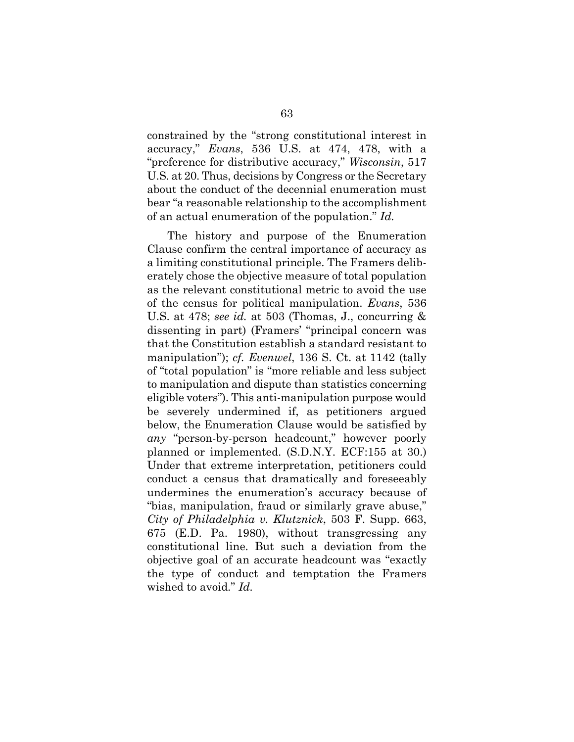constrained by the "strong constitutional interest in accuracy," *Evans*, 536 U.S. at 474, 478, with a "preference for distributive accuracy," *Wisconsin*, 517 U.S. at 20. Thus, decisions by Congress or the Secretary about the conduct of the decennial enumeration must bear "a reasonable relationship to the accomplishment of an actual enumeration of the population." *Id.*

The history and purpose of the Enumeration Clause confirm the central importance of accuracy as a limiting constitutional principle. The Framers deliberately chose the objective measure of total population as the relevant constitutional metric to avoid the use of the census for political manipulation. *Evans*, 536 U.S. at 478; *see id.* at 503 (Thomas, J., concurring & dissenting in part) (Framers' "principal concern was that the Constitution establish a standard resistant to manipulation"); *cf. Evenwel*, 136 S. Ct. at 1142 (tally of "total population" is "more reliable and less subject to manipulation and dispute than statistics concerning eligible voters"). This anti-manipulation purpose would be severely undermined if, as petitioners argued below, the Enumeration Clause would be satisfied by *any* "person-by-person headcount," however poorly planned or implemented. (S.D.N.Y. ECF:155 at 30.) Under that extreme interpretation, petitioners could conduct a census that dramatically and foreseeably undermines the enumeration's accuracy because of "bias, manipulation, fraud or similarly grave abuse," *City of Philadelphia v. Klutznick*, 503 F. Supp. 663, 675 (E.D. Pa. 1980), without transgressing any constitutional line. But such a deviation from the objective goal of an accurate headcount was "exactly the type of conduct and temptation the Framers wished to avoid." *Id.*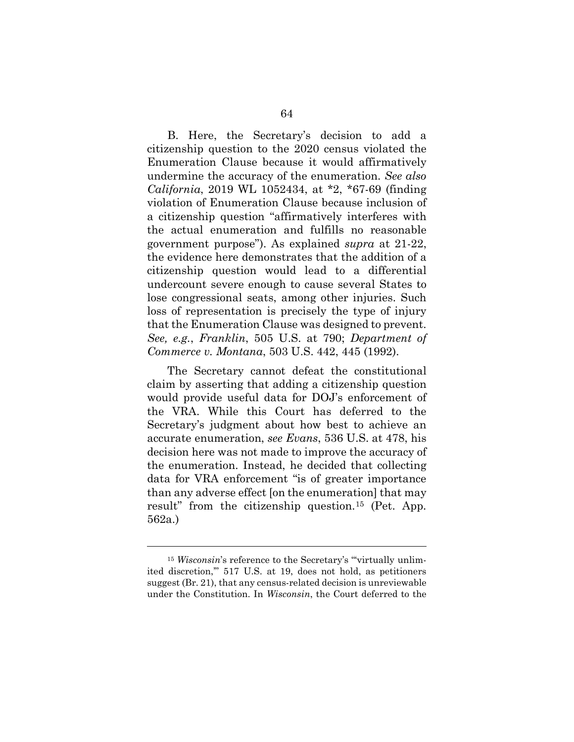B. Here, the Secretary's decision to add a citizenship question to the 2020 census violated the Enumeration Clause because it would affirmatively undermine the accuracy of the enumeration. *See also California*, 2019 WL 1052434, at \*2, \*67-69 (finding violation of Enumeration Clause because inclusion of a citizenship question "affirmatively interferes with the actual enumeration and fulfills no reasonable government purpose"). As explained *supra* at 21-22, the evidence here demonstrates that the addition of a citizenship question would lead to a differential undercount severe enough to cause several States to lose congressional seats, among other injuries. Such loss of representation is precisely the type of injury that the Enumeration Clause was designed to prevent. *See, e.g.*, *Franklin*, 505 U.S. at 790; *Department of Commerce v. Montana*, 503 U.S. 442, 445 (1992).

The Secretary cannot defeat the constitutional claim by asserting that adding a citizenship question would provide useful data for DOJ's enforcement of the VRA. While this Court has deferred to the Secretary's judgment about how best to achieve an accurate enumeration, *see Evans*, 536 U.S. at 478, his decision here was not made to improve the accuracy of the enumeration. Instead, he decided that collecting data for VRA enforcement "is of greater importance than any adverse effect [on the enumeration] that may result" from the citizenship question.[15](#page-73-0) (Pet. App. 562a.)

l

<span id="page-73-0"></span><sup>&</sup>lt;sup>15</sup> *Wisconsin*'s reference to the Secretary's "virtually unlimited discretion,'" 517 U.S. at 19, does not hold, as petitioners suggest (Br. 21), that any census-related decision is unreviewable under the Constitution. In *Wisconsin*, the Court deferred to the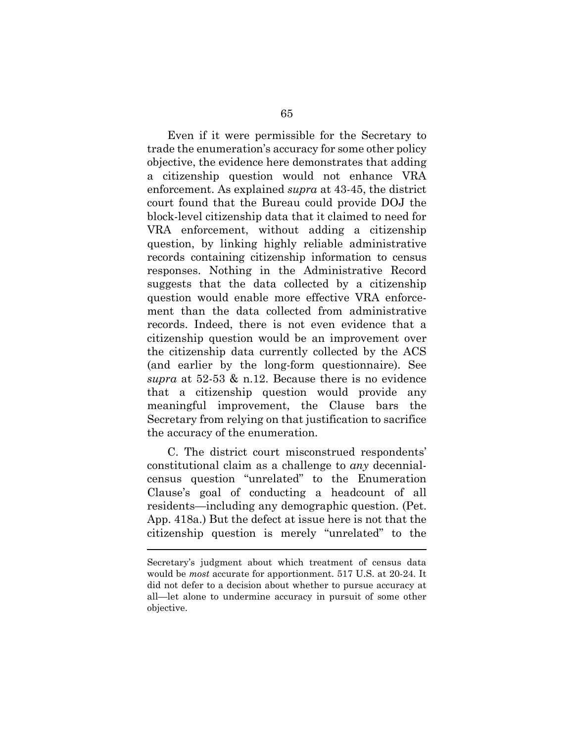Even if it were permissible for the Secretary to trade the enumeration's accuracy for some other policy objective, the evidence here demonstrates that adding a citizenship question would not enhance VRA enforcement. As explained *supra* at 43-45, the district court found that the Bureau could provide DOJ the block-level citizenship data that it claimed to need for VRA enforcement, without adding a citizenship question, by linking highly reliable administrative records containing citizenship information to census responses. Nothing in the Administrative Record suggests that the data collected by a citizenship question would enable more effective VRA enforcement than the data collected from administrative records. Indeed, there is not even evidence that a citizenship question would be an improvement over the citizenship data currently collected by the ACS (and earlier by the long-form questionnaire). See *supra* at 52-53 & n.12. Because there is no evidence that a citizenship question would provide any meaningful improvement, the Clause bars the Secretary from relying on that justification to sacrifice the accuracy of the enumeration.

C. The district court misconstrued respondents' constitutional claim as a challenge to *any* decennialcensus question "unrelated" to the Enumeration Clause's goal of conducting a headcount of all residents—including any demographic question. (Pet. App. 418a.) But the defect at issue here is not that the citizenship question is merely "unrelated" to the

 $\overline{a}$ 

Secretary's judgment about which treatment of census data would be *most* accurate for apportionment. 517 U.S. at 20-24. It did not defer to a decision about whether to pursue accuracy at all—let alone to undermine accuracy in pursuit of some other objective.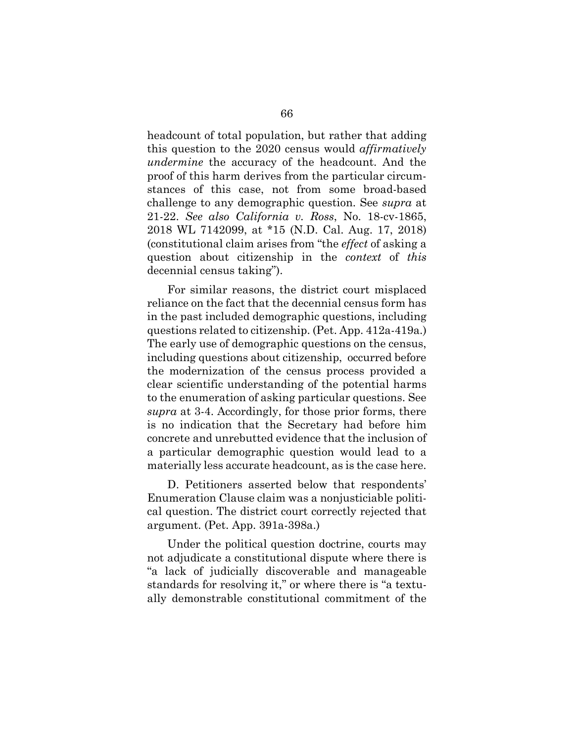headcount of total population, but rather that adding this question to the 2020 census would *affirmatively undermine* the accuracy of the headcount. And the proof of this harm derives from the particular circumstances of this case, not from some broad-based challenge to any demographic question. See *supra* at 21-22. *See also California v. Ross*, No. 18-cv-1865, 2018 WL 7142099, at \*15 (N.D. Cal. Aug. 17, 2018) (constitutional claim arises from "the *effect* of asking a question about citizenship in the *context* of *this*  decennial census taking").

For similar reasons, the district court misplaced reliance on the fact that the decennial census form has in the past included demographic questions, including questions related to citizenship. (Pet. App. 412a-419a.) The early use of demographic questions on the census, including questions about citizenship, occurred before the modernization of the census process provided a clear scientific understanding of the potential harms to the enumeration of asking particular questions. See *supra* at 3-4. Accordingly, for those prior forms, there is no indication that the Secretary had before him concrete and unrebutted evidence that the inclusion of a particular demographic question would lead to a materially less accurate headcount, as is the case here.

D. Petitioners asserted below that respondents' Enumeration Clause claim was a nonjusticiable political question. The district court correctly rejected that argument. (Pet. App. 391a-398a.)

Under the political question doctrine, courts may not adjudicate a constitutional dispute where there is "a lack of judicially discoverable and manageable standards for resolving it," or where there is "a textually demonstrable constitutional commitment of the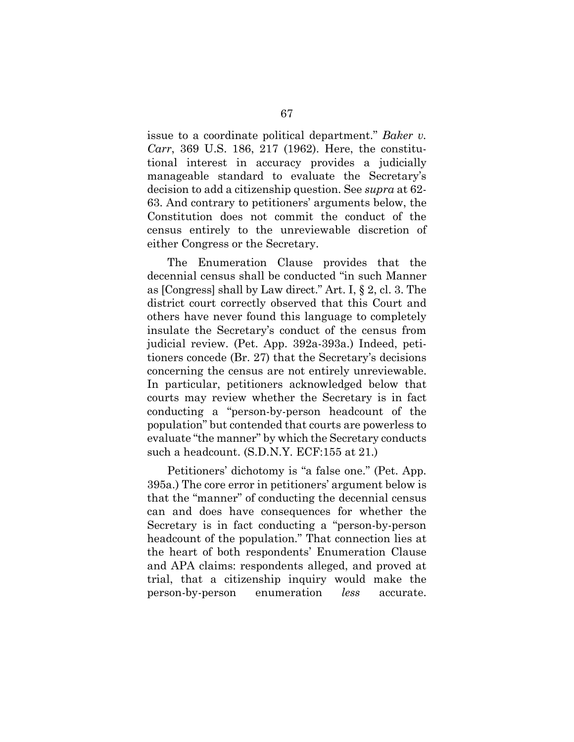issue to a coordinate political department." *Baker v. Carr*, 369 U.S. 186, 217 (1962). Here, the constitutional interest in accuracy provides a judicially manageable standard to evaluate the Secretary's decision to add a citizenship question. See *supra* at 62- 63. And contrary to petitioners' arguments below, the Constitution does not commit the conduct of the census entirely to the unreviewable discretion of either Congress or the Secretary.

The Enumeration Clause provides that the decennial census shall be conducted "in such Manner as [Congress] shall by Law direct." Art. I, § 2, cl. 3. The district court correctly observed that this Court and others have never found this language to completely insulate the Secretary's conduct of the census from judicial review. (Pet. App. 392a-393a.) Indeed, petitioners concede (Br. 27) that the Secretary's decisions concerning the census are not entirely unreviewable. In particular, petitioners acknowledged below that courts may review whether the Secretary is in fact conducting a "person-by-person headcount of the population" but contended that courts are powerless to evaluate "the manner" by which the Secretary conducts such a headcount. (S.D.N.Y. ECF:155 at 21.)

Petitioners' dichotomy is "a false one." (Pet. App. 395a.) The core error in petitioners' argument below is that the "manner" of conducting the decennial census can and does have consequences for whether the Secretary is in fact conducting a "person-by-person headcount of the population." That connection lies at the heart of both respondents' Enumeration Clause and APA claims: respondents alleged, and proved at trial, that a citizenship inquiry would make the person-by-person enumeration *less* accurate.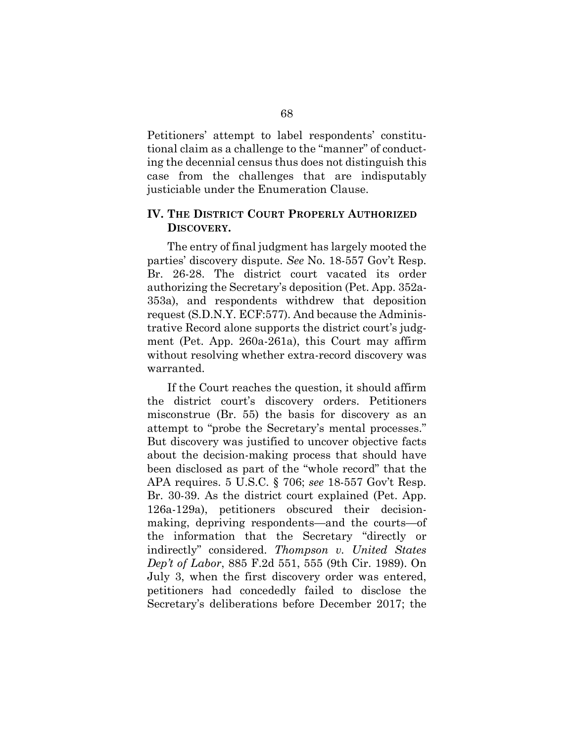Petitioners' attempt to label respondents' constitutional claim as a challenge to the "manner" of conducting the decennial census thus does not distinguish this case from the challenges that are indisputably justiciable under the Enumeration Clause.

## **IV. THE DISTRICT COURT PROPERLY AUTHORIZED DISCOVERY.**

The entry of final judgment has largely mooted the parties' discovery dispute. *See* No. 18-557 Gov't Resp. Br. 26-28. The district court vacated its order authorizing the Secretary's deposition (Pet. App. 352a-353a), and respondents withdrew that deposition request (S.D.N.Y. ECF:577). And because the Administrative Record alone supports the district court's judgment (Pet. App. 260a-261a), this Court may affirm without resolving whether extra-record discovery was warranted.

If the Court reaches the question, it should affirm the district court's discovery orders. Petitioners misconstrue (Br. 55) the basis for discovery as an attempt to "probe the Secretary's mental processes." But discovery was justified to uncover objective facts about the decision-making process that should have been disclosed as part of the "whole record" that the APA requires. 5 U.S.C. § 706; *see* 18-557 Gov't Resp. Br. 30-39. As the district court explained (Pet. App. 126a-129a), petitioners obscured their decisionmaking, depriving respondents—and the courts—of the information that the Secretary "directly or indirectly" considered. *Thompson v. United States Dep't of Labor*, 885 F.2d 551, 555 (9th Cir. 1989). On July 3, when the first discovery order was entered, petitioners had concededly failed to disclose the Secretary's deliberations before December 2017; the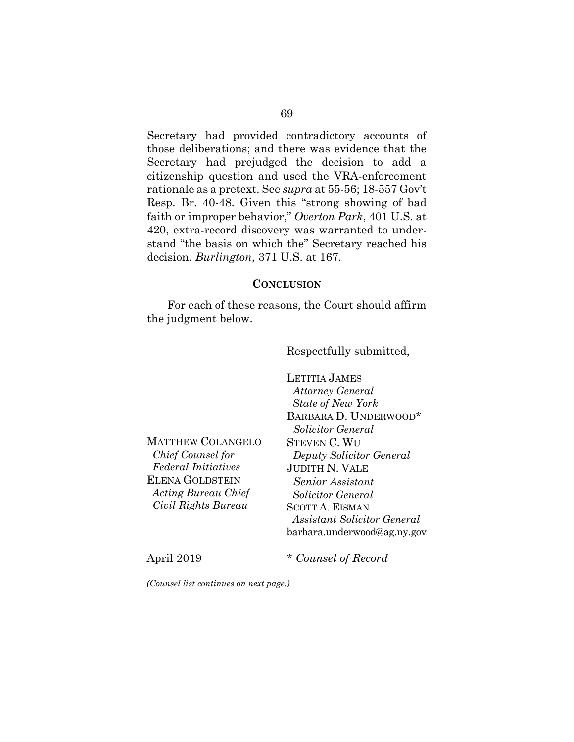Secretary had provided contradictory accounts of those deliberations; and there was evidence that the Secretary had prejudged the decision to add a citizenship question and used the VRA-enforcement rationale as a pretext. See *supra* at 55-56; 18-557 Gov't Resp. Br. 40-48. Given this "strong showing of bad faith or improper behavior," *Overton Park*, 401 U.S. at 420, extra-record discovery was warranted to understand "the basis on which the" Secretary reached his decision. *Burlington*, 371 U.S. at 167.

## **CONCLUSION**

For each of these reasons, the Court should affirm the judgment below.

Respectfully submitted,

MATTHEW COLANGELO  *Chief Counsel for Federal Initiatives* ELENA GOLDSTEIN *Acting Bureau Chief Civil Rights Bureau*

LETITIA JAMES  *Attorney General State of New York* BARBARA D. UNDERWOOD\* *Solicitor General* STEVEN C. WU *Deputy Solicitor General* JUDITH N. VALE *Senior Assistant Solicitor General* SCOTT A. EISMAN  *Assistant Solicitor General*  barbara.underwood@ag.ny.gov

April 2019 \* *Counsel of Record*

*(Counsel list continues on next page.)*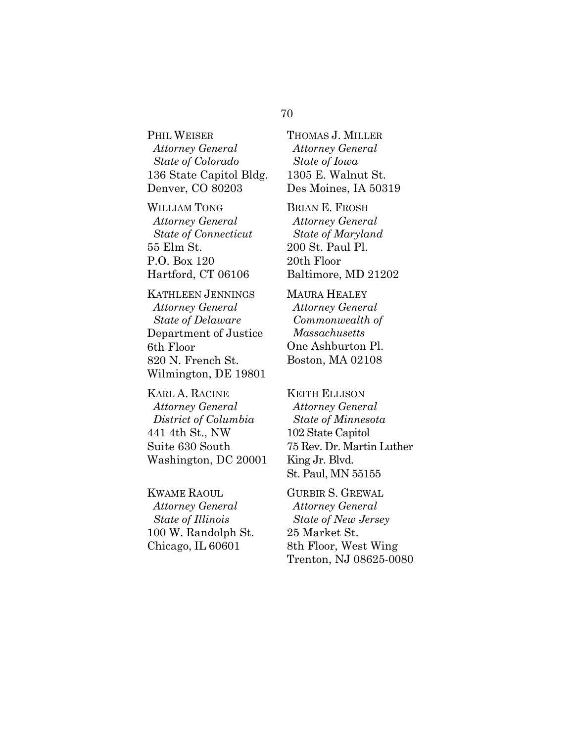## PHIL WEISER  *Attorney General State of Colorado* 136 State Capitol Bldg. Denver, CO 80203

WILLIAM TONG  *Attorney General State of Connecticut* 55 Elm St. P.O. Box 120 Hartford, CT 06106

KATHLEEN JENNINGS *Attorney General State of Delaware* Department of Justice 6th Floor 820 N. French St. Wilmington, DE 19801

KARL A. RACINE  *Attorney General District of Columbia* 441 4th St., NW Suite 630 South Washington, DC 20001

KWAME RAOUL  *Attorney General State of Illinois* 100 W. Randolph St. Chicago, IL 60601

THOMAS J. MILLER  *Attorney General State of Iowa*  1305 E. Walnut St. Des Moines, IA 50319

BRIAN E. FROSH  *Attorney General State of Maryland* 200 St. Paul Pl. 20th Floor Baltimore, MD 21202

MAURA HEALEY  *Attorney General Commonwealth of Massachusetts* One Ashburton Pl. Boston, MA 02108

KEITH ELLISON  *Attorney General State of Minnesota* 102 State Capitol 75 Rev. Dr. Martin Luther King Jr. Blvd. St. Paul, MN 55155

GURBIR S. GREWAL  *Attorney General State of New Jersey* 25 Market St. 8th Floor, West Wing Trenton, NJ 08625-0080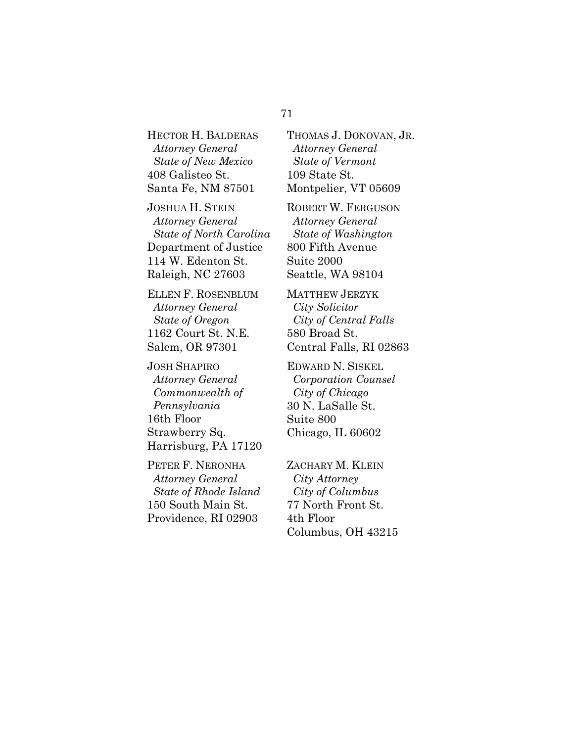HECTOR H. BALDERAS  *Attorney General State of New Mexico* 408 Galisteo St. Santa Fe, NM 87501

JOSHUA H. STEIN  *Attorney General State of North Carolina* Department of Justice 114 W. Edenton St. Raleigh, NC 27603

ELLEN F. ROSENBLUM  *Attorney General State of Oregon* 1162 Court St. N.E. Salem, OR 97301

JOSH SHAPIRO  *Attorney General Commonwealth of Pennsylvania*  16th Floor Strawberry Sq. Harrisburg, PA 17120

PETER F. NERONHA  *Attorney General State of Rhode Island* 150 South Main St. Providence, RI 02903

THOMAS J. DONOVAN, JR. *Attorney General State of Vermont* 109 State St. Montpelier, VT 05609

ROBERT W. FERGUSON  *Attorney General State of Washington* 800 Fifth Avenue Suite 2000 Seattle, WA 98104

MATTHEW JERZYK  *City Solicitor City of Central Falls* 580 Broad St. Central Falls, RI 02863

EDWARD N. SISKEL  *Corporation Counsel City of Chicago* 30 N. LaSalle St. Suite 800 Chicago, IL 60602

ZACHARY M. KLEIN  *City Attorney City of Columbus*  77 North Front St. 4th Floor Columbus, OH 43215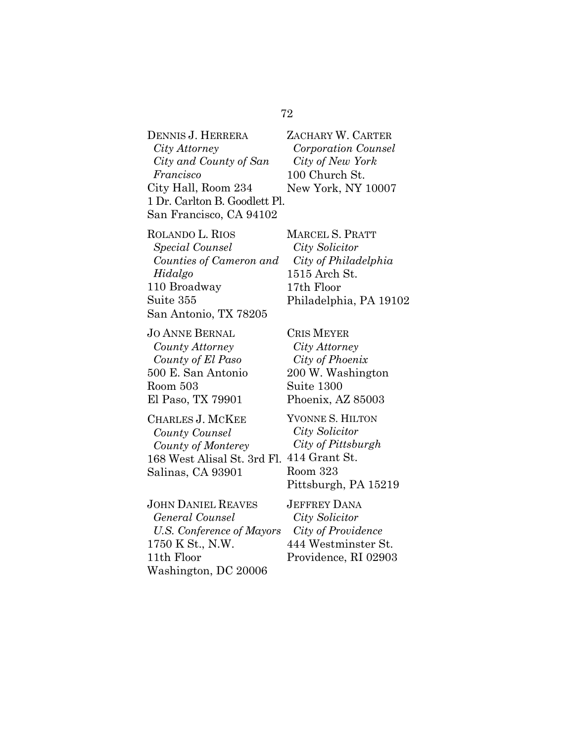DENNIS J. HERRERA *City Attorney City and County of San Francisco*  City Hall, Room 234 1 Dr. Carlton B. Goodlett Pl. San Francisco, CA 94102

ROLANDO L. RIOS *Special Counsel Counties of Cameron and Hidalgo*  110 Broadway Suite 355 San Antonio, TX 78205

JO ANNE BERNAL *County Attorney County of El Paso* 500 E. San Antonio Room 503 El Paso, TX 79901

CHARLES J. MCKEE *County Counsel County of Monterey* 168 West Alisal St. 3rd Fl. 414 Grant St. Salinas, CA 93901

JOHN DANIEL REAVES *General Counsel U.S. Conference of Mayors* 1750 K St., N.W. 11th Floor Washington, DC 20006

ZACHARY W. CARTER  *Corporation Counsel City of New York* 100 Church St. New York, NY 10007

MARCEL S. PRATT  *City Solicitor City of Philadelphia* 1515 Arch St. 17th Floor Philadelphia, PA 19102

CRIS MEYER *City Attorney City of Phoenix* 200 W. Washington Suite 1300 Phoenix, AZ 85003

YVONNE S. HILTON *City Solicitor City of Pittsburgh* Room 323 Pittsburgh, PA 15219

JEFFREY DANA *City Solicitor City of Providence* 444 Westminster St. Providence, RI 02903